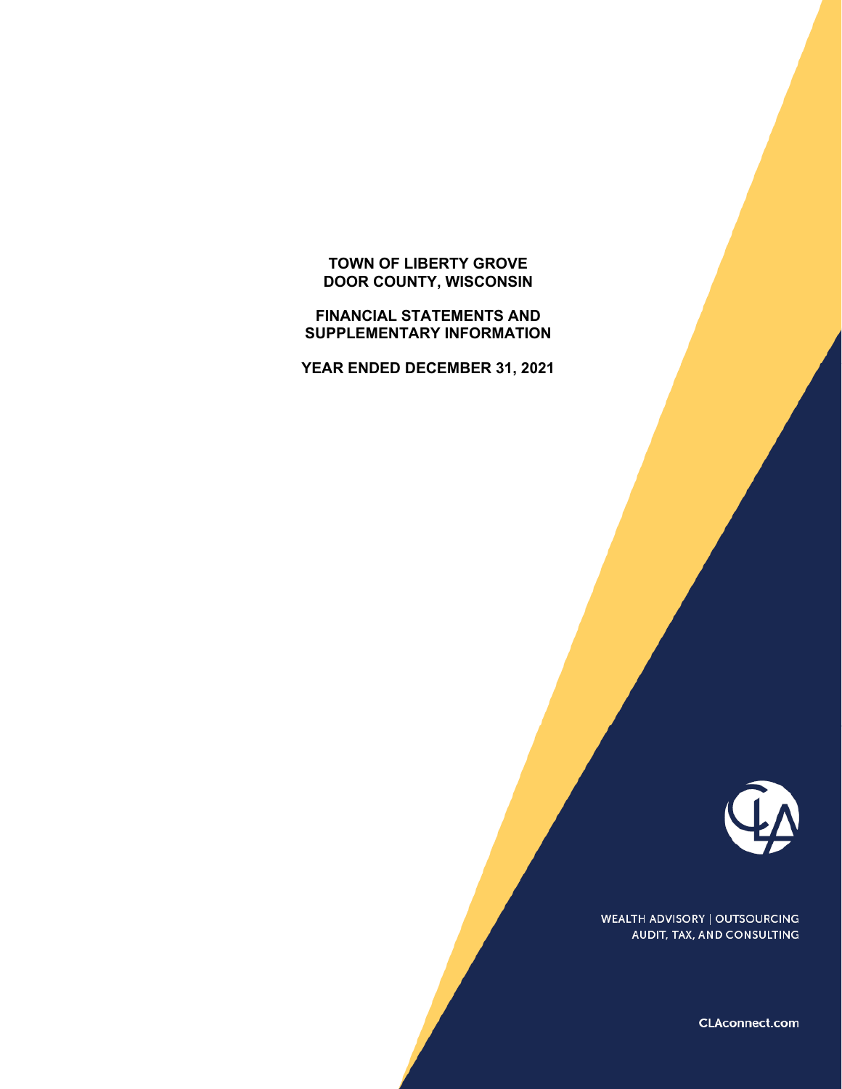### **TOWN OF LIBERTY GROVE DOOR COUNTY, WISCONSIN**

#### **FINANCIAL STATEMENTS AND SUPPLEMENTARY INFORMATION**

**YEAR ENDED DECEMBER 31, 2021**



**WEALTH ADVISORY | OUTSOURCING** AUDIT, TAX, AND CONSULTING

CLAconnect.com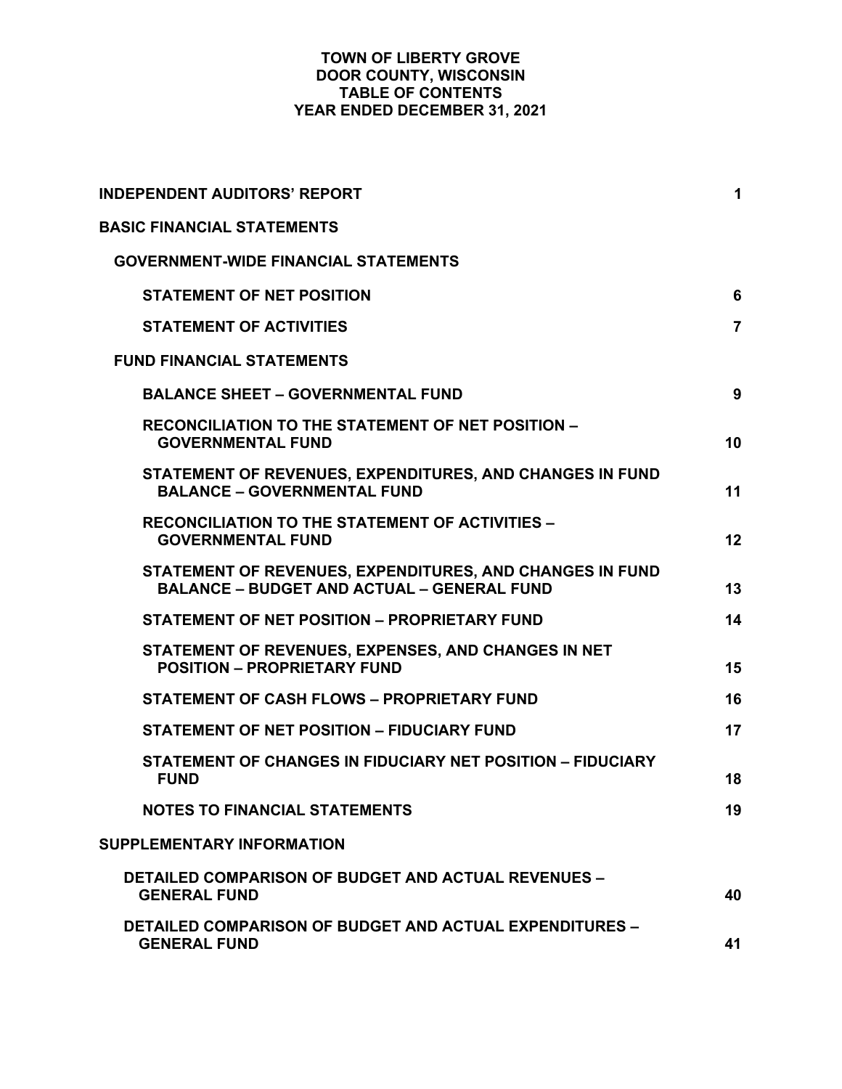### **TOWN OF LIBERTY GROVE DOOR COUNTY, WISCONSIN TABLE OF CONTENTS YEAR ENDED DECEMBER 31, 2021**

| <b>INDEPENDENT AUDITORS' REPORT</b>                                                                           | 1              |
|---------------------------------------------------------------------------------------------------------------|----------------|
| <b>BASIC FINANCIAL STATEMENTS</b>                                                                             |                |
| <b>GOVERNMENT-WIDE FINANCIAL STATEMENTS</b>                                                                   |                |
| <b>STATEMENT OF NET POSITION</b>                                                                              | 6              |
| <b>STATEMENT OF ACTIVITIES</b>                                                                                | $\overline{7}$ |
| <b>FUND FINANCIAL STATEMENTS</b>                                                                              |                |
| <b>BALANCE SHEET - GOVERNMENTAL FUND</b>                                                                      | 9              |
| <b>RECONCILIATION TO THE STATEMENT OF NET POSITION -</b><br><b>GOVERNMENTAL FUND</b>                          | 10             |
| STATEMENT OF REVENUES, EXPENDITURES, AND CHANGES IN FUND<br><b>BALANCE - GOVERNMENTAL FUND</b>                | 11             |
| <b>RECONCILIATION TO THE STATEMENT OF ACTIVITIES -</b><br><b>GOVERNMENTAL FUND</b>                            | 12             |
| STATEMENT OF REVENUES, EXPENDITURES, AND CHANGES IN FUND<br><b>BALANCE - BUDGET AND ACTUAL - GENERAL FUND</b> | 13             |
| STATEMENT OF NET POSITION - PROPRIETARY FUND                                                                  | 14             |
| STATEMENT OF REVENUES, EXPENSES, AND CHANGES IN NET<br><b>POSITION - PROPRIETARY FUND</b>                     | 15             |
| <b>STATEMENT OF CASH FLOWS - PROPRIETARY FUND</b>                                                             | 16             |
| <b>STATEMENT OF NET POSITION - FIDUCIARY FUND</b>                                                             | 17             |
| STATEMENT OF CHANGES IN FIDUCIARY NET POSITION - FIDUCIARY<br><b>FUND</b>                                     | 18             |
| <b>NOTES TO FINANCIAL STATEMENTS</b>                                                                          | 19             |
| <b>SUPPLEMENTARY INFORMATION</b>                                                                              |                |
| <b>DETAILED COMPARISON OF BUDGET AND ACTUAL REVENUES -</b><br><b>GENERAL FUND</b>                             | 40             |
| <b>DETAILED COMPARISON OF BUDGET AND ACTUAL EXPENDITURES -</b><br><b>GENERAL FUND</b>                         | 41             |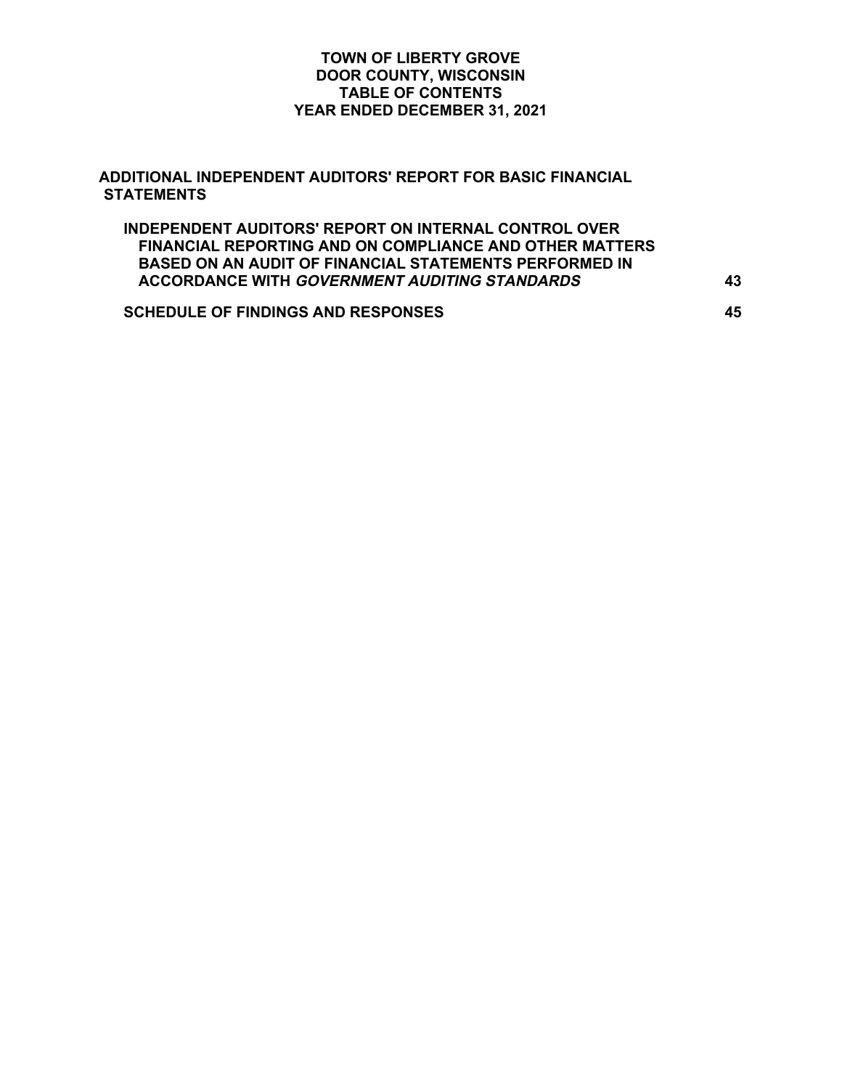#### **TOWN OF LIBERTY GROVE DOOR COUNTY, WISCONSIN TABLE OF CONTENTS YEAR ENDED DECEMBER 31, 2021**

#### **ADDITIONAL INDEPENDENT AUDITORS' REPORT FOR BASIC FINANCIAL STATEMENTS**

**INDEPENDENT AUDITORS' REPORT ON INTERNAL CONTROL OVER FINANCIAL REPORTING AND ON COMPLIANCE AND OTHER MATTERS BASED ON AN AUDIT OF FINANCIAL STATEMENTS PERFORMED IN ACCORDANCE WITH GOVERNMENT AUDITING STANDARDS 43**

**SCHEDULE OF FINDINGS AND RESPONSES 45**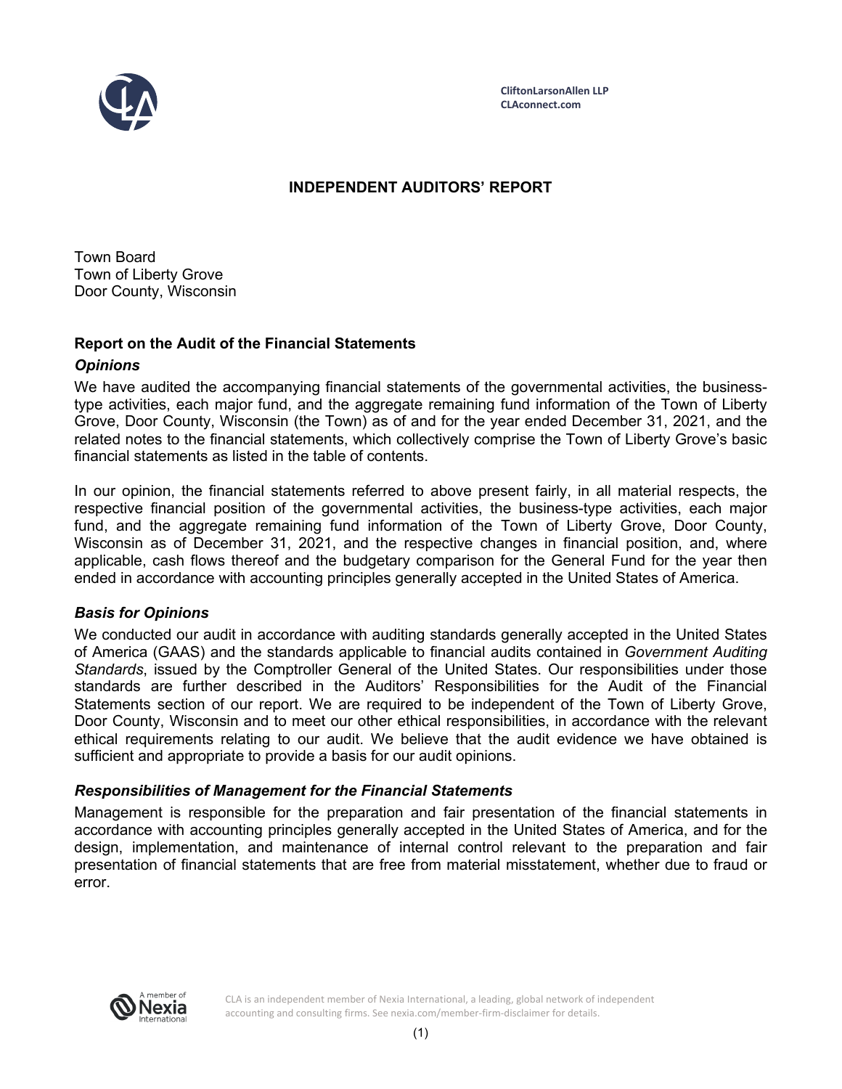

**CliftonLarsonAllen LLP CLAconnect.com**

### **INDEPENDENT AUDITORS' REPORT**

Town Board Town of Liberty Grove Door County, Wisconsin

# **Report on the Audit of the Financial Statements**

#### *Opinions*

We have audited the accompanying financial statements of the governmental activities, the businesstype activities, each major fund, and the aggregate remaining fund information of the Town of Liberty Grove, Door County, Wisconsin (the Town) as of and for the year ended December 31, 2021, and the related notes to the financial statements, which collectively comprise the Town of Liberty Grove's basic financial statements as listed in the table of contents.

In our opinion, the financial statements referred to above present fairly, in all material respects, the respective financial position of the governmental activities, the business-type activities, each major fund, and the aggregate remaining fund information of the Town of Liberty Grove, Door County, Wisconsin as of December 31, 2021, and the respective changes in financial position, and, where applicable, cash flows thereof and the budgetary comparison for the General Fund for the year then ended in accordance with accounting principles generally accepted in the United States of America.

### *Basis for Opinions*

We conducted our audit in accordance with auditing standards generally accepted in the United States of America (GAAS) and the standards applicable to financial audits contained in *Government Auditing Standards*, issued by the Comptroller General of the United States. Our responsibilities under those standards are further described in the Auditors' Responsibilities for the Audit of the Financial Statements section of our report. We are required to be independent of the Town of Liberty Grove, Door County, Wisconsin and to meet our other ethical responsibilities, in accordance with the relevant ethical requirements relating to our audit. We believe that the audit evidence we have obtained is sufficient and appropriate to provide a basis for our audit opinions.

### *Responsibilities of Management for the Financial Statements*

Management is responsible for the preparation and fair presentation of the financial statements in accordance with accounting principles generally accepted in the United States of America, and for the design, implementation, and maintenance of internal control relevant to the preparation and fair presentation of financial statements that are free from material misstatement, whether due to fraud or error.

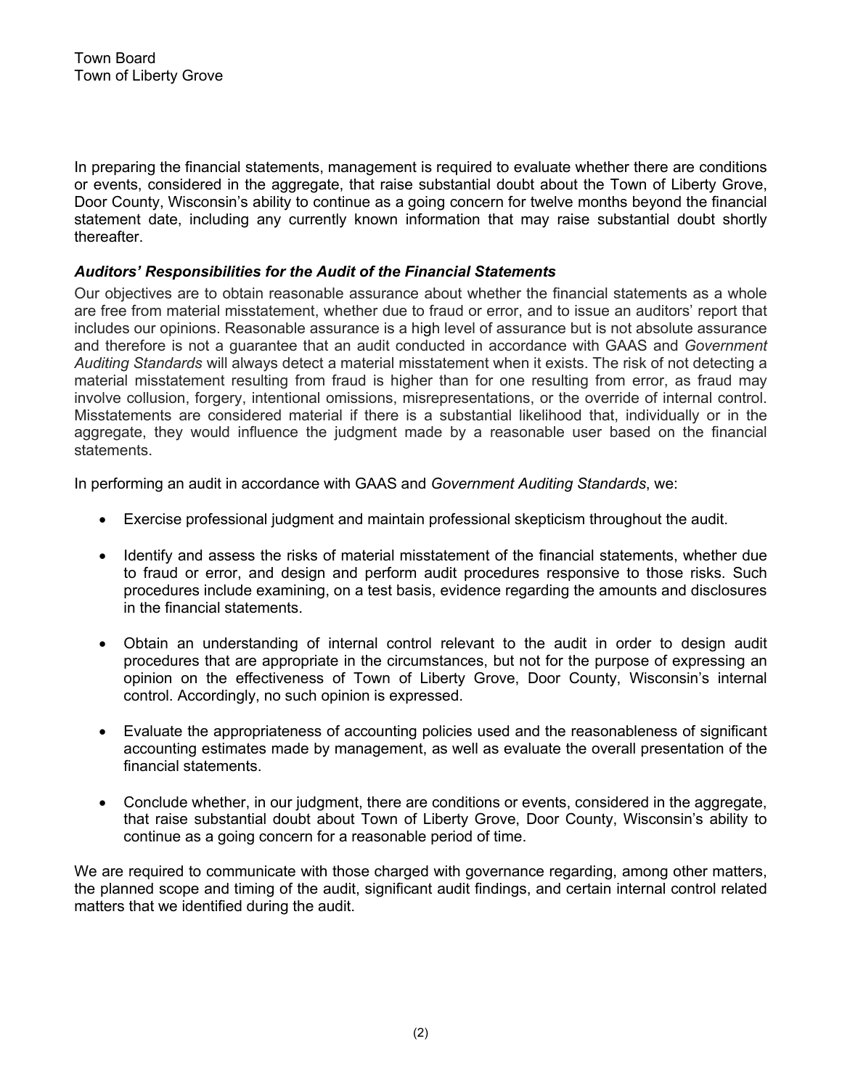In preparing the financial statements, management is required to evaluate whether there are conditions or events, considered in the aggregate, that raise substantial doubt about the Town of Liberty Grove, Door County, Wisconsin's ability to continue as a going concern for twelve months beyond the financial statement date, including any currently known information that may raise substantial doubt shortly thereafter.

### *Auditors' Responsibilities for the Audit of the Financial Statements*

Our objectives are to obtain reasonable assurance about whether the financial statements as a whole are free from material misstatement, whether due to fraud or error, and to issue an auditors' report that includes our opinions. Reasonable assurance is a high level of assurance but is not absolute assurance and therefore is not a guarantee that an audit conducted in accordance with GAAS and *Government Auditing Standards* will always detect a material misstatement when it exists. The risk of not detecting a material misstatement resulting from fraud is higher than for one resulting from error, as fraud may involve collusion, forgery, intentional omissions, misrepresentations, or the override of internal control. Misstatements are considered material if there is a substantial likelihood that, individually or in the aggregate, they would influence the judgment made by a reasonable user based on the financial statements.

In performing an audit in accordance with GAAS and *Government Auditing Standards*, we:

- Exercise professional judgment and maintain professional skepticism throughout the audit.
- Identify and assess the risks of material misstatement of the financial statements, whether due to fraud or error, and design and perform audit procedures responsive to those risks. Such procedures include examining, on a test basis, evidence regarding the amounts and disclosures in the financial statements.
- Obtain an understanding of internal control relevant to the audit in order to design audit procedures that are appropriate in the circumstances, but not for the purpose of expressing an opinion on the effectiveness of Town of Liberty Grove, Door County, Wisconsin's internal control. Accordingly, no such opinion is expressed.
- Evaluate the appropriateness of accounting policies used and the reasonableness of significant accounting estimates made by management, as well as evaluate the overall presentation of the financial statements.
- Conclude whether, in our judgment, there are conditions or events, considered in the aggregate, that raise substantial doubt about Town of Liberty Grove, Door County, Wisconsin's ability to continue as a going concern for a reasonable period of time.

We are required to communicate with those charged with governance regarding, among other matters, the planned scope and timing of the audit, significant audit findings, and certain internal control related matters that we identified during the audit.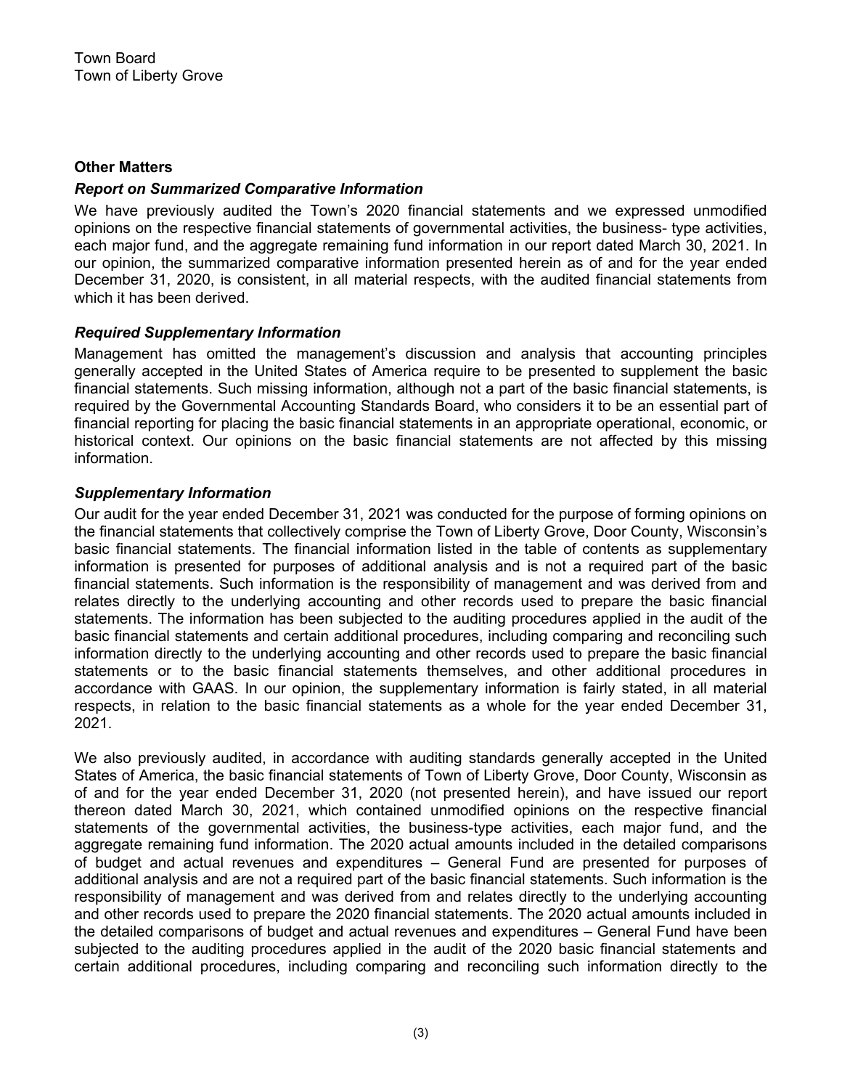### **Other Matters**

#### *Report on Summarized Comparative Information*

We have previously audited the Town's 2020 financial statements and we expressed unmodified opinions on the respective financial statements of governmental activities, the business- type activities, each major fund, and the aggregate remaining fund information in our report dated March 30, 2021. In our opinion, the summarized comparative information presented herein as of and for the year ended December 31, 2020, is consistent, in all material respects, with the audited financial statements from which it has been derived.

### *Required Supplementary Information*

Management has omitted the management's discussion and analysis that accounting principles generally accepted in the United States of America require to be presented to supplement the basic financial statements. Such missing information, although not a part of the basic financial statements, is required by the Governmental Accounting Standards Board, who considers it to be an essential part of financial reporting for placing the basic financial statements in an appropriate operational, economic, or historical context. Our opinions on the basic financial statements are not affected by this missing information.

#### *Supplementary Information*

Our audit for the year ended December 31, 2021 was conducted for the purpose of forming opinions on the financial statements that collectively comprise the Town of Liberty Grove, Door County, Wisconsin's basic financial statements. The financial information listed in the table of contents as supplementary information is presented for purposes of additional analysis and is not a required part of the basic financial statements. Such information is the responsibility of management and was derived from and relates directly to the underlying accounting and other records used to prepare the basic financial statements. The information has been subjected to the auditing procedures applied in the audit of the basic financial statements and certain additional procedures, including comparing and reconciling such information directly to the underlying accounting and other records used to prepare the basic financial statements or to the basic financial statements themselves, and other additional procedures in accordance with GAAS. In our opinion, the supplementary information is fairly stated, in all material respects, in relation to the basic financial statements as a whole for the year ended December 31, 2021.

We also previously audited, in accordance with auditing standards generally accepted in the United States of America, the basic financial statements of Town of Liberty Grove, Door County, Wisconsin as of and for the year ended December 31, 2020 (not presented herein), and have issued our report thereon dated March 30, 2021, which contained unmodified opinions on the respective financial statements of the governmental activities, the business-type activities, each major fund, and the aggregate remaining fund information. The 2020 actual amounts included in the detailed comparisons of budget and actual revenues and expenditures – General Fund are presented for purposes of additional analysis and are not a required part of the basic financial statements. Such information is the responsibility of management and was derived from and relates directly to the underlying accounting and other records used to prepare the 2020 financial statements. The 2020 actual amounts included in the detailed comparisons of budget and actual revenues and expenditures – General Fund have been subjected to the auditing procedures applied in the audit of the 2020 basic financial statements and certain additional procedures, including comparing and reconciling such information directly to the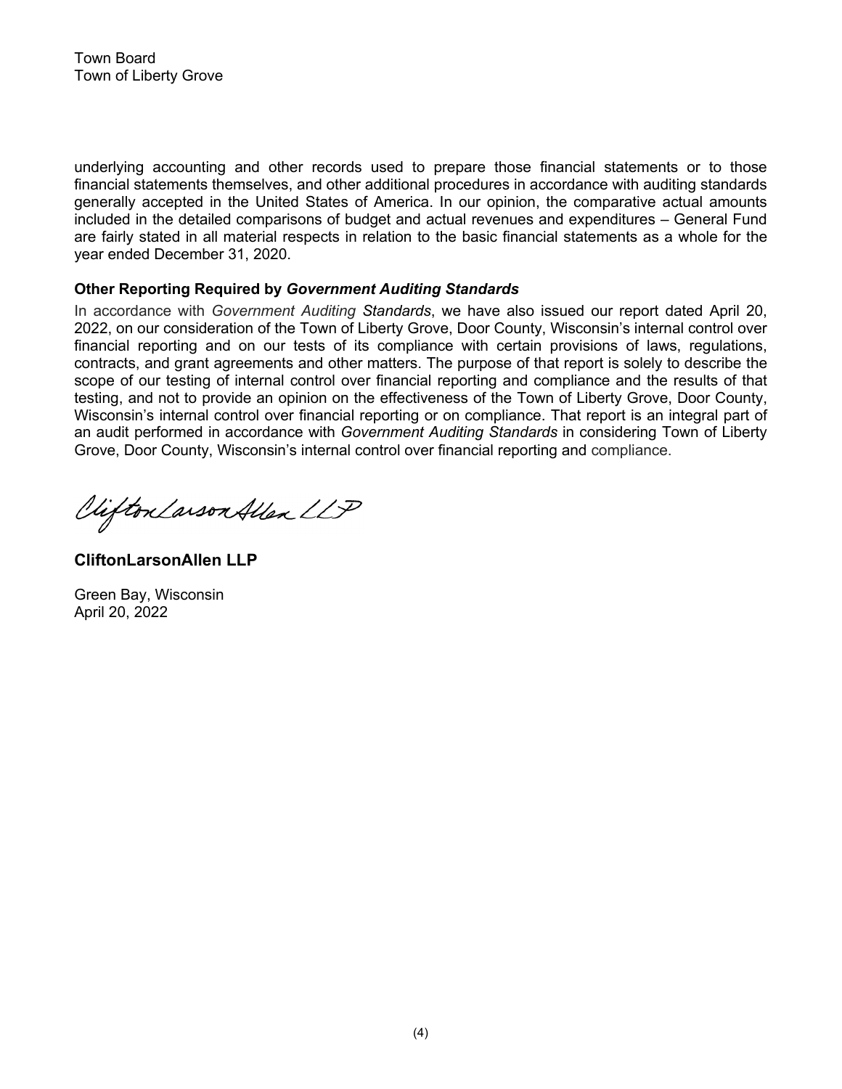underlying accounting and other records used to prepare those financial statements or to those financial statements themselves, and other additional procedures in accordance with auditing standards generally accepted in the United States of America. In our opinion, the comparative actual amounts included in the detailed comparisons of budget and actual revenues and expenditures – General Fund are fairly stated in all material respects in relation to the basic financial statements as a whole for the year ended December 31, 2020.

### **Other Reporting Required by** *Government Auditing Standards*

In accordance with *Government Auditing Standards*, we have also issued our report dated April 20, 2022, on our consideration of the Town of Liberty Grove, Door County, Wisconsin's internal control over financial reporting and on our tests of its compliance with certain provisions of laws, regulations, contracts, and grant agreements and other matters. The purpose of that report is solely to describe the scope of our testing of internal control over financial reporting and compliance and the results of that testing, and not to provide an opinion on the effectiveness of the Town of Liberty Grove, Door County, Wisconsin's internal control over financial reporting or on compliance. That report is an integral part of an audit performed in accordance with *Government Auditing Standards* in considering Town of Liberty Grove, Door County, Wisconsin's internal control over financial reporting and compliance.

Viifton Larson Allen LLP

**CliftonLarsonAllen LLP**

Green Bay, Wisconsin April 20, 2022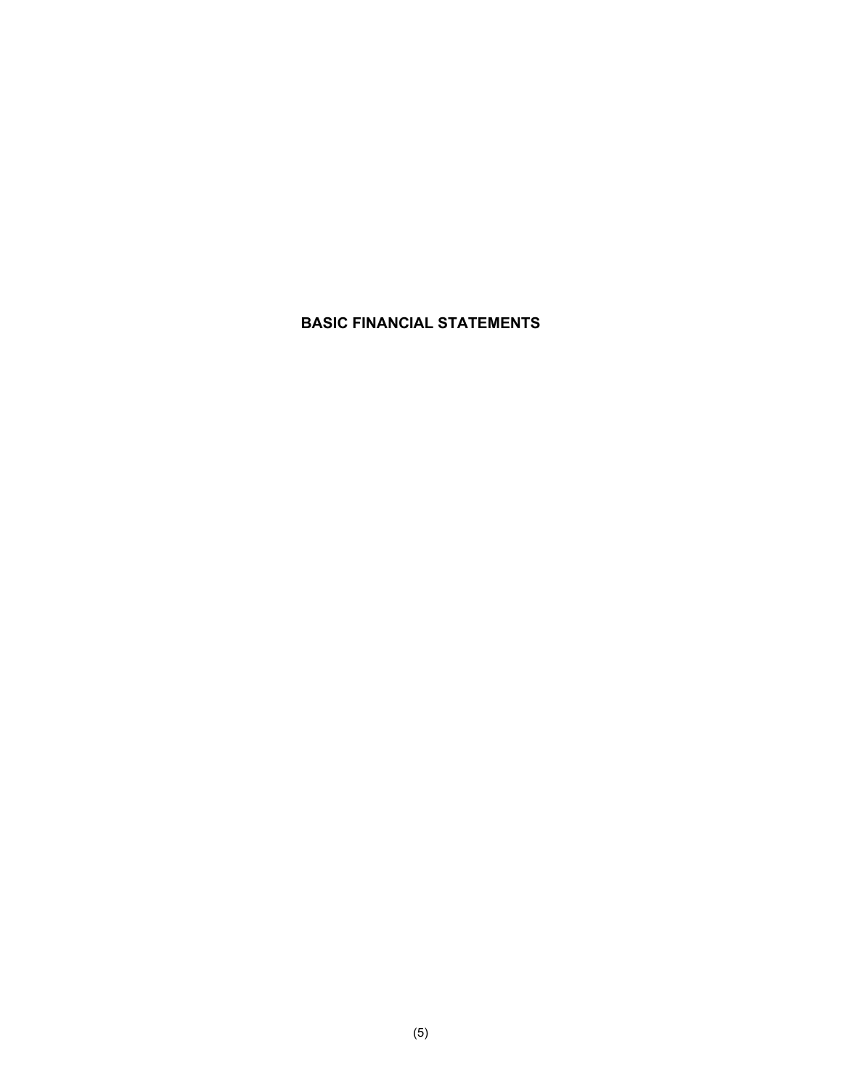# **BASIC FINANCIAL STATEMENTS**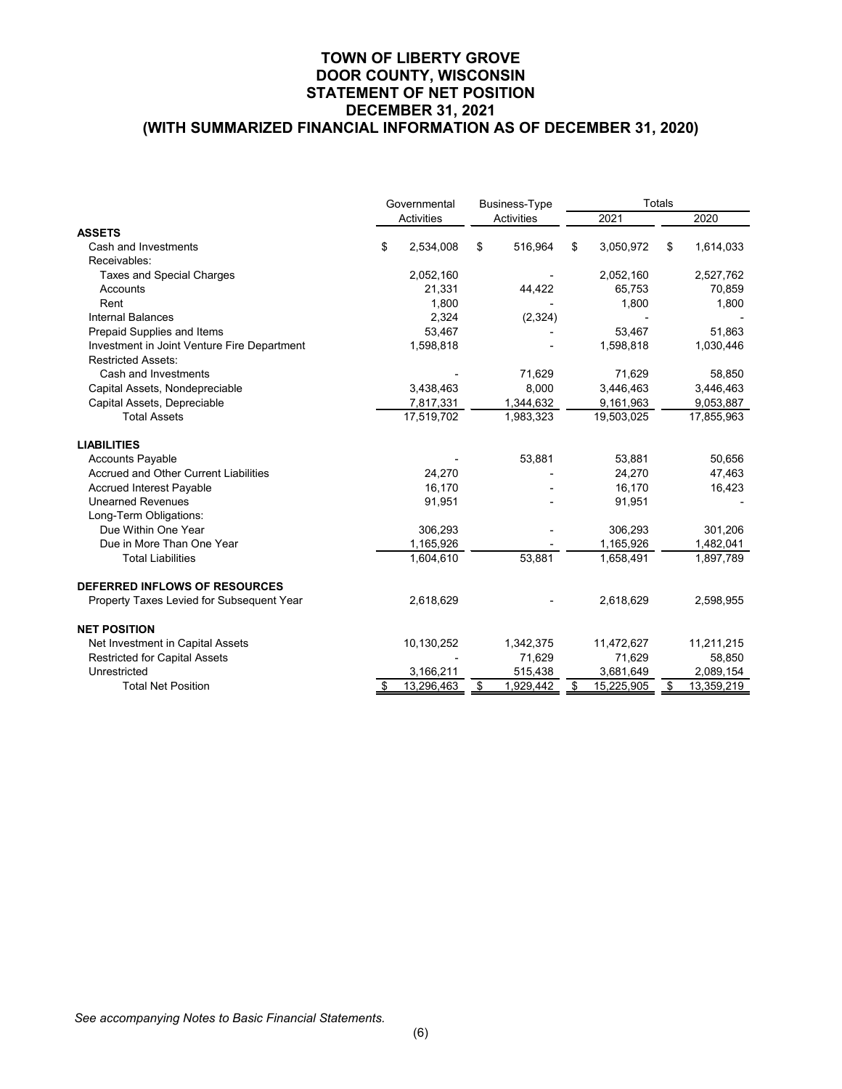#### **TOWN OF LIBERTY GROVE DOOR COUNTY, WISCONSIN STATEMENT OF NET POSITION DECEMBER 31, 2021 (WITH SUMMARIZED FINANCIAL INFORMATION AS OF DECEMBER 31, 2020)**

|                                              | Governmental     |    | Business-Type |    |            | <b>Totals</b> |            |  |
|----------------------------------------------|------------------|----|---------------|----|------------|---------------|------------|--|
|                                              | Activities       |    | Activities    |    | 2021       |               | 2020       |  |
| <b>ASSETS</b>                                |                  |    |               |    |            |               |            |  |
| Cash and Investments                         | \$<br>2,534,008  | \$ | 516,964       | \$ | 3,050,972  | \$            | 1,614,033  |  |
| Receivables:                                 |                  |    |               |    |            |               |            |  |
| <b>Taxes and Special Charges</b>             | 2,052,160        |    |               |    | 2,052,160  |               | 2,527,762  |  |
| Accounts                                     | 21,331           |    | 44,422        |    | 65,753     |               | 70,859     |  |
| Rent                                         | 1,800            |    |               |    | 1,800      |               | 1,800      |  |
| <b>Internal Balances</b>                     | 2,324            |    | (2, 324)      |    |            |               |            |  |
| Prepaid Supplies and Items                   | 53,467           |    |               |    | 53,467     |               | 51,863     |  |
| Investment in Joint Venture Fire Department  | 1,598,818        |    |               |    | 1,598,818  |               | 1,030,446  |  |
| <b>Restricted Assets:</b>                    |                  |    |               |    |            |               |            |  |
| Cash and Investments                         |                  |    | 71,629        |    | 71,629     |               | 58,850     |  |
| Capital Assets, Nondepreciable               | 3,438,463        |    | 8,000         |    | 3,446,463  |               | 3,446,463  |  |
| Capital Assets, Depreciable                  | 7,817,331        |    | 1,344,632     |    | 9,161,963  |               | 9,053,887  |  |
| <b>Total Assets</b>                          | 17,519,702       |    | 1,983,323     |    | 19,503,025 |               | 17,855,963 |  |
| <b>LIABILITIES</b>                           |                  |    |               |    |            |               |            |  |
| <b>Accounts Payable</b>                      |                  |    | 53,881        |    | 53,881     |               | 50,656     |  |
| <b>Accrued and Other Current Liabilities</b> | 24,270           |    |               |    | 24,270     |               | 47,463     |  |
| <b>Accrued Interest Payable</b>              | 16,170           |    |               |    | 16,170     |               | 16,423     |  |
| <b>Unearned Revenues</b>                     | 91,951           |    |               |    | 91,951     |               |            |  |
| Long-Term Obligations:                       |                  |    |               |    |            |               |            |  |
| Due Within One Year                          | 306,293          |    |               |    | 306,293    |               | 301,206    |  |
| Due in More Than One Year                    | 1,165,926        |    |               |    | 1,165,926  |               | 1,482,041  |  |
| <b>Total Liabilities</b>                     | 1,604,610        |    | 53,881        |    | 1,658,491  |               | 1,897,789  |  |
| DEFERRED INFLOWS OF RESOURCES                |                  |    |               |    |            |               |            |  |
| Property Taxes Levied for Subsequent Year    | 2,618,629        |    |               |    | 2,618,629  |               | 2,598,955  |  |
| <b>NET POSITION</b>                          |                  |    |               |    |            |               |            |  |
| Net Investment in Capital Assets             | 10,130,252       |    | 1,342,375     |    | 11,472,627 |               | 11,211,215 |  |
| <b>Restricted for Capital Assets</b>         |                  |    | 71,629        |    | 71,629     |               | 58,850     |  |
| Unrestricted                                 | 3,166,211        |    | 515,438       |    | 3,681,649  |               | 2,089,154  |  |
| <b>Total Net Position</b>                    | \$<br>13,296,463 | \$ | 1,929,442     | \$ | 15,225,905 | \$            | 13,359,219 |  |

*See accompanying Notes to Basic Financial Statements.*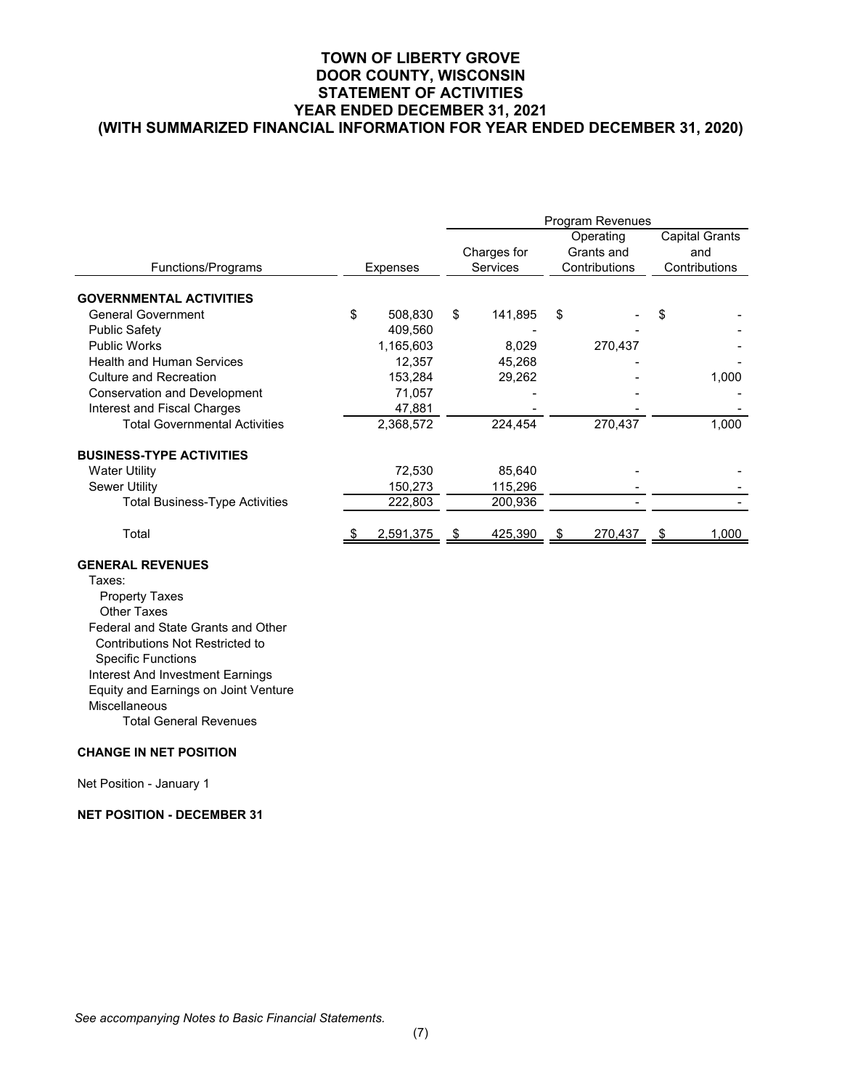### **TOWN OF LIBERTY GROVE DOOR COUNTY, WISCONSIN STATEMENT OF ACTIVITIES YEAR ENDED DECEMBER 31, 2021 (WITH SUMMARIZED FINANCIAL INFORMATION FOR YEAR ENDED DECEMBER 31, 2020)**

|                                       |                  | Program Revenues |             |    |               |   |                       |
|---------------------------------------|------------------|------------------|-------------|----|---------------|---|-----------------------|
|                                       |                  |                  |             |    | Operating     |   | <b>Capital Grants</b> |
|                                       |                  |                  | Charges for |    | Grants and    |   | and                   |
| Functions/Programs                    | <b>Expenses</b>  |                  | Services    |    | Contributions |   | Contributions         |
| <b>GOVERNMENTAL ACTIVITIES</b>        |                  |                  |             |    |               |   |                       |
| <b>General Government</b>             | \$<br>508,830    | \$               | 141,895     | \$ |               | S |                       |
| <b>Public Safety</b>                  | 409,560          |                  |             |    |               |   |                       |
| <b>Public Works</b>                   | 1,165,603        |                  | 8,029       |    | 270,437       |   |                       |
| <b>Health and Human Services</b>      | 12,357           |                  | 45,268      |    |               |   |                       |
| Culture and Recreation                | 153,284          |                  | 29,262      |    |               |   | 1,000                 |
| <b>Conservation and Development</b>   | 71,057           |                  |             |    |               |   |                       |
| Interest and Fiscal Charges           | 47,881           |                  |             |    |               |   |                       |
| <b>Total Governmental Activities</b>  | 2,368,572        |                  | 224,454     |    | 270,437       |   | 1,000                 |
| <b>BUSINESS-TYPE ACTIVITIES</b>       |                  |                  |             |    |               |   |                       |
| <b>Water Utility</b>                  | 72,530           |                  | 85,640      |    |               |   |                       |
| <b>Sewer Utility</b>                  | 150,273          |                  | 115,296     |    |               |   |                       |
| <b>Total Business-Type Activities</b> | 222,803          |                  | 200,936     |    |               |   |                       |
| Total                                 | <u>2,591,375</u> | - 35             | 425,390     |    | 270,437       |   | 1,000                 |

#### **GENERAL REVENUES**

Taxes: Property Taxes Other Taxes Federal and State Grants and Other Contributions Not Restricted to Specific Functions Interest And Investment Earnings Equity and Earnings on Joint Venture Miscellaneous Total General Revenues

#### **CHANGE IN NET POSITION**

Net Position - January 1

#### **NET POSITION - DECEMBER 31**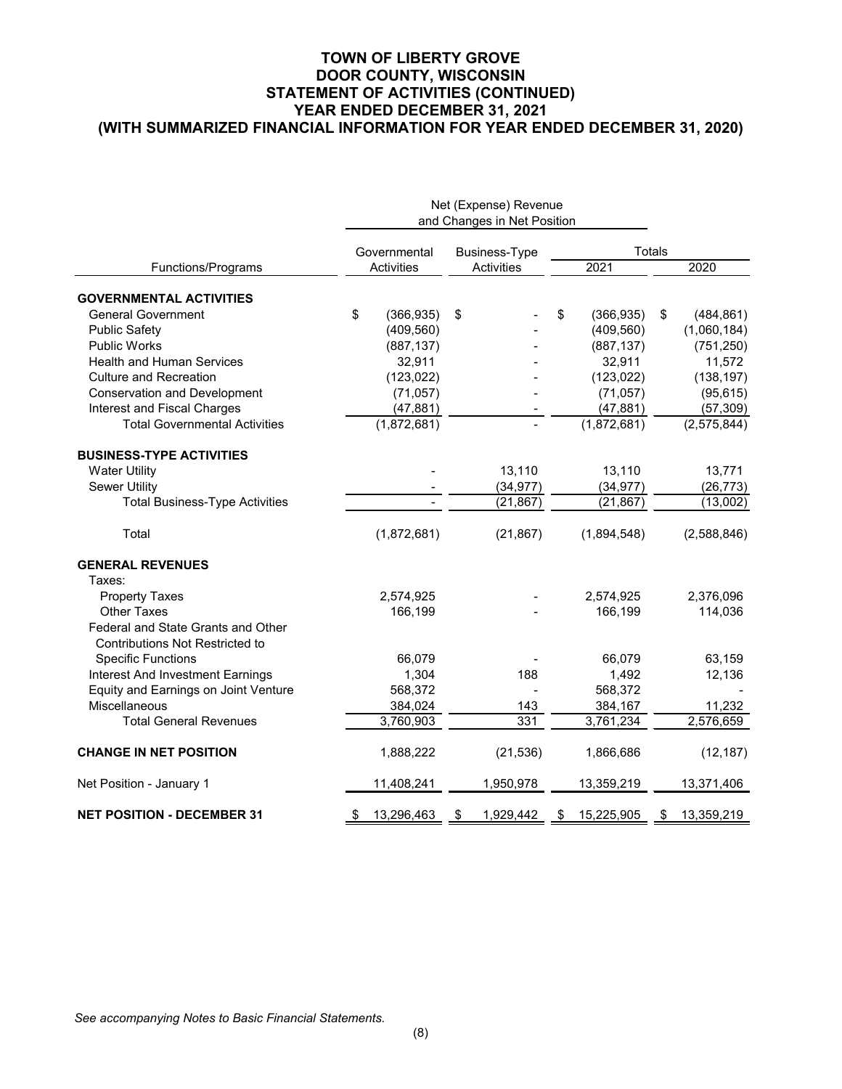#### **TOWN OF LIBERTY GROVE DOOR COUNTY, WISCONSIN STATEMENT OF ACTIVITIES (CONTINUED) YEAR ENDED DECEMBER 31, 2021 (WITH SUMMARIZED FINANCIAL INFORMATION FOR YEAR ENDED DECEMBER 31, 2020)**

|                                                                     | Net (Expense) Revenue<br>and Changes in Net Position |                      |                          |                  |
|---------------------------------------------------------------------|------------------------------------------------------|----------------------|--------------------------|------------------|
|                                                                     | Governmental                                         | <b>Business-Type</b> |                          | <b>Totals</b>    |
| Functions/Programs                                                  | Activities                                           | Activities           | 2021                     | 2020             |
| <b>GOVERNMENTAL ACTIVITIES</b>                                      |                                                      |                      |                          |                  |
| <b>General Government</b>                                           | \$                                                   |                      | \$                       |                  |
| <b>Public Safety</b>                                                | (366, 935)<br>(409, 560)                             | \$                   | (366, 935)<br>(409, 560) | (484, 861)<br>\$ |
| <b>Public Works</b>                                                 | (887, 137)                                           |                      | (887, 137)               | (1,060,184)      |
| <b>Health and Human Services</b>                                    |                                                      |                      |                          | (751, 250)       |
| <b>Culture and Recreation</b>                                       | 32,911                                               |                      | 32,911                   | 11,572           |
|                                                                     | (123, 022)                                           |                      | (123, 022)               | (138, 197)       |
| <b>Conservation and Development</b>                                 | (71, 057)                                            |                      | (71, 057)                | (95, 615)        |
| Interest and Fiscal Charges<br><b>Total Governmental Activities</b> | (47, 881)                                            |                      | (47, 881)                | (57, 309)        |
|                                                                     | (1,872,681)                                          |                      | (1,872,681)              | (2,575,844)      |
| <b>BUSINESS-TYPE ACTIVITIES</b>                                     |                                                      |                      |                          |                  |
| <b>Water Utility</b>                                                |                                                      | 13,110               | 13,110                   | 13,771           |
| <b>Sewer Utility</b>                                                |                                                      | (34, 977)            | (34, 977)                | (26, 773)        |
| <b>Total Business-Type Activities</b>                               | $\blacksquare$                                       | (21, 867)            | (21, 867)                | (13,002)         |
| Total                                                               | (1,872,681)                                          | (21, 867)            | (1,894,548)              | (2,588,846)      |
| <b>GENERAL REVENUES</b>                                             |                                                      |                      |                          |                  |
| Taxes:                                                              |                                                      |                      |                          |                  |
| <b>Property Taxes</b>                                               | 2,574,925                                            |                      | 2,574,925                | 2,376,096        |
| <b>Other Taxes</b>                                                  | 166,199                                              |                      | 166,199                  | 114,036          |
| Federal and State Grants and Other                                  |                                                      |                      |                          |                  |
| <b>Contributions Not Restricted to</b>                              |                                                      |                      |                          |                  |
| <b>Specific Functions</b>                                           | 66,079                                               |                      | 66,079                   | 63,159           |
| Interest And Investment Earnings                                    | 1,304                                                | 188                  | 1,492                    | 12,136           |
| Equity and Earnings on Joint Venture                                | 568,372                                              |                      | 568,372                  |                  |
| Miscellaneous                                                       | 384,024                                              | 143                  | 384,167                  | 11,232           |
| <b>Total General Revenues</b>                                       | 3,760,903                                            | 331                  | 3,761,234                | 2,576,659        |
| <b>CHANGE IN NET POSITION</b>                                       | 1,888,222                                            | (21, 536)            | 1,866,686                | (12, 187)        |
| Net Position - January 1                                            | 11,408,241                                           | 1,950,978            | 13,359,219               | 13,371,406       |
| <b>NET POSITION - DECEMBER 31</b>                                   | 13,296,463<br>\$                                     | 1,929,442<br>\$      | 15,225,905<br>S          | 13,359,219<br>S  |

*See accompanying Notes to Basic Financial Statements.*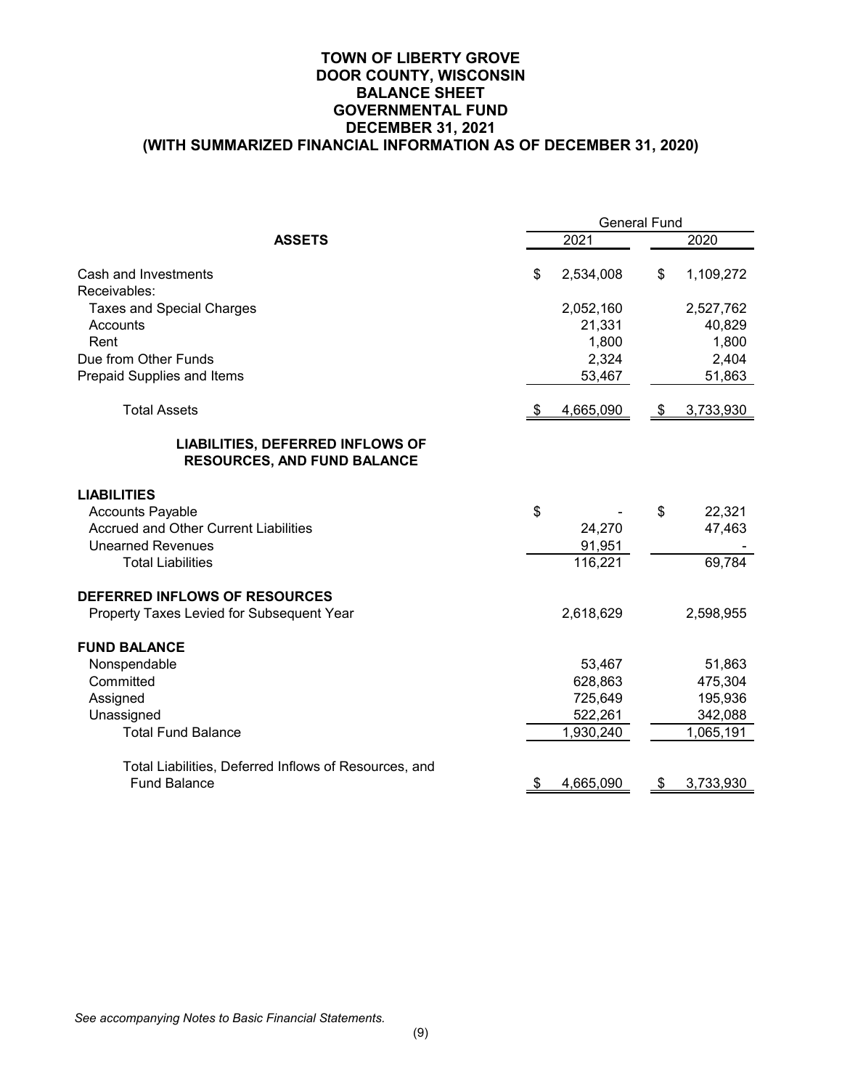### **TOWN OF LIBERTY GROVE DOOR COUNTY, WISCONSIN BALANCE SHEET GOVERNMENTAL FUND DECEMBER 31, 2021 (WITH SUMMARIZED FINANCIAL INFORMATION AS OF DECEMBER 31, 2020)**

|                                                                               | <b>General Fund</b> |           |      |           |  |
|-------------------------------------------------------------------------------|---------------------|-----------|------|-----------|--|
| <b>ASSETS</b>                                                                 |                     | 2021      |      | 2020      |  |
| Cash and Investments<br>Receivables:                                          | \$                  | 2,534,008 | \$   | 1,109,272 |  |
| <b>Taxes and Special Charges</b>                                              |                     | 2,052,160 |      | 2,527,762 |  |
| Accounts                                                                      |                     | 21,331    |      | 40,829    |  |
| Rent                                                                          |                     | 1,800     |      | 1,800     |  |
| Due from Other Funds                                                          |                     | 2,324     |      | 2,404     |  |
| Prepaid Supplies and Items                                                    |                     | 53,467    |      | 51,863    |  |
| <b>Total Assets</b>                                                           |                     | 4,665,090 | - \$ | 3,733,930 |  |
| <b>LIABILITIES, DEFERRED INFLOWS OF</b><br><b>RESOURCES, AND FUND BALANCE</b> |                     |           |      |           |  |
| <b>LIABILITIES</b>                                                            |                     |           |      |           |  |
| <b>Accounts Payable</b>                                                       | \$                  |           | \$   | 22,321    |  |
| <b>Accrued and Other Current Liabilities</b>                                  |                     | 24,270    |      | 47,463    |  |
| <b>Unearned Revenues</b>                                                      |                     | 91,951    |      |           |  |
| <b>Total Liabilities</b>                                                      |                     | 116,221   |      | 69,784    |  |
| DEFERRED INFLOWS OF RESOURCES                                                 |                     |           |      |           |  |
| Property Taxes Levied for Subsequent Year                                     |                     | 2,618,629 |      | 2,598,955 |  |
| <b>FUND BALANCE</b>                                                           |                     |           |      |           |  |
| Nonspendable                                                                  |                     | 53,467    |      | 51,863    |  |
| Committed                                                                     |                     | 628,863   |      | 475,304   |  |
| Assigned                                                                      |                     | 725,649   |      | 195,936   |  |
| Unassigned                                                                    |                     | 522,261   |      | 342,088   |  |
| <b>Total Fund Balance</b>                                                     |                     | 1,930,240 |      | 1,065,191 |  |
| Total Liabilities, Deferred Inflows of Resources, and                         |                     |           |      |           |  |
| <b>Fund Balance</b>                                                           |                     | 4,665,090 | \$   | 3,733,930 |  |

*See accompanying Notes to Basic Financial Statements.*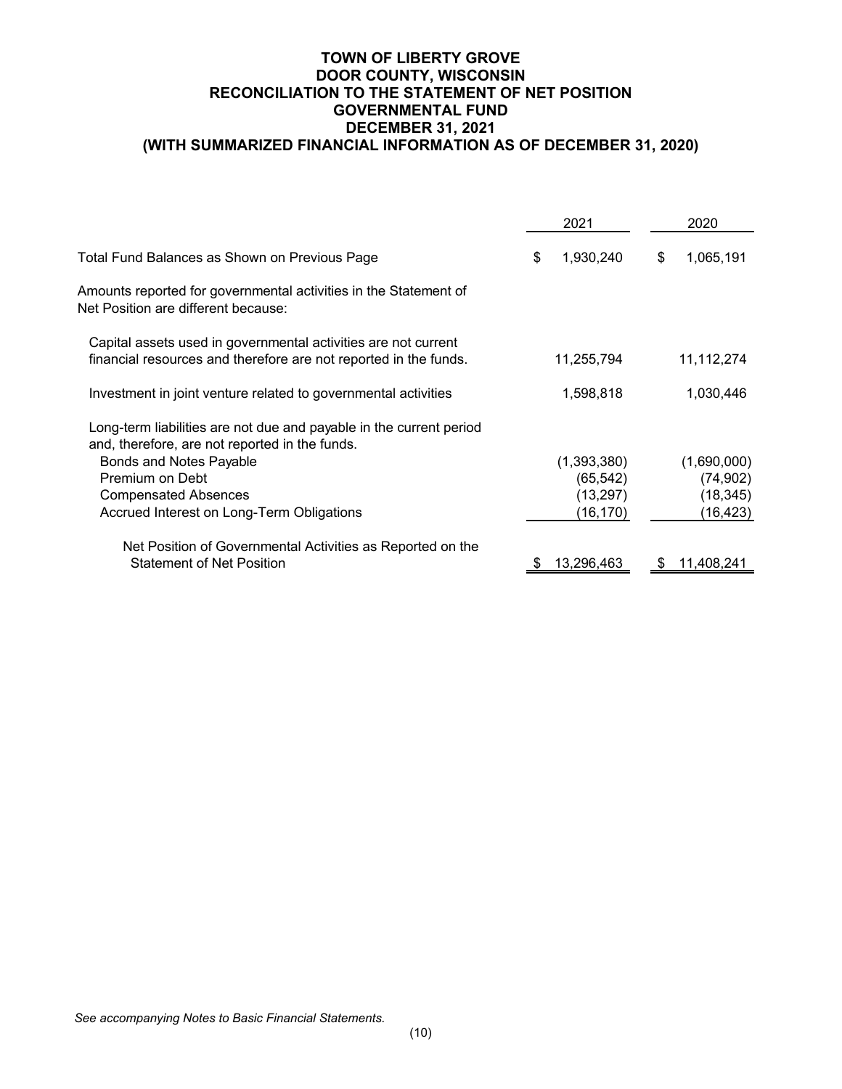#### **TOWN OF LIBERTY GROVE DOOR COUNTY, WISCONSIN RECONCILIATION TO THE STATEMENT OF NET POSITION GOVERNMENTAL FUND DECEMBER 31, 2021 (WITH SUMMARIZED FINANCIAL INFORMATION AS OF DECEMBER 31, 2020)**

|                                                                                                                                    | 2021                                  | 2020            |
|------------------------------------------------------------------------------------------------------------------------------------|---------------------------------------|-----------------|
| Total Fund Balances as Shown on Previous Page                                                                                      | \$<br>1,930,240                       | \$<br>1,065,191 |
| Amounts reported for governmental activities in the Statement of<br>Net Position are different because:                            |                                       |                 |
| Capital assets used in governmental activities are not current<br>financial resources and therefore are not reported in the funds. | 11,255,794                            | 11,112,274      |
| Investment in joint venture related to governmental activities                                                                     | 1,598,818                             | 1,030,446       |
| Long-term liabilities are not due and payable in the current period<br>and, therefore, are not reported in the funds.              |                                       |                 |
|                                                                                                                                    |                                       |                 |
| Premium on Debt                                                                                                                    |                                       | (74, 902)       |
|                                                                                                                                    |                                       | (18, 345)       |
| Accrued Interest on Long-Term Obligations                                                                                          | (16,170)                              | (16, 423)       |
| Net Position of Governmental Activities as Reported on the                                                                         |                                       |                 |
| <b>Statement of Net Position</b>                                                                                                   | 13.296.463                            | 11,408,241      |
| Bonds and Notes Payable<br><b>Compensated Absences</b>                                                                             | (1,393,380)<br>(65, 542)<br>(13, 297) | (1,690,000)     |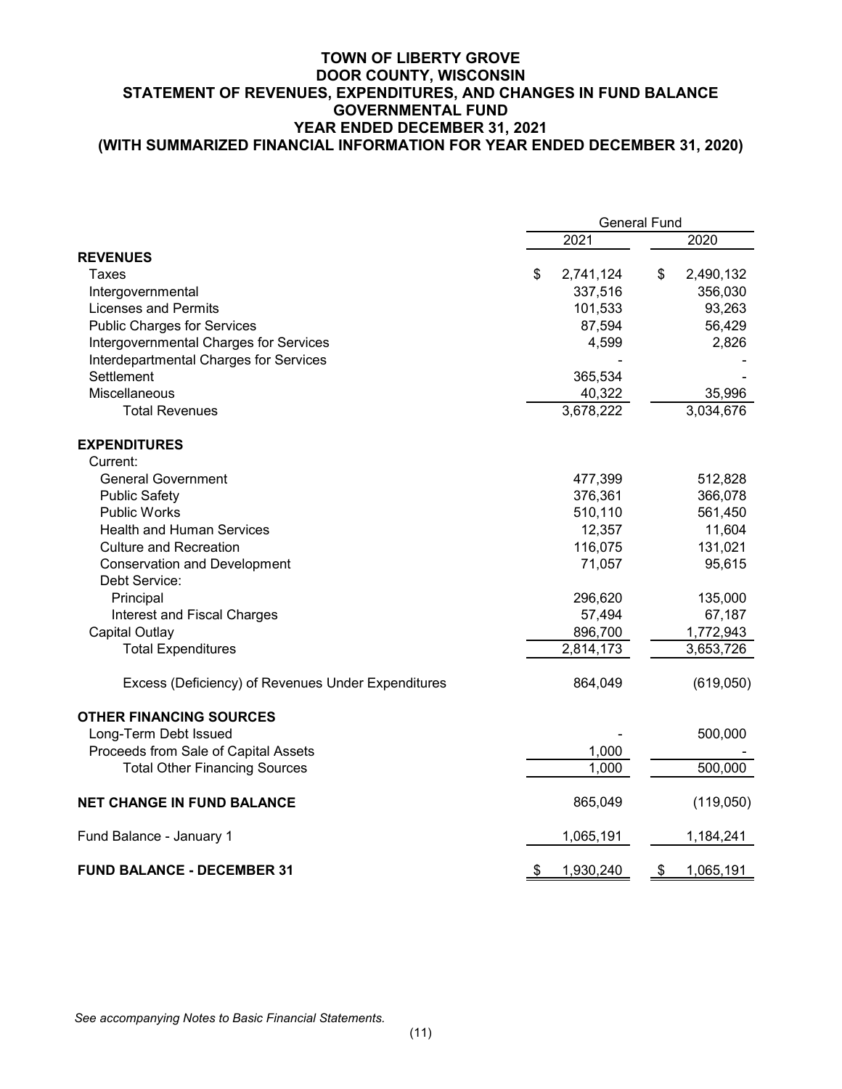#### **TOWN OF LIBERTY GROVE DOOR COUNTY, WISCONSIN STATEMENT OF REVENUES, EXPENDITURES, AND CHANGES IN FUND BALANCE GOVERNMENTAL FUND YEAR ENDED DECEMBER 31, 2021 (WITH SUMMARIZED FINANCIAL INFORMATION FOR YEAR ENDED DECEMBER 31, 2020)**

|                                                    | <b>General Fund</b> |           |    |           |  |  |
|----------------------------------------------------|---------------------|-----------|----|-----------|--|--|
|                                                    |                     | 2021      |    | 2020      |  |  |
| <b>REVENUES</b>                                    |                     |           |    |           |  |  |
| <b>Taxes</b>                                       | \$                  | 2,741,124 | \$ | 2,490,132 |  |  |
| Intergovernmental                                  |                     | 337,516   |    | 356,030   |  |  |
| <b>Licenses and Permits</b>                        |                     | 101,533   |    | 93,263    |  |  |
| <b>Public Charges for Services</b>                 |                     | 87,594    |    | 56,429    |  |  |
| Intergovernmental Charges for Services             |                     | 4,599     |    | 2,826     |  |  |
| Interdepartmental Charges for Services             |                     |           |    |           |  |  |
| Settlement                                         |                     | 365,534   |    |           |  |  |
| Miscellaneous                                      |                     | 40,322    |    | 35,996    |  |  |
| <b>Total Revenues</b>                              |                     | 3,678,222 |    | 3,034,676 |  |  |
| <b>EXPENDITURES</b>                                |                     |           |    |           |  |  |
| Current:                                           |                     |           |    |           |  |  |
| <b>General Government</b>                          |                     | 477,399   |    | 512,828   |  |  |
| <b>Public Safety</b>                               |                     | 376,361   |    | 366,078   |  |  |
| <b>Public Works</b>                                |                     | 510,110   |    | 561,450   |  |  |
| <b>Health and Human Services</b>                   |                     | 12,357    |    | 11,604    |  |  |
| <b>Culture and Recreation</b>                      |                     | 116,075   |    | 131,021   |  |  |
| <b>Conservation and Development</b>                |                     | 71,057    |    | 95,615    |  |  |
| Debt Service:                                      |                     |           |    |           |  |  |
| Principal                                          |                     | 296,620   |    | 135,000   |  |  |
| Interest and Fiscal Charges                        |                     | 57,494    |    | 67,187    |  |  |
| <b>Capital Outlay</b>                              |                     | 896,700   |    | 1,772,943 |  |  |
| <b>Total Expenditures</b>                          |                     | 2,814,173 |    | 3,653,726 |  |  |
| Excess (Deficiency) of Revenues Under Expenditures |                     | 864,049   |    | (619,050) |  |  |
| <b>OTHER FINANCING SOURCES</b>                     |                     |           |    |           |  |  |
| Long-Term Debt Issued                              |                     |           |    | 500,000   |  |  |
| Proceeds from Sale of Capital Assets               |                     | 1,000     |    |           |  |  |
| <b>Total Other Financing Sources</b>               |                     | 1,000     |    | 500,000   |  |  |
| <b>NET CHANGE IN FUND BALANCE</b>                  |                     | 865,049   |    | (119,050) |  |  |
| Fund Balance - January 1                           |                     | 1,065,191 |    | 1,184,241 |  |  |
| <b>FUND BALANCE - DECEMBER 31</b>                  | $\frac{1}{2}$       | 1,930,240 | \$ | 1,065,191 |  |  |

*See accompanying Notes to Basic Financial Statements.*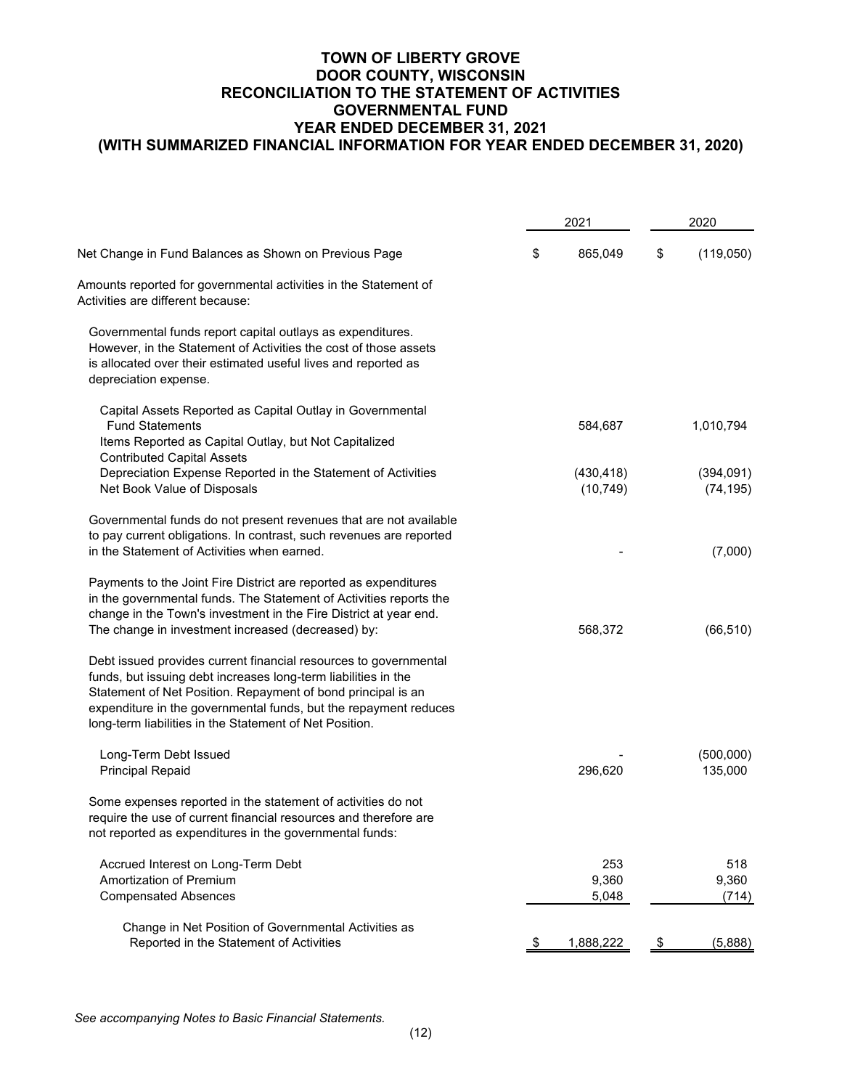#### **TOWN OF LIBERTY GROVE DOOR COUNTY, WISCONSIN RECONCILIATION TO THE STATEMENT OF ACTIVITIES GOVERNMENTAL FUND YEAR ENDED DECEMBER 31, 2021 (WITH SUMMARIZED FINANCIAL INFORMATION FOR YEAR ENDED DECEMBER 31, 2020)**

|                                                                                                                                                                                                                                                                                                                                   | 2021                    | 2020          |                         |  |
|-----------------------------------------------------------------------------------------------------------------------------------------------------------------------------------------------------------------------------------------------------------------------------------------------------------------------------------|-------------------------|---------------|-------------------------|--|
| Net Change in Fund Balances as Shown on Previous Page                                                                                                                                                                                                                                                                             | \$<br>865,049           | \$            | (119,050)               |  |
| Amounts reported for governmental activities in the Statement of<br>Activities are different because:                                                                                                                                                                                                                             |                         |               |                         |  |
| Governmental funds report capital outlays as expenditures.<br>However, in the Statement of Activities the cost of those assets<br>is allocated over their estimated useful lives and reported as<br>depreciation expense.                                                                                                         |                         |               |                         |  |
| Capital Assets Reported as Capital Outlay in Governmental<br><b>Fund Statements</b><br>Items Reported as Capital Outlay, but Not Capitalized<br><b>Contributed Capital Assets</b>                                                                                                                                                 | 584,687                 |               | 1,010,794               |  |
| Depreciation Expense Reported in the Statement of Activities<br>Net Book Value of Disposals                                                                                                                                                                                                                                       | (430, 418)<br>(10, 749) |               | (394, 091)<br>(74, 195) |  |
| Governmental funds do not present revenues that are not available<br>to pay current obligations. In contrast, such revenues are reported<br>in the Statement of Activities when earned.                                                                                                                                           |                         |               | (7,000)                 |  |
| Payments to the Joint Fire District are reported as expenditures<br>in the governmental funds. The Statement of Activities reports the<br>change in the Town's investment in the Fire District at year end.<br>The change in investment increased (decreased) by:                                                                 | 568,372                 |               | (66, 510)               |  |
| Debt issued provides current financial resources to governmental<br>funds, but issuing debt increases long-term liabilities in the<br>Statement of Net Position. Repayment of bond principal is an<br>expenditure in the governmental funds, but the repayment reduces<br>long-term liabilities in the Statement of Net Position. |                         |               |                         |  |
| Long-Term Debt Issued<br><b>Principal Repaid</b>                                                                                                                                                                                                                                                                                  | 296,620                 |               | (500,000)<br>135,000    |  |
| Some expenses reported in the statement of activities do not<br>require the use of current financial resources and therefore are<br>not reported as expenditures in the governmental funds:                                                                                                                                       |                         |               |                         |  |
| Accrued Interest on Long-Term Debt<br>Amortization of Premium<br><b>Compensated Absences</b>                                                                                                                                                                                                                                      | 253<br>9,360<br>5,048   |               | 518<br>9,360<br>(714)   |  |
| Change in Net Position of Governmental Activities as<br>Reported in the Statement of Activities                                                                                                                                                                                                                                   | \$<br>1,888,222         | $\frac{1}{2}$ | (5,888)                 |  |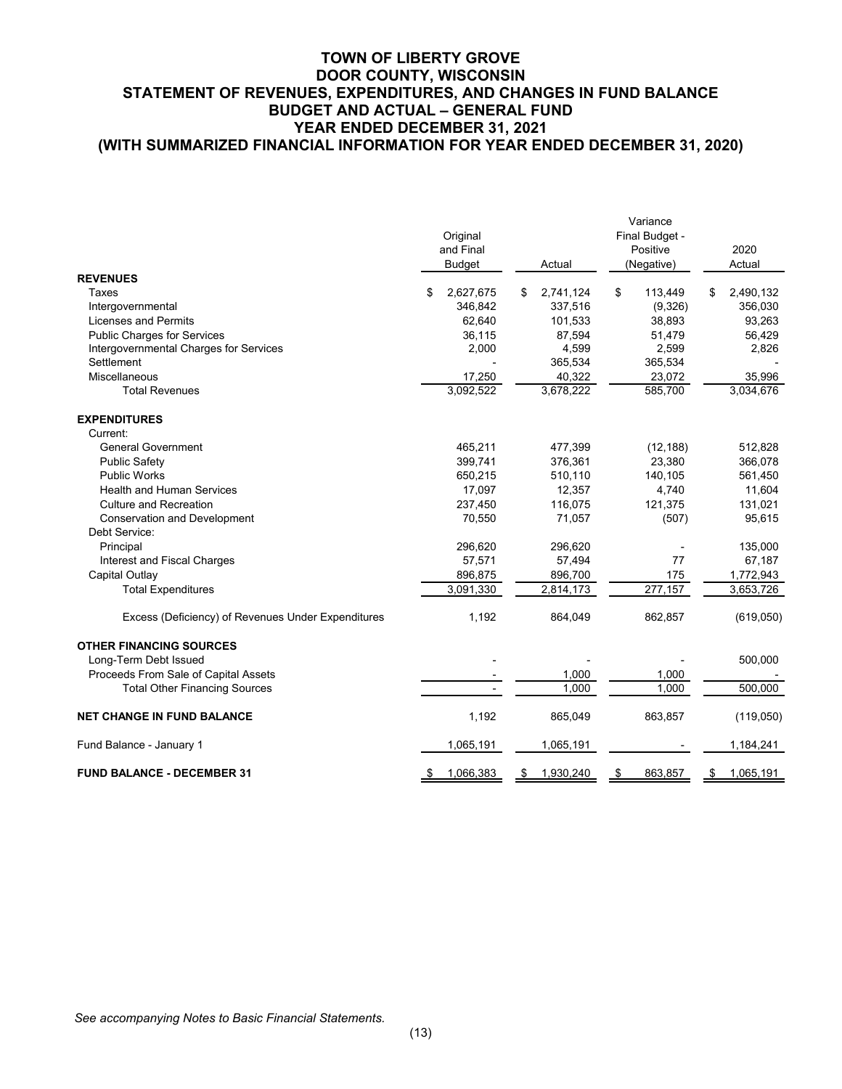#### **TOWN OF LIBERTY GROVE DOOR COUNTY, WISCONSIN STATEMENT OF REVENUES, EXPENDITURES, AND CHANGES IN FUND BALANCE BUDGET AND ACTUAL – GENERAL FUND YEAR ENDED DECEMBER 31, 2021 (WITH SUMMARIZED FINANCIAL INFORMATION FOR YEAR ENDED DECEMBER 31, 2020)**

|                                                    | Original<br>and Final<br><b>Budget</b> |    | Actual    |    | Variance<br>Final Budget -<br>Positive<br>(Negative) | 2020<br>Actual  |
|----------------------------------------------------|----------------------------------------|----|-----------|----|------------------------------------------------------|-----------------|
| <b>REVENUES</b>                                    |                                        |    |           |    |                                                      |                 |
| Taxes                                              | \$<br>2,627,675                        | \$ | 2,741,124 | \$ | 113,449                                              | \$<br>2,490,132 |
| Intergovernmental                                  | 346,842                                |    | 337,516   |    | (9,326)                                              | 356,030         |
| <b>Licenses and Permits</b>                        | 62,640                                 |    | 101,533   |    | 38,893                                               | 93,263          |
| <b>Public Charges for Services</b>                 | 36,115                                 |    | 87,594    |    | 51,479                                               | 56,429          |
| Intergovernmental Charges for Services             | 2,000                                  |    | 4,599     |    | 2,599                                                | 2,826           |
| Settlement                                         |                                        |    | 365,534   |    | 365,534                                              |                 |
| Miscellaneous                                      | 17,250                                 |    | 40,322    |    | 23,072                                               | 35.996          |
| <b>Total Revenues</b>                              | 3,092,522                              |    | 3,678,222 |    | 585,700                                              | 3,034,676       |
| <b>EXPENDITURES</b>                                |                                        |    |           |    |                                                      |                 |
| Current:                                           |                                        |    |           |    |                                                      |                 |
| <b>General Government</b>                          | 465,211                                |    | 477,399   |    | (12, 188)                                            | 512,828         |
| <b>Public Safety</b>                               | 399,741                                |    | 376,361   |    | 23,380                                               | 366,078         |
| <b>Public Works</b>                                | 650,215                                |    | 510,110   |    | 140,105                                              | 561,450         |
| <b>Health and Human Services</b>                   | 17,097                                 |    | 12,357    |    | 4.740                                                | 11,604          |
| <b>Culture and Recreation</b>                      | 237,450                                |    | 116,075   |    | 121,375                                              | 131,021         |
| <b>Conservation and Development</b>                | 70,550                                 |    | 71,057    |    | (507)                                                | 95,615          |
| Debt Service:                                      |                                        |    |           |    |                                                      |                 |
| Principal                                          | 296,620                                |    | 296,620   |    |                                                      | 135,000         |
| Interest and Fiscal Charges                        | 57,571                                 |    | 57,494    |    | 77                                                   | 67,187          |
| Capital Outlay                                     | 896,875                                |    | 896,700   |    | 175                                                  | 1,772,943       |
| <b>Total Expenditures</b>                          | 3,091,330                              |    | 2,814,173 |    | 277,157                                              | 3,653,726       |
| Excess (Deficiency) of Revenues Under Expenditures | 1,192                                  |    | 864,049   |    | 862,857                                              | (619,050)       |
| <b>OTHER FINANCING SOURCES</b>                     |                                        |    |           |    |                                                      |                 |
| Long-Term Debt Issued                              |                                        |    |           |    |                                                      | 500,000         |
| Proceeds From Sale of Capital Assets               |                                        |    | 1,000     |    | 1,000                                                |                 |
| <b>Total Other Financing Sources</b>               |                                        |    | 1.000     |    | 1.000                                                | 500.000         |
| <b>NET CHANGE IN FUND BALANCE</b>                  | 1,192                                  |    | 865,049   |    | 863,857                                              | (119,050)       |
| Fund Balance - January 1                           | 1,065,191                              |    | 1,065,191 |    |                                                      | 1,184,241       |
| <b>FUND BALANCE - DECEMBER 31</b>                  | \$<br>1,066,383                        | S  | 1,930,240 | S  | 863,857                                              | \$<br>1,065,191 |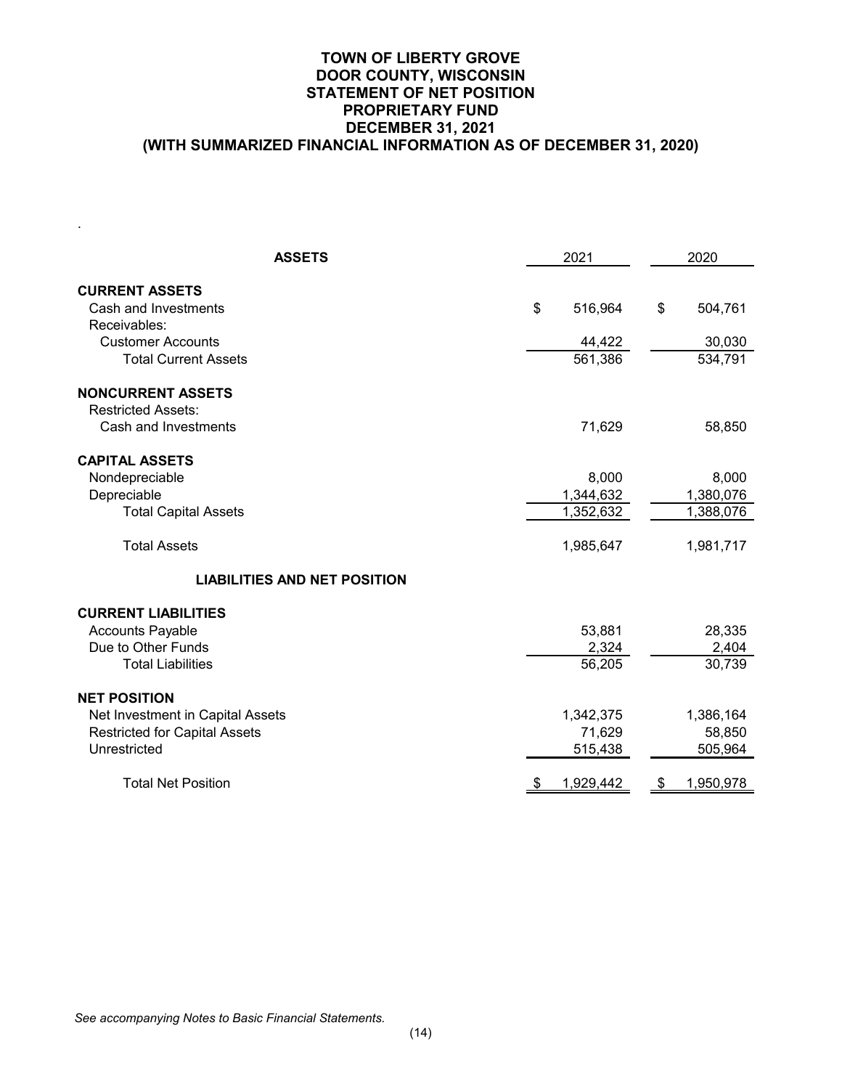#### **TOWN OF LIBERTY GROVE DOOR COUNTY, WISCONSIN STATEMENT OF NET POSITION PROPRIETARY FUND DECEMBER 31, 2021 (WITH SUMMARIZED FINANCIAL INFORMATION AS OF DECEMBER 31, 2020)**

| <b>ASSETS</b>                        | 2021 |           |    | 2020      |  |
|--------------------------------------|------|-----------|----|-----------|--|
| <b>CURRENT ASSETS</b>                |      |           |    |           |  |
| Cash and Investments                 | \$   | 516,964   | \$ | 504,761   |  |
| Receivables:                         |      |           |    |           |  |
| <b>Customer Accounts</b>             |      | 44,422    |    | 30,030    |  |
| <b>Total Current Assets</b>          |      | 561,386   |    | 534,791   |  |
| <b>NONCURRENT ASSETS</b>             |      |           |    |           |  |
| <b>Restricted Assets:</b>            |      |           |    |           |  |
| Cash and Investments                 |      | 71,629    |    | 58,850    |  |
| <b>CAPITAL ASSETS</b>                |      |           |    |           |  |
| Nondepreciable                       |      | 8,000     |    | 8,000     |  |
| Depreciable                          |      | 1,344,632 |    | 1,380,076 |  |
| <b>Total Capital Assets</b>          |      | 1,352,632 |    | 1,388,076 |  |
|                                      |      |           |    |           |  |
| <b>Total Assets</b>                  |      | 1,985,647 |    | 1,981,717 |  |
| <b>LIABILITIES AND NET POSITION</b>  |      |           |    |           |  |
| <b>CURRENT LIABILITIES</b>           |      |           |    |           |  |
| <b>Accounts Payable</b>              |      | 53,881    |    | 28,335    |  |
| Due to Other Funds                   |      | 2,324     |    | 2,404     |  |
| <b>Total Liabilities</b>             |      | 56,205    |    | 30,739    |  |
| <b>NET POSITION</b>                  |      |           |    |           |  |
| Net Investment in Capital Assets     |      | 1,342,375 |    | 1,386,164 |  |
| <b>Restricted for Capital Assets</b> |      | 71,629    |    | 58,850    |  |
| Unrestricted                         |      | 515,438   |    | 505,964   |  |
| <b>Total Net Position</b>            | - \$ | 1,929,442 | S. | 1,950,978 |  |

*See accompanying Notes to Basic Financial Statements.*

.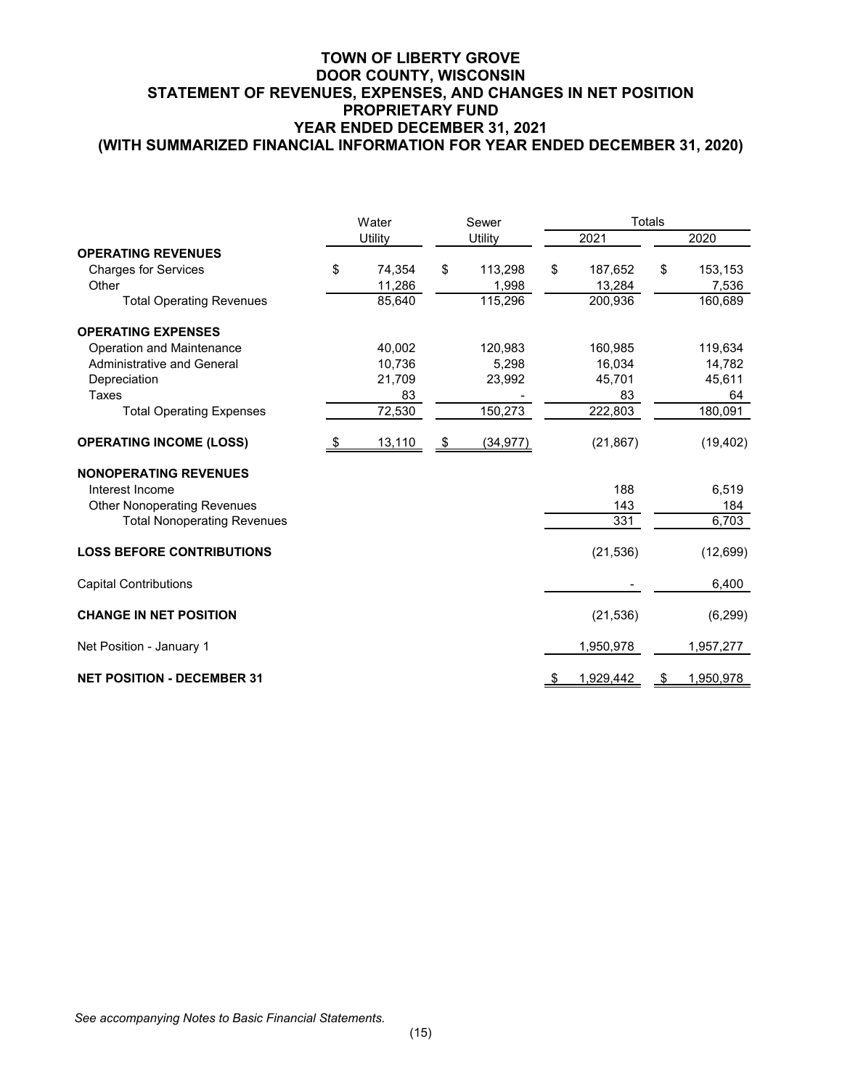#### **TOWN OF LIBERTY GROVE DOOR COUNTY, WISCONSIN STATEMENT OF REVENUES, EXPENSES, AND CHANGES IN NET POSITION PROPRIETARY FUND YEAR ENDED DECEMBER 31, 2021 (WITH SUMMARIZED FINANCIAL INFORMATION FOR YEAR ENDED DECEMBER 31, 2020)**

|                                    | Water        |      | Sewer     |               | <b>Totals</b> |           |
|------------------------------------|--------------|------|-----------|---------------|---------------|-----------|
|                                    | Utility      |      | Utility   | 2021          |               | 2020      |
| <b>OPERATING REVENUES</b>          |              |      |           |               |               |           |
| <b>Charges for Services</b>        | \$<br>74,354 | \$   | 113,298   | \$<br>187,652 | \$            | 153,153   |
| Other                              | 11,286       |      | 1,998     | 13,284        |               | 7,536     |
| <b>Total Operating Revenues</b>    | 85,640       |      | 115,296   | 200,936       |               | 160,689   |
| <b>OPERATING EXPENSES</b>          |              |      |           |               |               |           |
| Operation and Maintenance          | 40,002       |      | 120,983   | 160,985       |               | 119,634   |
| <b>Administrative and General</b>  | 10,736       |      | 5,298     | 16,034        |               | 14,782    |
| Depreciation                       | 21,709       |      | 23,992    | 45,701        |               | 45,611    |
| <b>Taxes</b>                       | 83           |      |           | 83            |               | 64        |
| <b>Total Operating Expenses</b>    | 72,530       |      | 150,273   | 222,803       |               | 180,091   |
| <b>OPERATING INCOME (LOSS)</b>     | 13,110       | - \$ | (34, 977) | (21, 867)     |               | (19, 402) |
| <b>NONOPERATING REVENUES</b>       |              |      |           |               |               |           |
| Interest Income                    |              |      |           | 188           |               | 6,519     |
| <b>Other Nonoperating Revenues</b> |              |      |           | 143           |               | 184       |
| <b>Total Nonoperating Revenues</b> |              |      |           | 331           |               | 6,703     |
| <b>LOSS BEFORE CONTRIBUTIONS</b>   |              |      |           | (21, 536)     |               | (12, 699) |
| <b>Capital Contributions</b>       |              |      |           |               |               | 6,400     |
| <b>CHANGE IN NET POSITION</b>      |              |      |           | (21, 536)     |               | (6, 299)  |
| Net Position - January 1           |              |      |           | 1,950,978     |               | 1,957,277 |
| <b>NET POSITION - DECEMBER 31</b>  |              |      |           | 1,929,442     | \$            | 1,950,978 |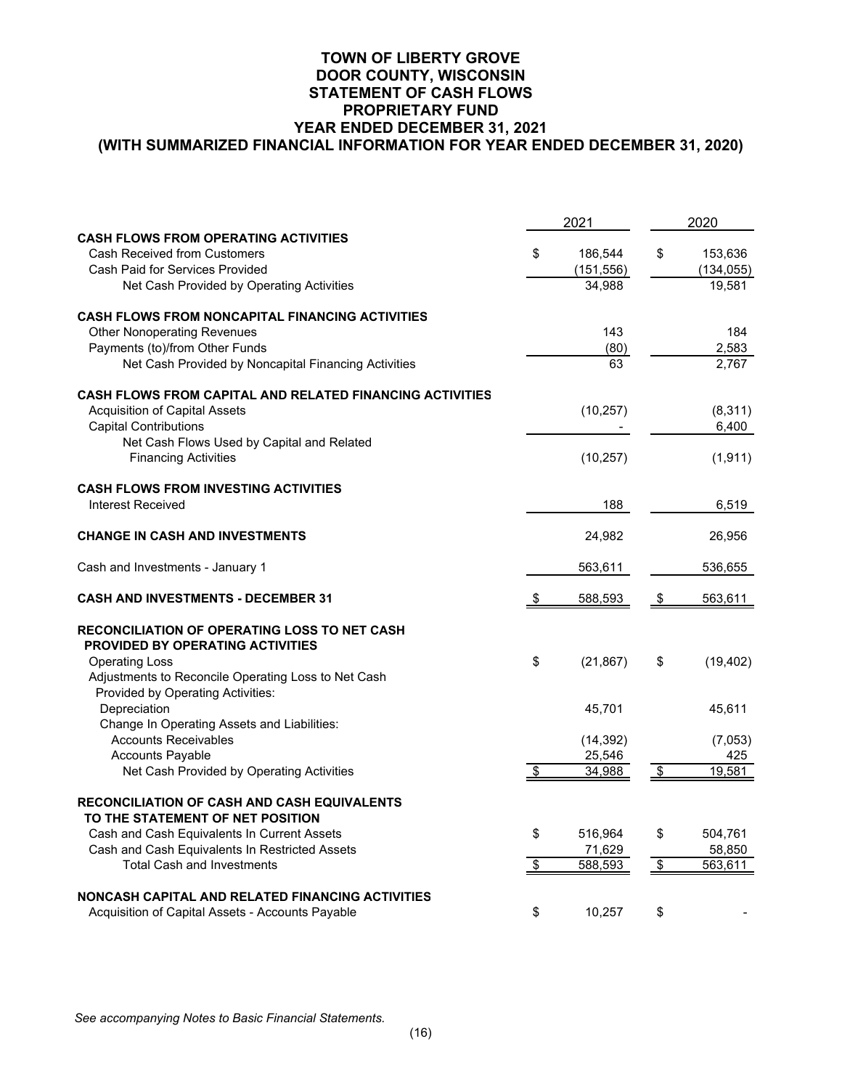#### **TOWN OF LIBERTY GROVE DOOR COUNTY, WISCONSIN STATEMENT OF CASH FLOWS PROPRIETARY FUND YEAR ENDED DECEMBER 31, 2021 (WITH SUMMARIZED FINANCIAL INFORMATION FOR YEAR ENDED DECEMBER 31, 2020)**

|                                                                        |                                  | 2021                  | 2020                    |                       |  |
|------------------------------------------------------------------------|----------------------------------|-----------------------|-------------------------|-----------------------|--|
| <b>CASH FLOWS FROM OPERATING ACTIVITIES</b>                            |                                  |                       |                         |                       |  |
| <b>Cash Received from Customers</b><br>Cash Paid for Services Provided | \$                               | 186,544<br>(151, 556) | \$                      | 153,636<br>(134, 055) |  |
| Net Cash Provided by Operating Activities                              |                                  | 34,988                |                         | 19,581                |  |
|                                                                        |                                  |                       |                         |                       |  |
| <b>CASH FLOWS FROM NONCAPITAL FINANCING ACTIVITIES</b>                 |                                  |                       |                         |                       |  |
| <b>Other Nonoperating Revenues</b>                                     |                                  | 143                   |                         | 184                   |  |
| Payments (to)/from Other Funds                                         |                                  | (80)                  |                         | 2,583                 |  |
| Net Cash Provided by Noncapital Financing Activities                   |                                  | 63                    |                         | 2,767                 |  |
| <b>CASH FLOWS FROM CAPITAL AND RELATED FINANCING ACTIVITIES</b>        |                                  |                       |                         |                       |  |
| <b>Acquisition of Capital Assets</b>                                   |                                  | (10, 257)             |                         | (8, 311)              |  |
| <b>Capital Contributions</b>                                           |                                  |                       |                         | 6,400                 |  |
| Net Cash Flows Used by Capital and Related                             |                                  |                       |                         |                       |  |
| <b>Financing Activities</b>                                            |                                  | (10, 257)             |                         | (1, 911)              |  |
| <b>CASH FLOWS FROM INVESTING ACTIVITIES</b>                            |                                  |                       |                         |                       |  |
| <b>Interest Received</b>                                               |                                  | 188                   |                         | 6,519                 |  |
|                                                                        |                                  |                       |                         |                       |  |
| <b>CHANGE IN CASH AND INVESTMENTS</b>                                  |                                  | 24,982                |                         | 26,956                |  |
| Cash and Investments - January 1                                       |                                  | 563,611               |                         | 536,655               |  |
| <b>CASH AND INVESTMENTS - DECEMBER 31</b>                              |                                  | 588,593               | \$                      | 563,611               |  |
| <b>RECONCILIATION OF OPERATING LOSS TO NET CASH</b>                    |                                  |                       |                         |                       |  |
| <b>PROVIDED BY OPERATING ACTIVITIES</b>                                |                                  |                       |                         |                       |  |
| <b>Operating Loss</b>                                                  | \$                               | (21, 867)             | \$                      | (19, 402)             |  |
| Adjustments to Reconcile Operating Loss to Net Cash                    |                                  |                       |                         |                       |  |
| Provided by Operating Activities:                                      |                                  |                       |                         |                       |  |
| Depreciation                                                           |                                  | 45,701                |                         | 45,611                |  |
| Change In Operating Assets and Liabilities:                            |                                  |                       |                         |                       |  |
| <b>Accounts Receivables</b>                                            |                                  | (14, 392)             |                         | (7,053)               |  |
| <b>Accounts Payable</b><br>Net Cash Provided by Operating Activities   | $\overline{\boldsymbol{\theta}}$ | 25,546<br>34,988      | $\sqrt[6]{\frac{1}{2}}$ | 425<br>19,581         |  |
|                                                                        |                                  |                       |                         |                       |  |
| <b>RECONCILIATION OF CASH AND CASH EQUIVALENTS</b>                     |                                  |                       |                         |                       |  |
| TO THE STATEMENT OF NET POSITION                                       |                                  |                       |                         |                       |  |
| Cash and Cash Equivalents In Current Assets                            | \$                               | 516,964               | \$                      | 504,761               |  |
| Cash and Cash Equivalents In Restricted Assets                         |                                  | 71,629                |                         | 58,850                |  |
| <b>Total Cash and Investments</b>                                      | \$                               | <u>588,593</u>        | $\frac{1}{2}$           | <u>563,611</u>        |  |
| NONCASH CAPITAL AND RELATED FINANCING ACTIVITIES                       |                                  |                       |                         |                       |  |
| Acquisition of Capital Assets - Accounts Payable                       | \$                               | 10,257                | \$                      |                       |  |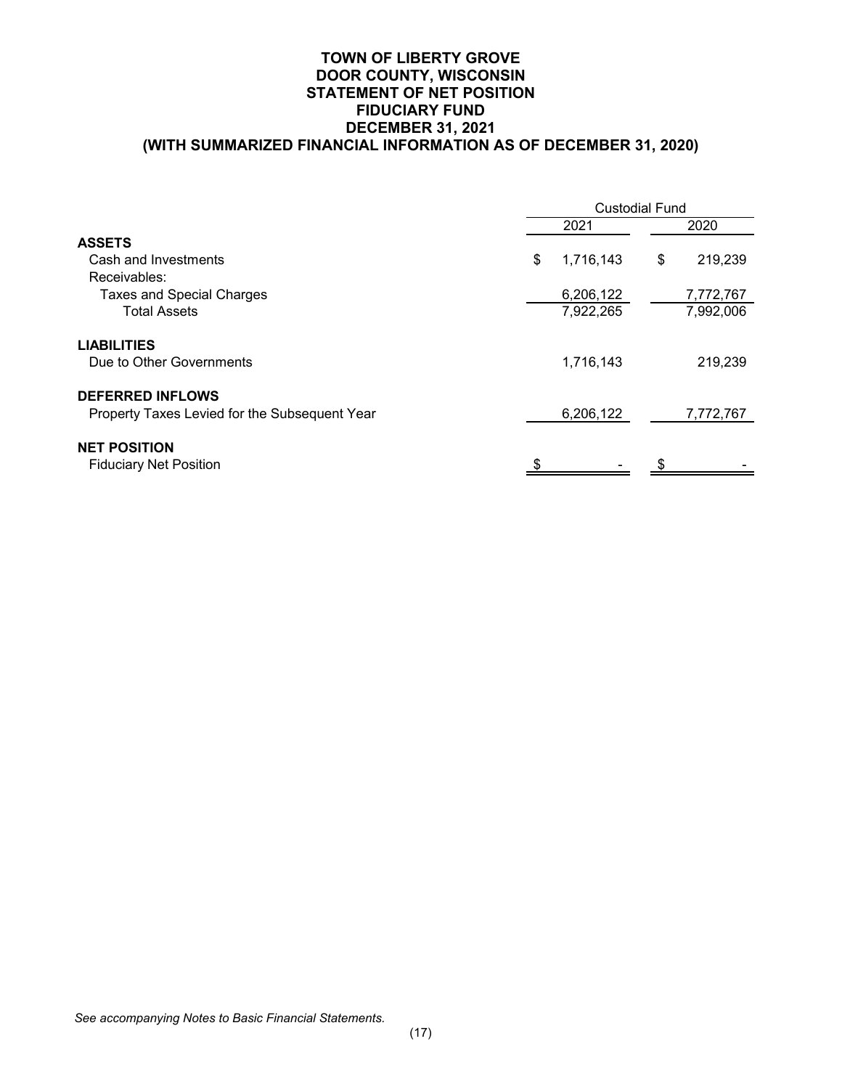### **TOWN OF LIBERTY GROVE DOOR COUNTY, WISCONSIN STATEMENT OF NET POSITION FIDUCIARY FUND DECEMBER 31, 2021 (WITH SUMMARIZED FINANCIAL INFORMATION AS OF DECEMBER 31, 2020)**

|                                               | <b>Custodial Fund</b> |           |    |           |  |  |
|-----------------------------------------------|-----------------------|-----------|----|-----------|--|--|
|                                               |                       | 2020      |    |           |  |  |
| <b>ASSETS</b>                                 |                       |           |    |           |  |  |
| Cash and Investments                          | \$                    | 1,716,143 | \$ | 219,239   |  |  |
| Receivables:                                  |                       |           |    |           |  |  |
| <b>Taxes and Special Charges</b>              |                       | 6,206,122 |    | 7,772,767 |  |  |
| <b>Total Assets</b>                           |                       | 7,922,265 |    | 7,992,006 |  |  |
| <b>LIABILITIES</b>                            |                       |           |    |           |  |  |
| Due to Other Governments                      |                       | 1,716,143 |    | 219,239   |  |  |
| <b>DEFERRED INFLOWS</b>                       |                       |           |    |           |  |  |
| Property Taxes Levied for the Subsequent Year |                       | 6,206,122 |    | 7,772,767 |  |  |
| <b>NET POSITION</b>                           |                       |           |    |           |  |  |
| <b>Fiduciary Net Position</b>                 |                       |           |    |           |  |  |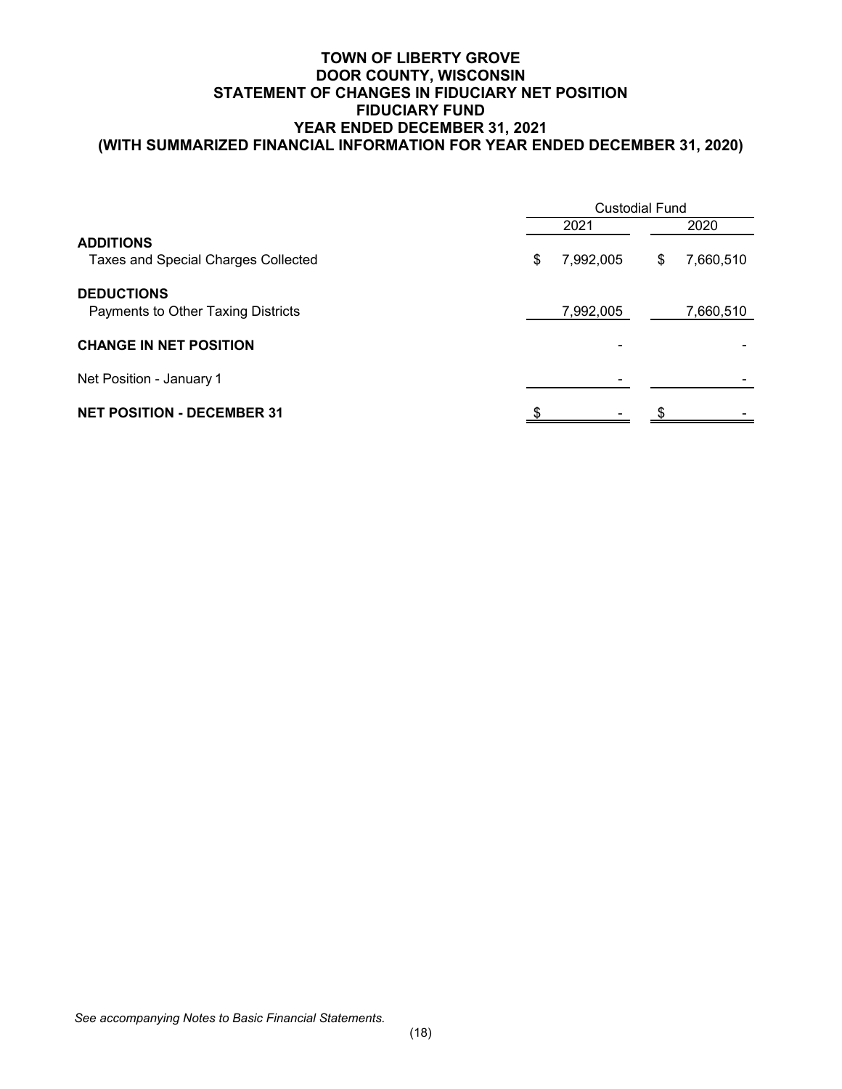#### **TOWN OF LIBERTY GROVE DOOR COUNTY, WISCONSIN STATEMENT OF CHANGES IN FIDUCIARY NET POSITION FIDUCIARY FUND YEAR ENDED DECEMBER 31, 2021 (WITH SUMMARIZED FINANCIAL INFORMATION FOR YEAR ENDED DECEMBER 31, 2020)**

|                                                         | <b>Custodial Fund</b> |           |    |           |  |  |  |
|---------------------------------------------------------|-----------------------|-----------|----|-----------|--|--|--|
|                                                         |                       | 2021      |    | 2020      |  |  |  |
| <b>ADDITIONS</b><br>Taxes and Special Charges Collected | \$                    | 7,992,005 | \$ | 7,660,510 |  |  |  |
| <b>DEDUCTIONS</b><br>Payments to Other Taxing Districts |                       | 7,992,005 |    | 7,660,510 |  |  |  |
| <b>CHANGE IN NET POSITION</b>                           |                       |           |    |           |  |  |  |
| Net Position - January 1                                |                       |           |    |           |  |  |  |
| <b>NET POSITION - DECEMBER 31</b>                       |                       |           |    |           |  |  |  |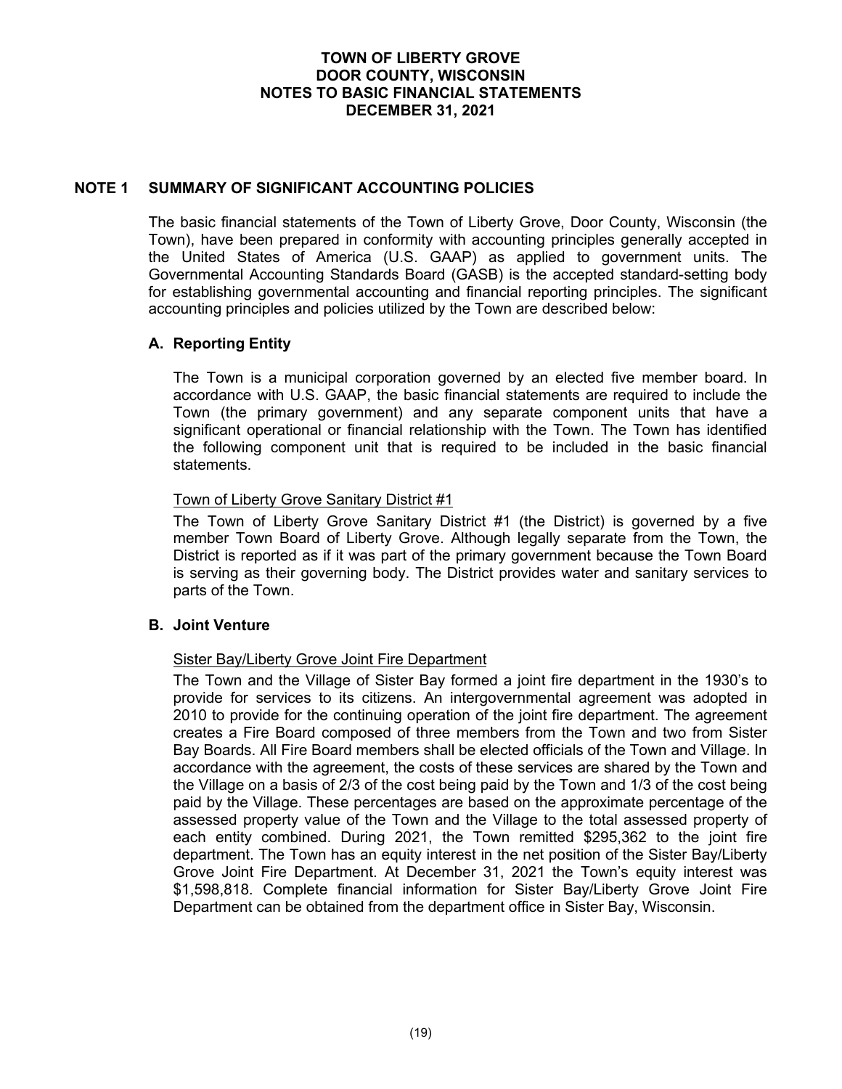### **NOTE 1 SUMMARY OF SIGNIFICANT ACCOUNTING POLICIES**

The basic financial statements of the Town of Liberty Grove, Door County, Wisconsin (the Town), have been prepared in conformity with accounting principles generally accepted in the United States of America (U.S. GAAP) as applied to government units. The Governmental Accounting Standards Board (GASB) is the accepted standard-setting body for establishing governmental accounting and financial reporting principles. The significant accounting principles and policies utilized by the Town are described below:

### **A. Reporting Entity**

The Town is a municipal corporation governed by an elected five member board. In accordance with U.S. GAAP, the basic financial statements are required to include the Town (the primary government) and any separate component units that have a significant operational or financial relationship with the Town. The Town has identified the following component unit that is required to be included in the basic financial statements.

### Town of Liberty Grove Sanitary District #1

The Town of Liberty Grove Sanitary District #1 (the District) is governed by a five member Town Board of Liberty Grove. Although legally separate from the Town, the District is reported as if it was part of the primary government because the Town Board is serving as their governing body. The District provides water and sanitary services to parts of the Town.

### **B. Joint Venture**

### Sister Bay/Liberty Grove Joint Fire Department

The Town and the Village of Sister Bay formed a joint fire department in the 1930's to provide for services to its citizens. An intergovernmental agreement was adopted in 2010 to provide for the continuing operation of the joint fire department. The agreement creates a Fire Board composed of three members from the Town and two from Sister Bay Boards. All Fire Board members shall be elected officials of the Town and Village. In accordance with the agreement, the costs of these services are shared by the Town and the Village on a basis of 2/3 of the cost being paid by the Town and 1/3 of the cost being paid by the Village. These percentages are based on the approximate percentage of the assessed property value of the Town and the Village to the total assessed property of each entity combined. During 2021, the Town remitted \$295,362 to the joint fire department. The Town has an equity interest in the net position of the Sister Bay/Liberty Grove Joint Fire Department. At December 31, 2021 the Town's equity interest was \$1,598,818. Complete financial information for Sister Bay/Liberty Grove Joint Fire Department can be obtained from the department office in Sister Bay, Wisconsin.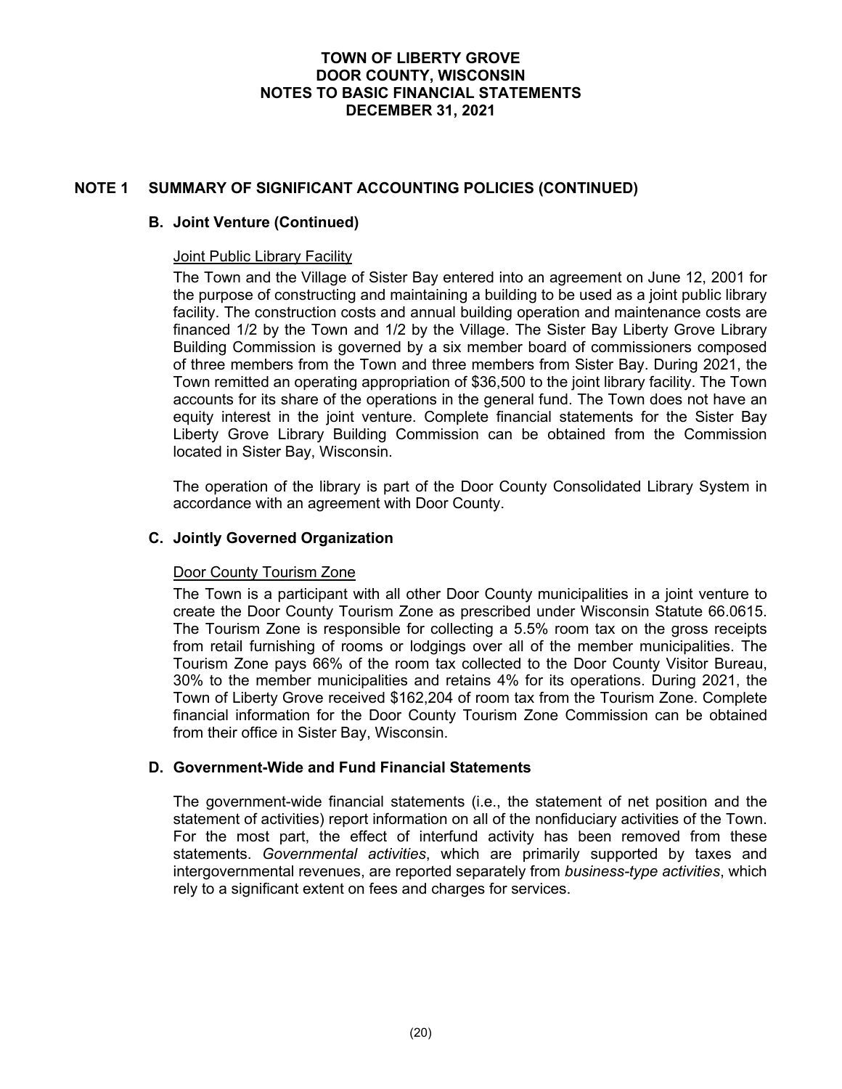### **NOTE 1 SUMMARY OF SIGNIFICANT ACCOUNTING POLICIES (CONTINUED)**

### **B. Joint Venture (Continued)**

#### Joint Public Library Facility

The Town and the Village of Sister Bay entered into an agreement on June 12, 2001 for the purpose of constructing and maintaining a building to be used as a joint public library facility. The construction costs and annual building operation and maintenance costs are financed 1/2 by the Town and 1/2 by the Village. The Sister Bay Liberty Grove Library Building Commission is governed by a six member board of commissioners composed of three members from the Town and three members from Sister Bay. During 2021, the Town remitted an operating appropriation of \$36,500 to the joint library facility. The Town accounts for its share of the operations in the general fund. The Town does not have an equity interest in the joint venture. Complete financial statements for the Sister Bay Liberty Grove Library Building Commission can be obtained from the Commission located in Sister Bay, Wisconsin.

The operation of the library is part of the Door County Consolidated Library System in accordance with an agreement with Door County.

### **C. Jointly Governed Organization**

### Door County Tourism Zone

The Town is a participant with all other Door County municipalities in a joint venture to create the Door County Tourism Zone as prescribed under Wisconsin Statute 66.0615. The Tourism Zone is responsible for collecting a 5.5% room tax on the gross receipts from retail furnishing of rooms or lodgings over all of the member municipalities. The Tourism Zone pays 66% of the room tax collected to the Door County Visitor Bureau, 30% to the member municipalities and retains 4% for its operations. During 2021, the Town of Liberty Grove received \$162,204 of room tax from the Tourism Zone. Complete financial information for the Door County Tourism Zone Commission can be obtained from their office in Sister Bay, Wisconsin.

### **D. Government-Wide and Fund Financial Statements**

The government-wide financial statements (i.e., the statement of net position and the statement of activities) report information on all of the nonfiduciary activities of the Town. For the most part, the effect of interfund activity has been removed from these statements. *Governmental activities*, which are primarily supported by taxes and intergovernmental revenues, are reported separately from *business-type activities*, which rely to a significant extent on fees and charges for services.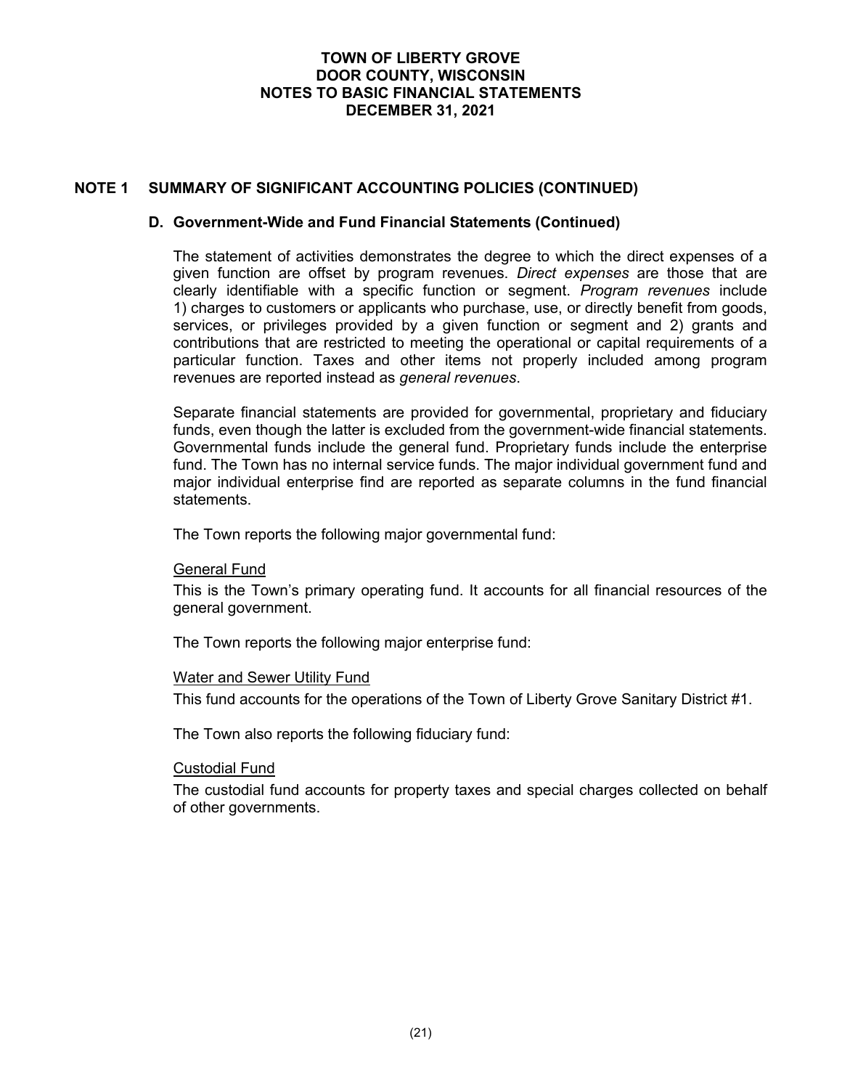### **NOTE 1 SUMMARY OF SIGNIFICANT ACCOUNTING POLICIES (CONTINUED)**

#### **D. Government-Wide and Fund Financial Statements (Continued)**

The statement of activities demonstrates the degree to which the direct expenses of a given function are offset by program revenues. *Direct expenses* are those that are clearly identifiable with a specific function or segment. *Program revenues* include 1) charges to customers or applicants who purchase, use, or directly benefit from goods, services, or privileges provided by a given function or segment and 2) grants and contributions that are restricted to meeting the operational or capital requirements of a particular function. Taxes and other items not properly included among program revenues are reported instead as *general revenues*.

Separate financial statements are provided for governmental, proprietary and fiduciary funds, even though the latter is excluded from the government-wide financial statements. Governmental funds include the general fund. Proprietary funds include the enterprise fund. The Town has no internal service funds. The major individual government fund and major individual enterprise find are reported as separate columns in the fund financial statements.

The Town reports the following major governmental fund:

#### General Fund

This is the Town's primary operating fund. It accounts for all financial resources of the general government.

The Town reports the following major enterprise fund:

#### Water and Sewer Utility Fund

This fund accounts for the operations of the Town of Liberty Grove Sanitary District #1.

The Town also reports the following fiduciary fund:

#### Custodial Fund

The custodial fund accounts for property taxes and special charges collected on behalf of other governments.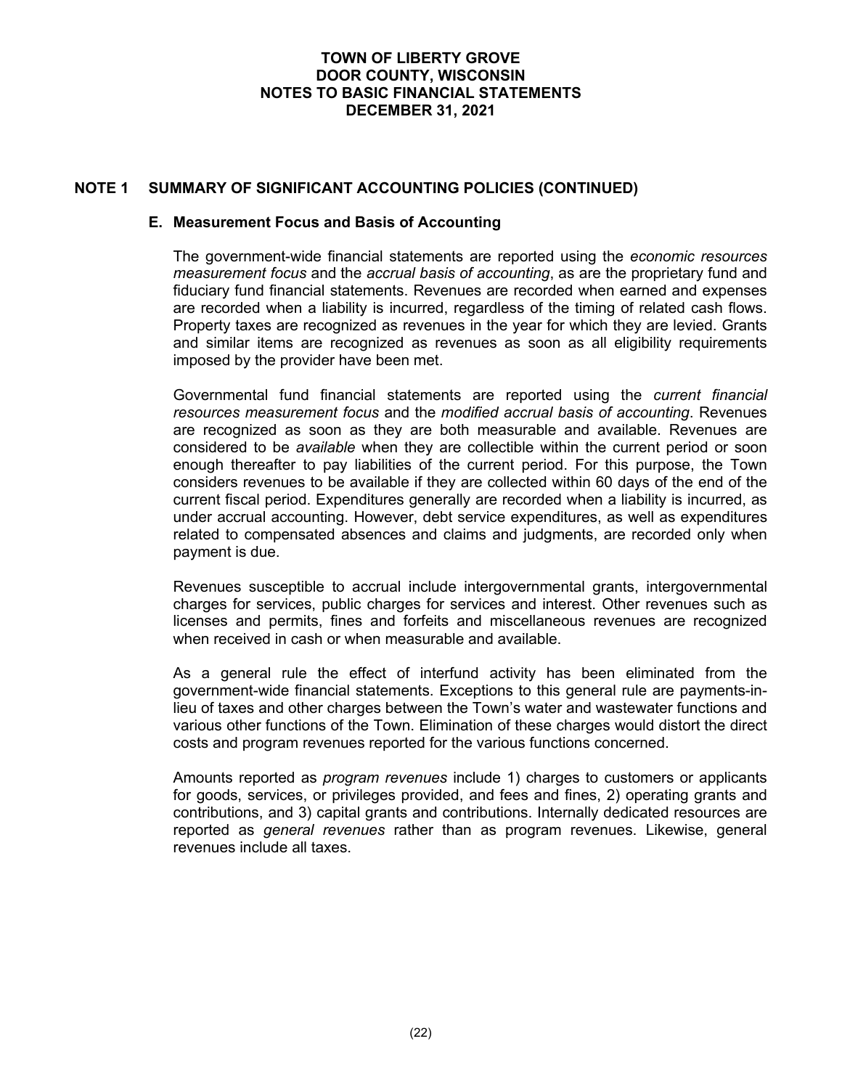### **NOTE 1 SUMMARY OF SIGNIFICANT ACCOUNTING POLICIES (CONTINUED)**

#### **E. Measurement Focus and Basis of Accounting**

The government-wide financial statements are reported using the *economic resources measurement focus* and the *accrual basis of accounting*, as are the proprietary fund and fiduciary fund financial statements. Revenues are recorded when earned and expenses are recorded when a liability is incurred, regardless of the timing of related cash flows. Property taxes are recognized as revenues in the year for which they are levied. Grants and similar items are recognized as revenues as soon as all eligibility requirements imposed by the provider have been met.

Governmental fund financial statements are reported using the *current financial resources measurement focus* and the *modified accrual basis of accounting*. Revenues are recognized as soon as they are both measurable and available. Revenues are considered to be *available* when they are collectible within the current period or soon enough thereafter to pay liabilities of the current period. For this purpose, the Town considers revenues to be available if they are collected within 60 days of the end of the current fiscal period. Expenditures generally are recorded when a liability is incurred, as under accrual accounting. However, debt service expenditures, as well as expenditures related to compensated absences and claims and judgments, are recorded only when payment is due.

Revenues susceptible to accrual include intergovernmental grants, intergovernmental charges for services, public charges for services and interest. Other revenues such as licenses and permits, fines and forfeits and miscellaneous revenues are recognized when received in cash or when measurable and available.

As a general rule the effect of interfund activity has been eliminated from the government-wide financial statements. Exceptions to this general rule are payments-inlieu of taxes and other charges between the Town's water and wastewater functions and various other functions of the Town. Elimination of these charges would distort the direct costs and program revenues reported for the various functions concerned.

Amounts reported as *program revenues* include 1) charges to customers or applicants for goods, services, or privileges provided, and fees and fines, 2) operating grants and contributions, and 3) capital grants and contributions. Internally dedicated resources are reported as *general revenues* rather than as program revenues. Likewise, general revenues include all taxes.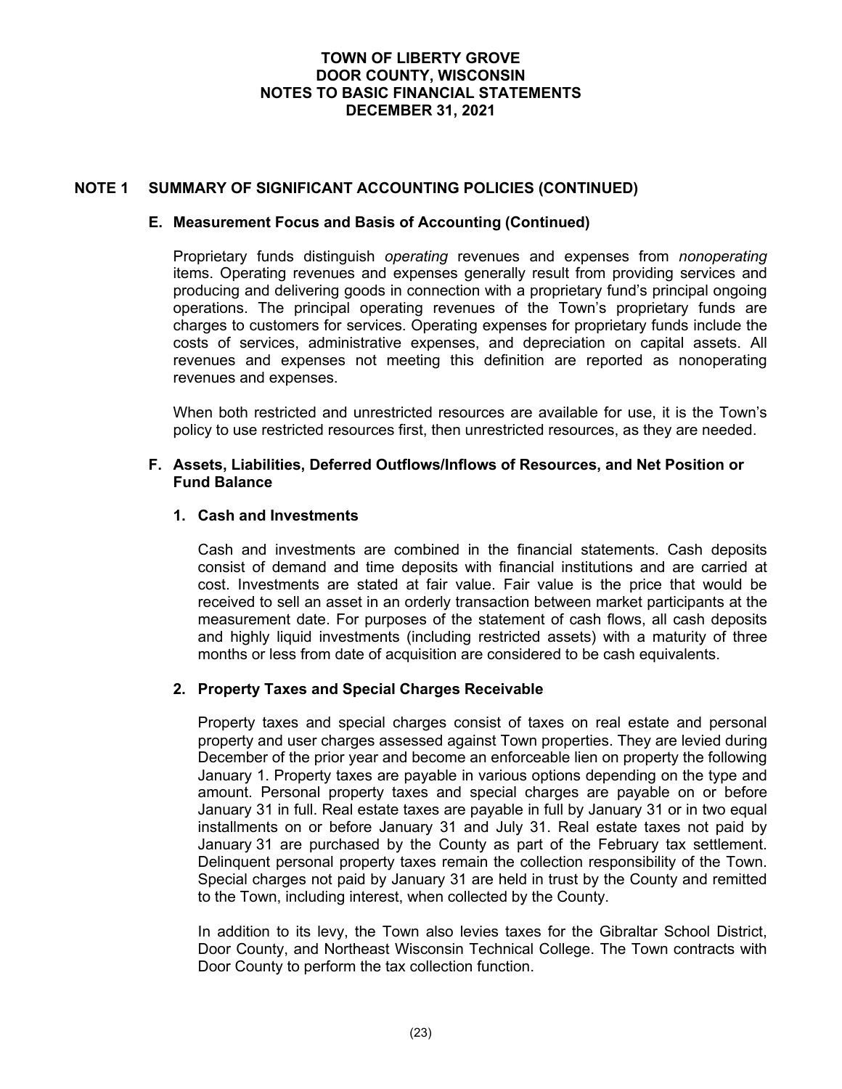### **NOTE 1 SUMMARY OF SIGNIFICANT ACCOUNTING POLICIES (CONTINUED)**

#### **E. Measurement Focus and Basis of Accounting (Continued)**

Proprietary funds distinguish *operating* revenues and expenses from *nonoperating*  items. Operating revenues and expenses generally result from providing services and producing and delivering goods in connection with a proprietary fund's principal ongoing operations. The principal operating revenues of the Town's proprietary funds are charges to customers for services. Operating expenses for proprietary funds include the costs of services, administrative expenses, and depreciation on capital assets. All revenues and expenses not meeting this definition are reported as nonoperating revenues and expenses.

When both restricted and unrestricted resources are available for use, it is the Town's policy to use restricted resources first, then unrestricted resources, as they are needed.

### **F. Assets, Liabilities, Deferred Outflows/Inflows of Resources, and Net Position or Fund Balance**

### **1. Cash and Investments**

Cash and investments are combined in the financial statements. Cash deposits consist of demand and time deposits with financial institutions and are carried at cost. Investments are stated at fair value. Fair value is the price that would be received to sell an asset in an orderly transaction between market participants at the measurement date. For purposes of the statement of cash flows, all cash deposits and highly liquid investments (including restricted assets) with a maturity of three months or less from date of acquisition are considered to be cash equivalents.

### **2. Property Taxes and Special Charges Receivable**

Property taxes and special charges consist of taxes on real estate and personal property and user charges assessed against Town properties. They are levied during December of the prior year and become an enforceable lien on property the following January 1. Property taxes are payable in various options depending on the type and amount. Personal property taxes and special charges are payable on or before January 31 in full. Real estate taxes are payable in full by January 31 or in two equal installments on or before January 31 and July 31. Real estate taxes not paid by January 31 are purchased by the County as part of the February tax settlement. Delinquent personal property taxes remain the collection responsibility of the Town. Special charges not paid by January 31 are held in trust by the County and remitted to the Town, including interest, when collected by the County.

In addition to its levy, the Town also levies taxes for the Gibraltar School District, Door County, and Northeast Wisconsin Technical College. The Town contracts with Door County to perform the tax collection function.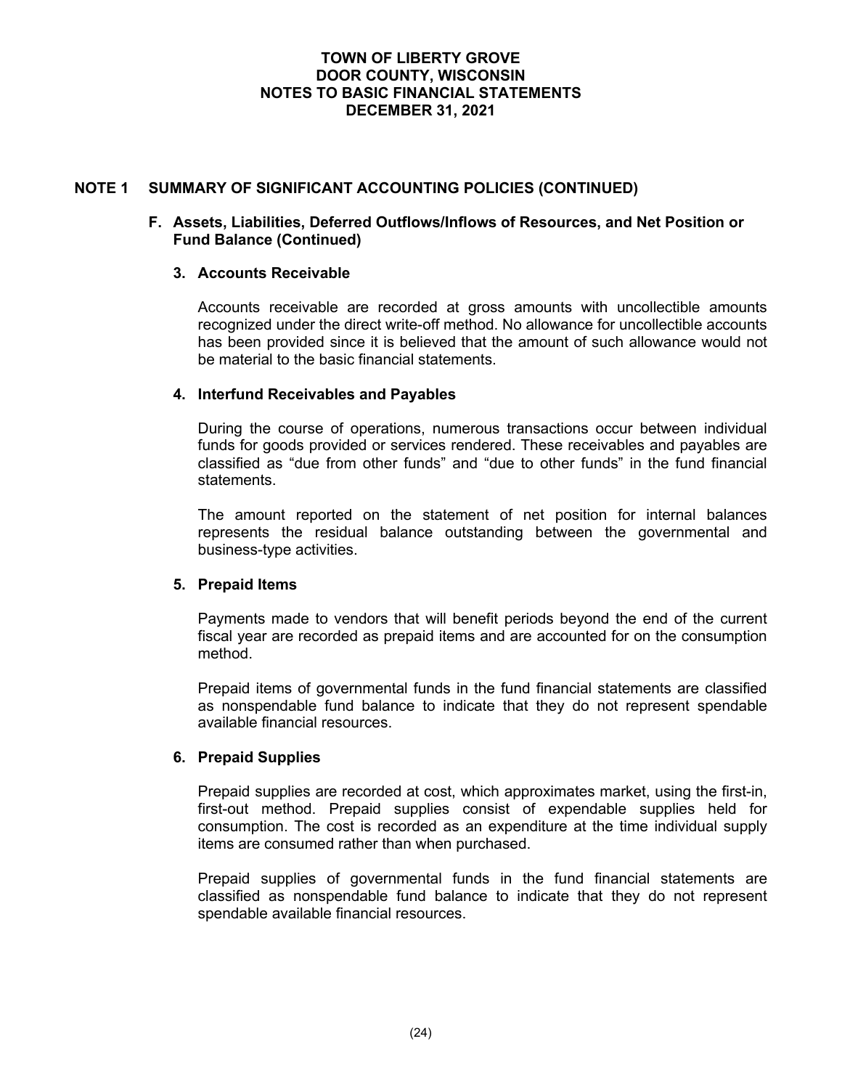### **NOTE 1 SUMMARY OF SIGNIFICANT ACCOUNTING POLICIES (CONTINUED)**

### **F. Assets, Liabilities, Deferred Outflows/Inflows of Resources, and Net Position or Fund Balance (Continued)**

#### **3. Accounts Receivable**

Accounts receivable are recorded at gross amounts with uncollectible amounts recognized under the direct write-off method. No allowance for uncollectible accounts has been provided since it is believed that the amount of such allowance would not be material to the basic financial statements.

### **4. Interfund Receivables and Payables**

During the course of operations, numerous transactions occur between individual funds for goods provided or services rendered. These receivables and payables are classified as "due from other funds" and "due to other funds" in the fund financial statements.

The amount reported on the statement of net position for internal balances represents the residual balance outstanding between the governmental and business-type activities.

### **5. Prepaid Items**

Payments made to vendors that will benefit periods beyond the end of the current fiscal year are recorded as prepaid items and are accounted for on the consumption method.

Prepaid items of governmental funds in the fund financial statements are classified as nonspendable fund balance to indicate that they do not represent spendable available financial resources.

### **6. Prepaid Supplies**

Prepaid supplies are recorded at cost, which approximates market, using the first-in, first-out method. Prepaid supplies consist of expendable supplies held for consumption. The cost is recorded as an expenditure at the time individual supply items are consumed rather than when purchased.

Prepaid supplies of governmental funds in the fund financial statements are classified as nonspendable fund balance to indicate that they do not represent spendable available financial resources.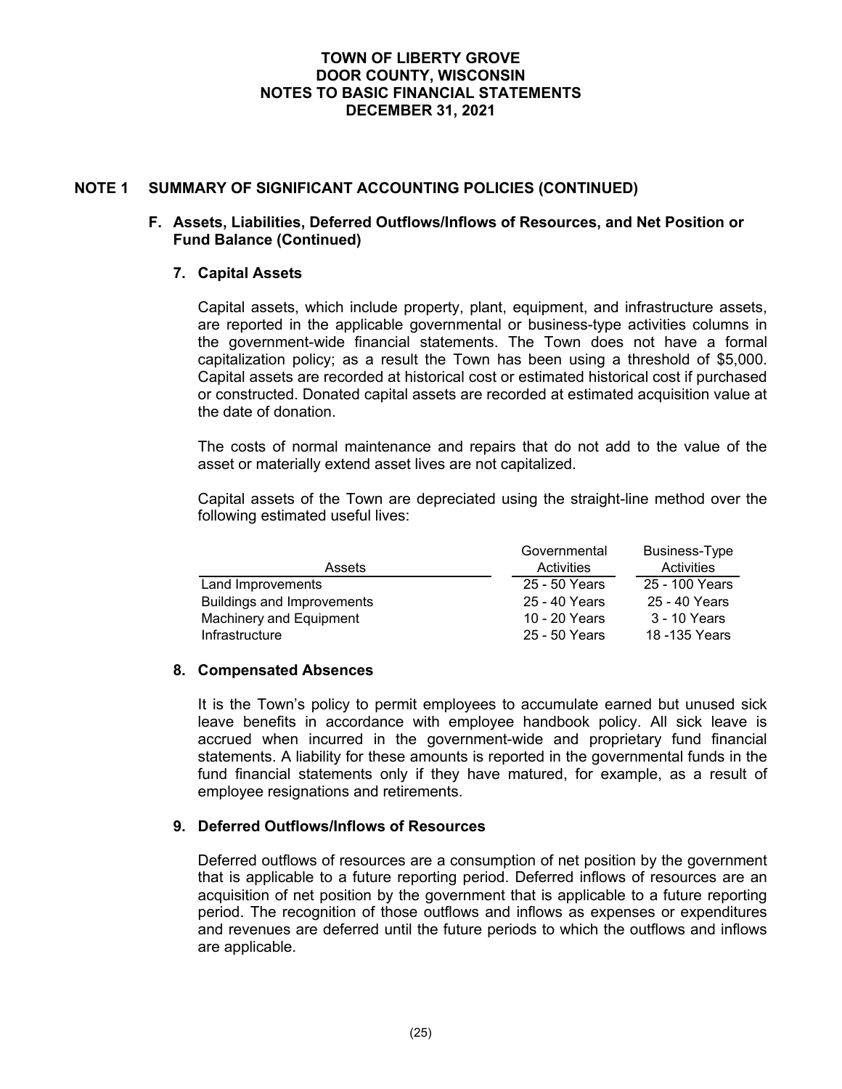### **NOTE 1 SUMMARY OF SIGNIFICANT ACCOUNTING POLICIES (CONTINUED)**

### **F. Assets, Liabilities, Deferred Outflows/Inflows of Resources, and Net Position or Fund Balance (Continued)**

### **7. Capital Assets**

Capital assets, which include property, plant, equipment, and infrastructure assets, are reported in the applicable governmental or business-type activities columns in the government-wide financial statements. The Town does not have a formal capitalization policy; as a result the Town has been using a threshold of \$5,000. Capital assets are recorded at historical cost or estimated historical cost if purchased or constructed. Donated capital assets are recorded at estimated acquisition value at the date of donation.

The costs of normal maintenance and repairs that do not add to the value of the asset or materially extend asset lives are not capitalized.

Capital assets of the Town are depreciated using the straight-line method over the following estimated useful lives:

|                                   | Governmental  | Business-Type  |
|-----------------------------------|---------------|----------------|
| Assets                            | Activities    | Activities     |
| Land Improvements                 | 25 - 50 Years | 25 - 100 Years |
| <b>Buildings and Improvements</b> | 25 - 40 Years | 25 - 40 Years  |
| Machinery and Equipment           | 10 - 20 Years | 3 - 10 Years   |
| Infrastructure                    | 25 - 50 Years | 18 - 135 Years |

### **8. Compensated Absences**

It is the Town's policy to permit employees to accumulate earned but unused sick leave benefits in accordance with employee handbook policy. All sick leave is accrued when incurred in the government-wide and proprietary fund financial statements. A liability for these amounts is reported in the governmental funds in the fund financial statements only if they have matured, for example, as a result of employee resignations and retirements.

### **9. Deferred Outflows/Inflows of Resources**

Deferred outflows of resources are a consumption of net position by the government that is applicable to a future reporting period. Deferred inflows of resources are an acquisition of net position by the government that is applicable to a future reporting period. The recognition of those outflows and inflows as expenses or expenditures and revenues are deferred until the future periods to which the outflows and inflows are applicable.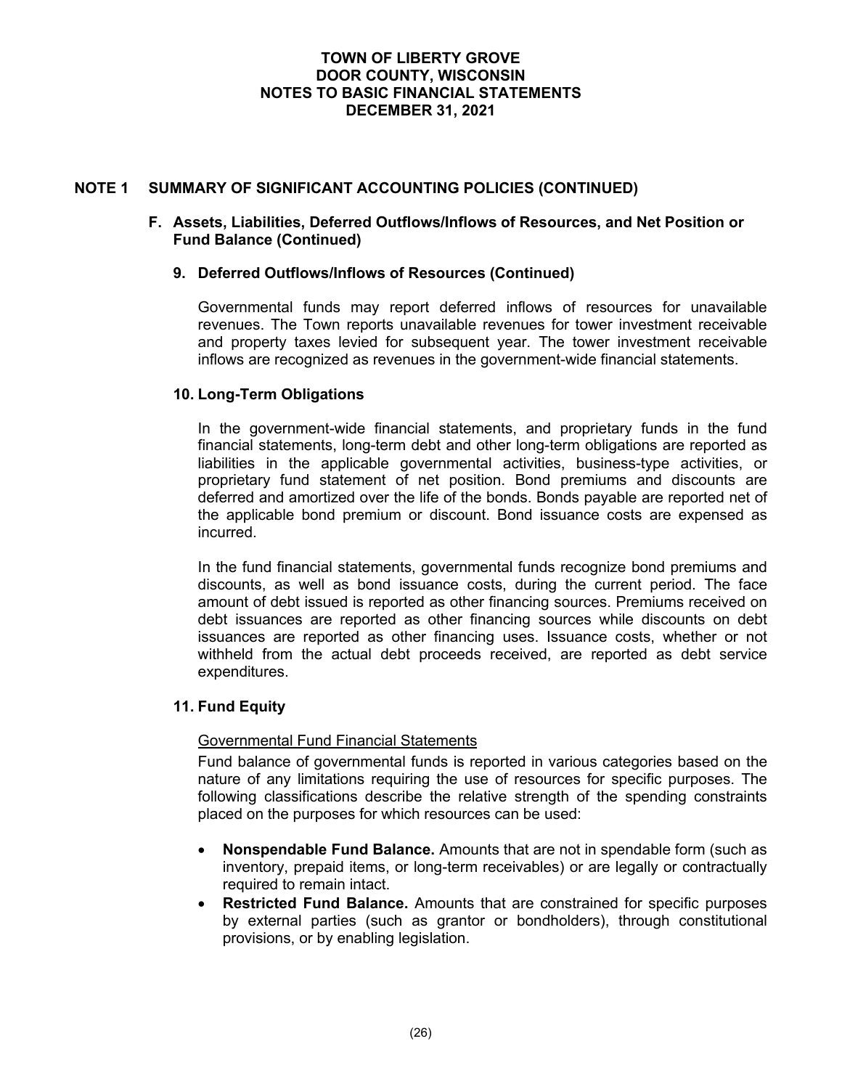### **NOTE 1 SUMMARY OF SIGNIFICANT ACCOUNTING POLICIES (CONTINUED)**

### **F. Assets, Liabilities, Deferred Outflows/Inflows of Resources, and Net Position or Fund Balance (Continued)**

### **9. Deferred Outflows/Inflows of Resources (Continued)**

Governmental funds may report deferred inflows of resources for unavailable revenues. The Town reports unavailable revenues for tower investment receivable and property taxes levied for subsequent year. The tower investment receivable inflows are recognized as revenues in the government-wide financial statements.

#### **10. Long-Term Obligations**

In the government-wide financial statements, and proprietary funds in the fund financial statements, long-term debt and other long-term obligations are reported as liabilities in the applicable governmental activities, business-type activities, or proprietary fund statement of net position. Bond premiums and discounts are deferred and amortized over the life of the bonds. Bonds payable are reported net of the applicable bond premium or discount. Bond issuance costs are expensed as incurred.

In the fund financial statements, governmental funds recognize bond premiums and discounts, as well as bond issuance costs, during the current period. The face amount of debt issued is reported as other financing sources. Premiums received on debt issuances are reported as other financing sources while discounts on debt issuances are reported as other financing uses. Issuance costs, whether or not withheld from the actual debt proceeds received, are reported as debt service expenditures.

### **11. Fund Equity**

#### Governmental Fund Financial Statements

Fund balance of governmental funds is reported in various categories based on the nature of any limitations requiring the use of resources for specific purposes. The following classifications describe the relative strength of the spending constraints placed on the purposes for which resources can be used:

- **Nonspendable Fund Balance.** Amounts that are not in spendable form (such as inventory, prepaid items, or long-term receivables) or are legally or contractually required to remain intact.
- **Restricted Fund Balance.** Amounts that are constrained for specific purposes by external parties (such as grantor or bondholders), through constitutional provisions, or by enabling legislation.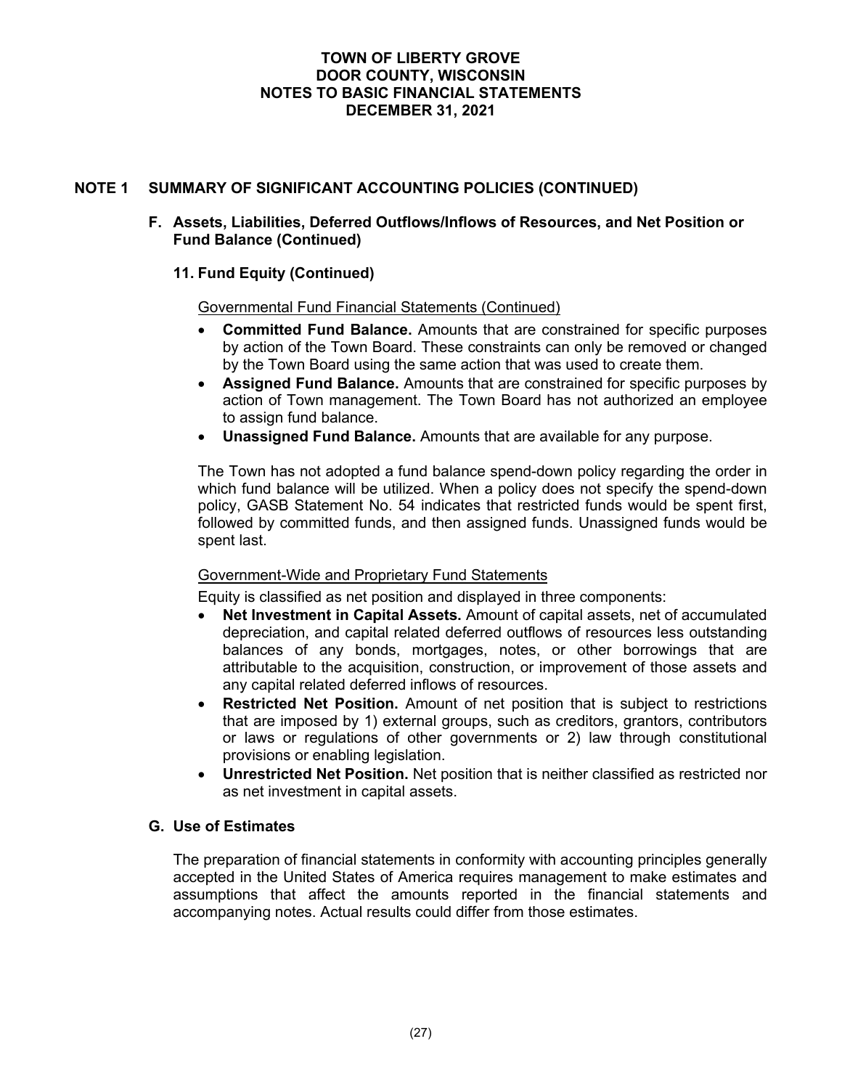### **NOTE 1 SUMMARY OF SIGNIFICANT ACCOUNTING POLICIES (CONTINUED)**

### **F. Assets, Liabilities, Deferred Outflows/Inflows of Resources, and Net Position or Fund Balance (Continued)**

### **11. Fund Equity (Continued)**

#### Governmental Fund Financial Statements (Continued)

- **Committed Fund Balance.** Amounts that are constrained for specific purposes by action of the Town Board. These constraints can only be removed or changed by the Town Board using the same action that was used to create them.
- **Assigned Fund Balance.** Amounts that are constrained for specific purposes by action of Town management. The Town Board has not authorized an employee to assign fund balance.
- **Unassigned Fund Balance.** Amounts that are available for any purpose.

The Town has not adopted a fund balance spend-down policy regarding the order in which fund balance will be utilized. When a policy does not specify the spend-down policy, GASB Statement No. 54 indicates that restricted funds would be spent first, followed by committed funds, and then assigned funds. Unassigned funds would be spent last.

#### Government-Wide and Proprietary Fund Statements

Equity is classified as net position and displayed in three components:

- **Net Investment in Capital Assets.** Amount of capital assets, net of accumulated depreciation, and capital related deferred outflows of resources less outstanding balances of any bonds, mortgages, notes, or other borrowings that are attributable to the acquisition, construction, or improvement of those assets and any capital related deferred inflows of resources.
- **Restricted Net Position.** Amount of net position that is subject to restrictions that are imposed by 1) external groups, such as creditors, grantors, contributors or laws or regulations of other governments or 2) law through constitutional provisions or enabling legislation.
- **Unrestricted Net Position.** Net position that is neither classified as restricted nor as net investment in capital assets.

### **G. Use of Estimates**

The preparation of financial statements in conformity with accounting principles generally accepted in the United States of America requires management to make estimates and assumptions that affect the amounts reported in the financial statements and accompanying notes. Actual results could differ from those estimates.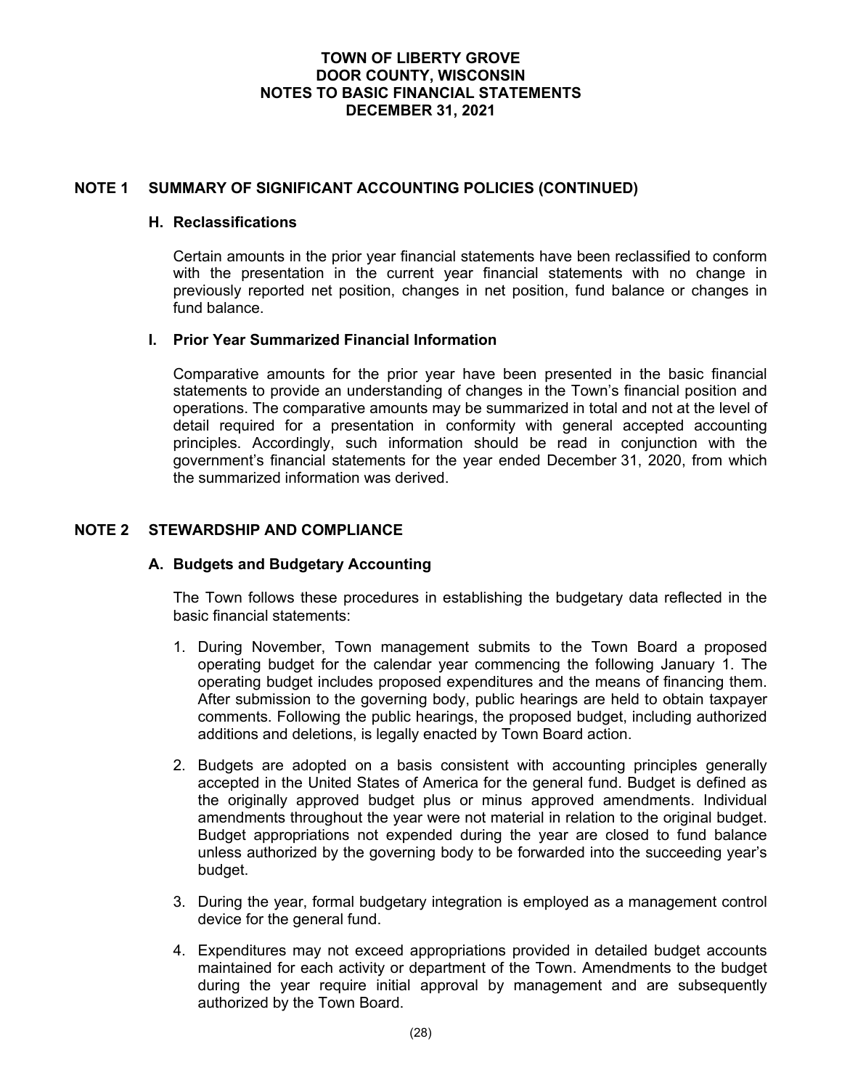### **NOTE 1 SUMMARY OF SIGNIFICANT ACCOUNTING POLICIES (CONTINUED)**

#### **H. Reclassifications**

Certain amounts in the prior year financial statements have been reclassified to conform with the presentation in the current year financial statements with no change in previously reported net position, changes in net position, fund balance or changes in fund balance.

### **I. Prior Year Summarized Financial Information**

Comparative amounts for the prior year have been presented in the basic financial statements to provide an understanding of changes in the Town's financial position and operations. The comparative amounts may be summarized in total and not at the level of detail required for a presentation in conformity with general accepted accounting principles. Accordingly, such information should be read in conjunction with the government's financial statements for the year ended December 31, 2020, from which the summarized information was derived.

### **NOTE 2 STEWARDSHIP AND COMPLIANCE**

### **A. Budgets and Budgetary Accounting**

The Town follows these procedures in establishing the budgetary data reflected in the basic financial statements:

- 1. During November, Town management submits to the Town Board a proposed operating budget for the calendar year commencing the following January 1. The operating budget includes proposed expenditures and the means of financing them. After submission to the governing body, public hearings are held to obtain taxpayer comments. Following the public hearings, the proposed budget, including authorized additions and deletions, is legally enacted by Town Board action.
- 2. Budgets are adopted on a basis consistent with accounting principles generally accepted in the United States of America for the general fund. Budget is defined as the originally approved budget plus or minus approved amendments. Individual amendments throughout the year were not material in relation to the original budget. Budget appropriations not expended during the year are closed to fund balance unless authorized by the governing body to be forwarded into the succeeding year's budget.
- 3. During the year, formal budgetary integration is employed as a management control device for the general fund.
- 4. Expenditures may not exceed appropriations provided in detailed budget accounts maintained for each activity or department of the Town. Amendments to the budget during the year require initial approval by management and are subsequently authorized by the Town Board.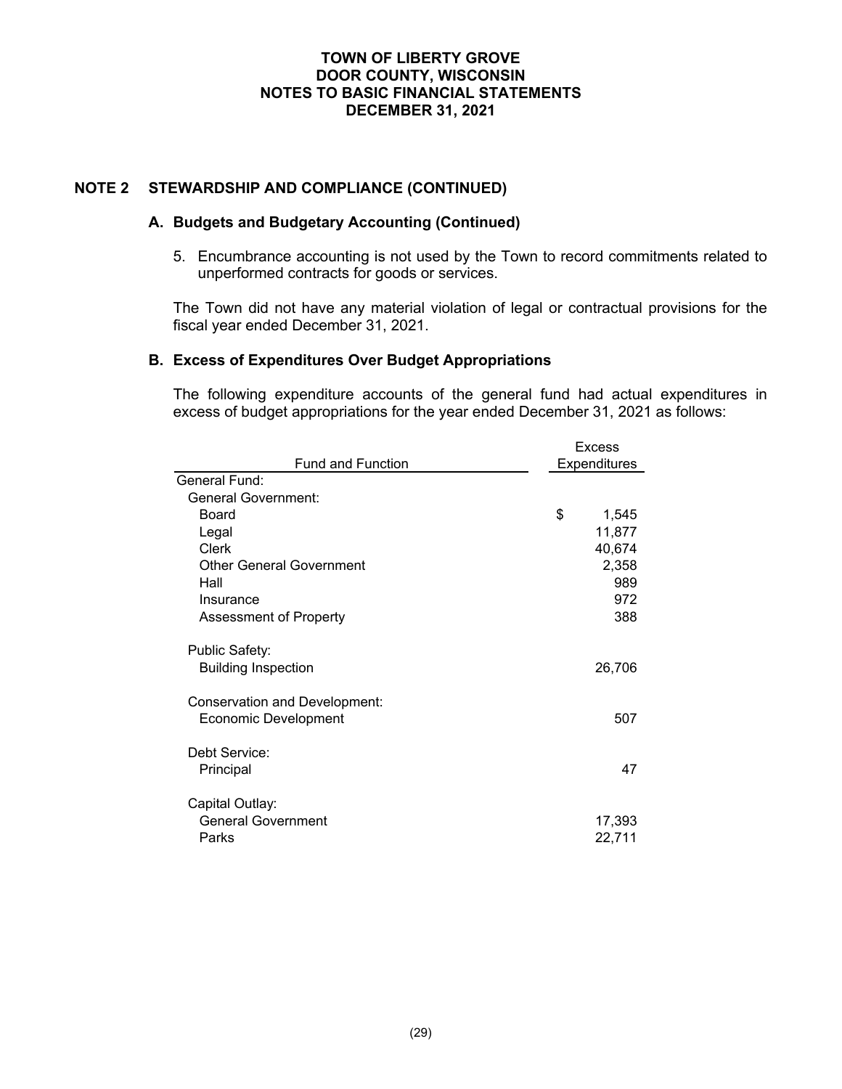### **NOTE 2 STEWARDSHIP AND COMPLIANCE (CONTINUED)**

### **A. Budgets and Budgetary Accounting (Continued)**

5. Encumbrance accounting is not used by the Town to record commitments related to unperformed contracts for goods or services.

The Town did not have any material violation of legal or contractual provisions for the fiscal year ended December 31, 2021.

### **B. Excess of Expenditures Over Budget Appropriations**

The following expenditure accounts of the general fund had actual expenditures in excess of budget appropriations for the year ended December 31, 2021 as follows:

| <b>Fund and Function</b>                                            | <b>Excess</b><br>Expenditures |  |  |  |  |
|---------------------------------------------------------------------|-------------------------------|--|--|--|--|
| General Fund:                                                       |                               |  |  |  |  |
| <b>General Government:</b>                                          |                               |  |  |  |  |
| Board                                                               | \$<br>1,545                   |  |  |  |  |
| Legal                                                               | 11,877                        |  |  |  |  |
| Clerk                                                               | 40,674                        |  |  |  |  |
| <b>Other General Government</b>                                     | 2,358                         |  |  |  |  |
| Hall                                                                | 989                           |  |  |  |  |
| Insurance                                                           | 972                           |  |  |  |  |
| <b>Assessment of Property</b>                                       | 388                           |  |  |  |  |
| Public Safety:<br><b>Building Inspection</b>                        | 26,706                        |  |  |  |  |
| <b>Conservation and Development:</b><br><b>Economic Development</b> | 507                           |  |  |  |  |
| Debt Service:<br>Principal                                          | 47                            |  |  |  |  |
| Capital Outlay:<br><b>General Government</b>                        | 17,393                        |  |  |  |  |
| Parks                                                               | 22,711                        |  |  |  |  |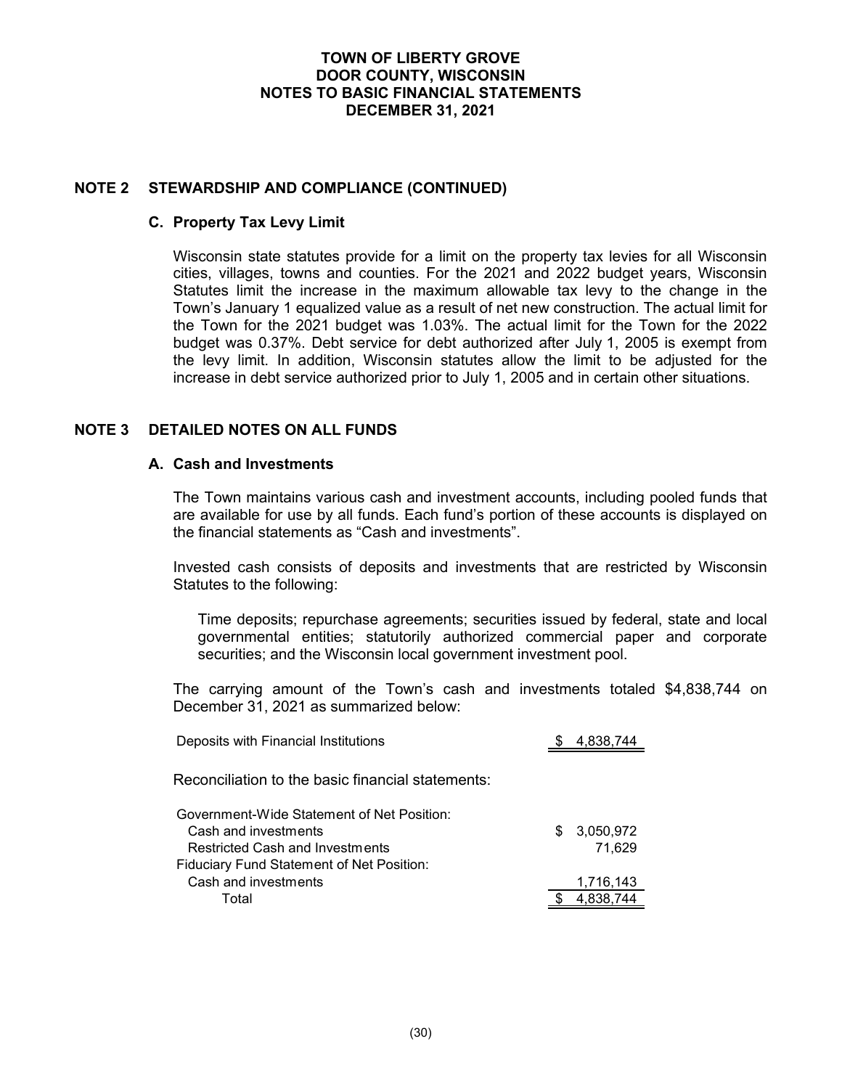### **NOTE 2 STEWARDSHIP AND COMPLIANCE (CONTINUED)**

#### **C. Property Tax Levy Limit**

Wisconsin state statutes provide for a limit on the property tax levies for all Wisconsin cities, villages, towns and counties. For the 2021 and 2022 budget years, Wisconsin Statutes limit the increase in the maximum allowable tax levy to the change in the Town's January 1 equalized value as a result of net new construction. The actual limit for the Town for the 2021 budget was 1.03%. The actual limit for the Town for the 2022 budget was 0.37%. Debt service for debt authorized after July 1, 2005 is exempt from the levy limit. In addition, Wisconsin statutes allow the limit to be adjusted for the increase in debt service authorized prior to July 1, 2005 and in certain other situations.

### **NOTE 3 DETAILED NOTES ON ALL FUNDS**

#### **A. Cash and Investments**

The Town maintains various cash and investment accounts, including pooled funds that are available for use by all funds. Each fund's portion of these accounts is displayed on the financial statements as "Cash and investments".

Invested cash consists of deposits and investments that are restricted by Wisconsin Statutes to the following:

Time deposits; repurchase agreements; securities issued by federal, state and local governmental entities; statutorily authorized commercial paper and corporate securities; and the Wisconsin local government investment pool.

The carrying amount of the Town's cash and investments totaled \$4,838,744 on December 31, 2021 as summarized below:

| Deposits with Financial Institutions                                                                                                                      |   | 4,838,744           |
|-----------------------------------------------------------------------------------------------------------------------------------------------------------|---|---------------------|
| Reconciliation to the basic financial statements:                                                                                                         |   |                     |
| Government-Wide Statement of Net Position:<br>Cash and investments<br><b>Restricted Cash and Investments</b><br>Fiduciary Fund Statement of Net Position: | S | 3,050,972<br>71.629 |
| Cash and investments<br>Total                                                                                                                             |   | 1,716,143           |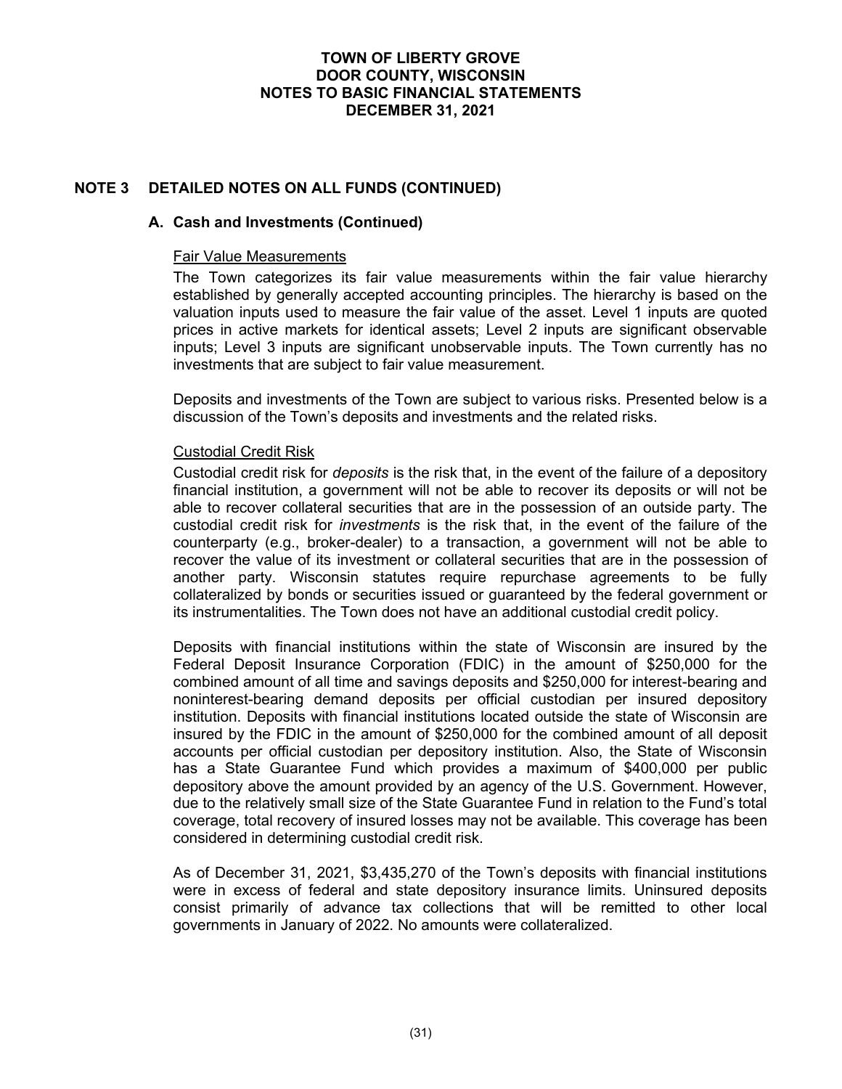### **NOTE 3 DETAILED NOTES ON ALL FUNDS (CONTINUED)**

#### **A. Cash and Investments (Continued)**

#### Fair Value Measurements

The Town categorizes its fair value measurements within the fair value hierarchy established by generally accepted accounting principles. The hierarchy is based on the valuation inputs used to measure the fair value of the asset. Level 1 inputs are quoted prices in active markets for identical assets; Level 2 inputs are significant observable inputs; Level 3 inputs are significant unobservable inputs. The Town currently has no investments that are subject to fair value measurement.

Deposits and investments of the Town are subject to various risks. Presented below is a discussion of the Town's deposits and investments and the related risks.

#### Custodial Credit Risk

Custodial credit risk for *deposits* is the risk that, in the event of the failure of a depository financial institution, a government will not be able to recover its deposits or will not be able to recover collateral securities that are in the possession of an outside party. The custodial credit risk for *investments* is the risk that, in the event of the failure of the counterparty (e.g., broker-dealer) to a transaction, a government will not be able to recover the value of its investment or collateral securities that are in the possession of another party. Wisconsin statutes require repurchase agreements to be fully collateralized by bonds or securities issued or guaranteed by the federal government or its instrumentalities. The Town does not have an additional custodial credit policy.

Deposits with financial institutions within the state of Wisconsin are insured by the Federal Deposit Insurance Corporation (FDIC) in the amount of \$250,000 for the combined amount of all time and savings deposits and \$250,000 for interest-bearing and noninterest-bearing demand deposits per official custodian per insured depository institution. Deposits with financial institutions located outside the state of Wisconsin are insured by the FDIC in the amount of \$250,000 for the combined amount of all deposit accounts per official custodian per depository institution. Also, the State of Wisconsin has a State Guarantee Fund which provides a maximum of \$400,000 per public depository above the amount provided by an agency of the U.S. Government. However, due to the relatively small size of the State Guarantee Fund in relation to the Fund's total coverage, total recovery of insured losses may not be available. This coverage has been considered in determining custodial credit risk.

As of December 31, 2021, \$3,435,270 of the Town's deposits with financial institutions were in excess of federal and state depository insurance limits. Uninsured deposits consist primarily of advance tax collections that will be remitted to other local governments in January of 2022. No amounts were collateralized.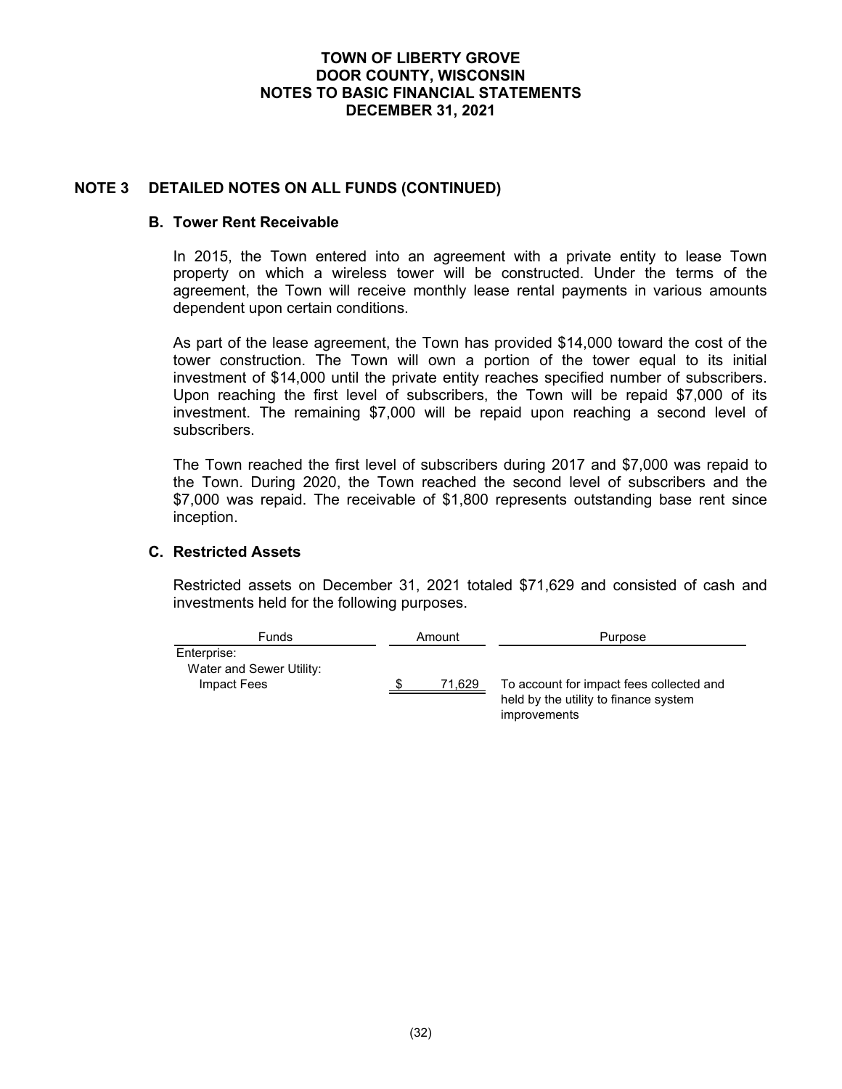### **NOTE 3 DETAILED NOTES ON ALL FUNDS (CONTINUED)**

#### **B. Tower Rent Receivable**

In 2015, the Town entered into an agreement with a private entity to lease Town property on which a wireless tower will be constructed. Under the terms of the agreement, the Town will receive monthly lease rental payments in various amounts dependent upon certain conditions.

As part of the lease agreement, the Town has provided \$14,000 toward the cost of the tower construction. The Town will own a portion of the tower equal to its initial investment of \$14,000 until the private entity reaches specified number of subscribers. Upon reaching the first level of subscribers, the Town will be repaid \$7,000 of its investment. The remaining \$7,000 will be repaid upon reaching a second level of subscribers.

The Town reached the first level of subscribers during 2017 and \$7,000 was repaid to the Town. During 2020, the Town reached the second level of subscribers and the \$7,000 was repaid. The receivable of \$1,800 represents outstanding base rent since inception.

#### **C. Restricted Assets**

Restricted assets on December 31, 2021 totaled \$71,629 and consisted of cash and investments held for the following purposes.

| Funds                                                  | Amount |        | Purpose                                                                                                  |
|--------------------------------------------------------|--------|--------|----------------------------------------------------------------------------------------------------------|
| Enterprise:<br>Water and Sewer Utility:<br>Impact Fees |        | 71,629 | To account for impact fees collected and<br>held by the utility to finance system<br><i>improvements</i> |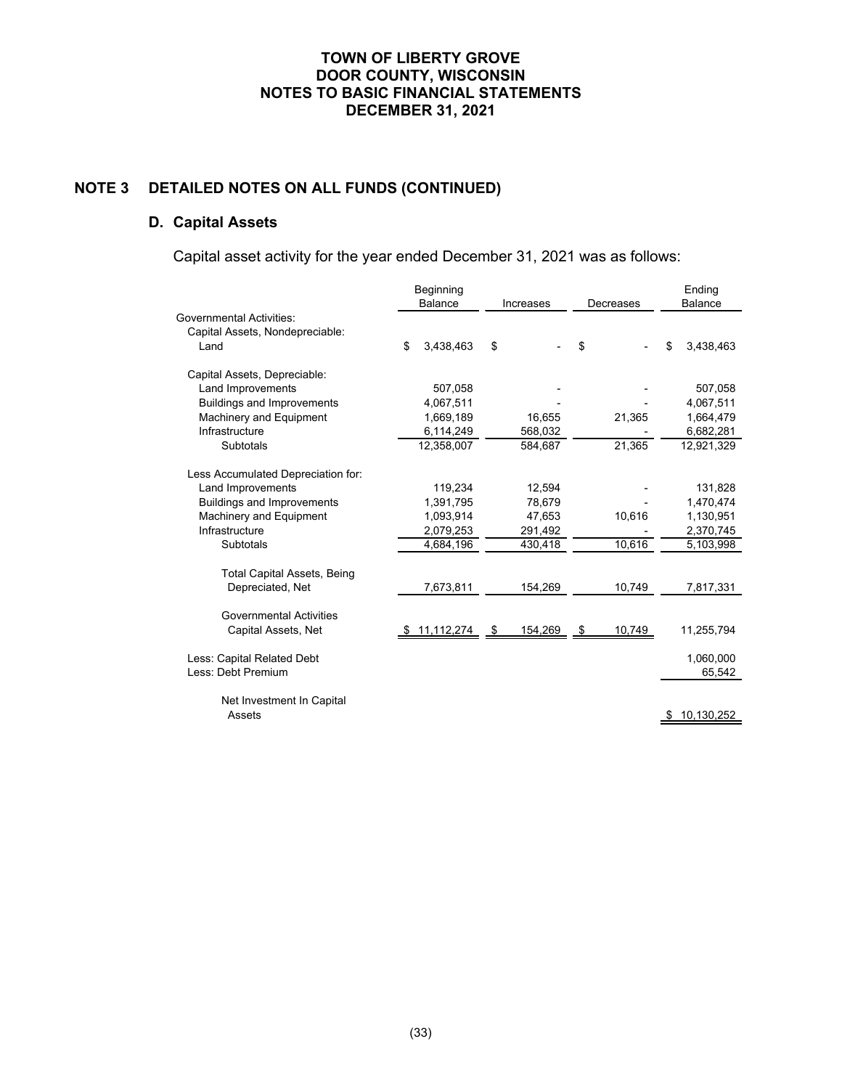# **NOTE 3 DETAILED NOTES ON ALL FUNDS (CONTINUED)**

# **D. Capital Assets**

Capital asset activity for the year ended December 31, 2021 was as follows:

|                                    | Beginning                         |    |                |              | Ending |            |  |
|------------------------------------|-----------------------------------|----|----------------|--------------|--------|------------|--|
|                                    | Balance<br>Increases<br>Decreases |    | <b>Balance</b> |              |        |            |  |
| Governmental Activities:           |                                   |    |                |              |        |            |  |
| Capital Assets, Nondepreciable:    |                                   |    |                |              |        |            |  |
| Land                               | \$<br>3,438,463                   | \$ |                | \$           | \$     | 3,438,463  |  |
| Capital Assets, Depreciable:       |                                   |    |                |              |        |            |  |
| Land Improvements                  | 507,058                           |    |                |              |        | 507,058    |  |
| <b>Buildings and Improvements</b>  | 4,067,511                         |    |                |              |        | 4,067,511  |  |
| Machinery and Equipment            | 1,669,189                         |    | 16,655         | 21,365       |        | 1,664,479  |  |
| Infrastructure                     | 6,114,249                         |    | 568,032        |              |        | 6,682,281  |  |
| <b>Subtotals</b>                   | 12.358.007                        |    | 584,687        | 21.365       |        | 12,921,329 |  |
| Less Accumulated Depreciation for: |                                   |    |                |              |        |            |  |
| Land Improvements                  | 119,234                           |    | 12,594         |              |        | 131,828    |  |
| <b>Buildings and Improvements</b>  | 1,391,795                         |    | 78.679         |              |        | 1,470,474  |  |
| Machinery and Equipment            | 1,093,914                         |    | 47,653         | 10,616       |        | 1,130,951  |  |
| Infrastructure                     | 2,079,253                         |    | 291,492        |              |        | 2,370,745  |  |
| Subtotals                          | 4,684,196                         |    | 430,418        | 10,616       |        | 5,103,998  |  |
| <b>Total Capital Assets, Being</b> |                                   |    |                |              |        |            |  |
| Depreciated, Net                   | 7,673,811                         |    | 154,269        | 10,749       |        | 7,817,331  |  |
| <b>Governmental Activities</b>     |                                   |    |                |              |        |            |  |
| Capital Assets, Net                | \$11,112,274                      | \$ | 154,269        | \$<br>10,749 |        | 11,255,794 |  |
| Less: Capital Related Debt         |                                   |    |                |              |        | 1,060,000  |  |
| Less: Debt Premium                 |                                   |    |                |              |        | 65,542     |  |
| Net Investment In Capital          |                                   |    |                |              |        |            |  |
| Assets                             |                                   |    |                |              | \$     | 10,130,252 |  |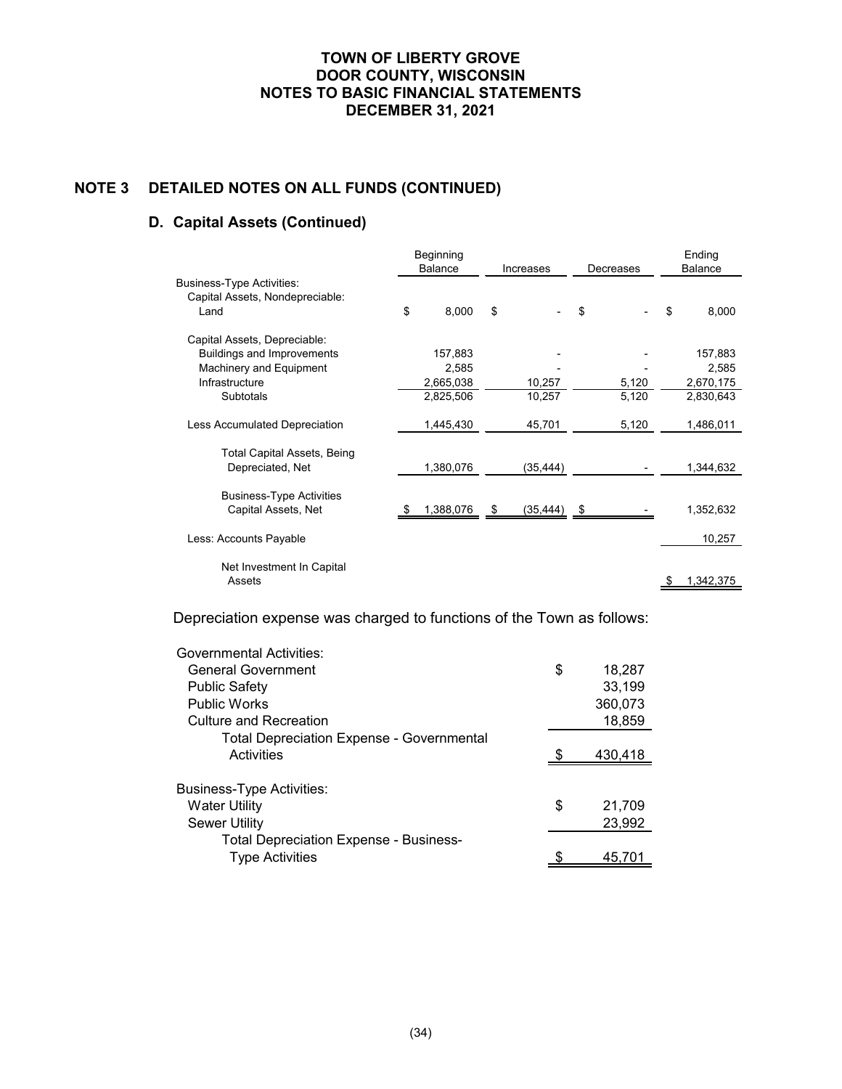# **NOTE 3 DETAILED NOTES ON ALL FUNDS (CONTINUED)**

# **D. Capital Assets (Continued)**

|                                   | Beginning<br><b>Balance</b><br>Increases |                  |    |           |           | Ending         |           |  |
|-----------------------------------|------------------------------------------|------------------|----|-----------|-----------|----------------|-----------|--|
| <b>Business-Type Activities:</b>  |                                          |                  |    |           | Decreases | <b>Balance</b> |           |  |
| Capital Assets, Nondepreciable:   |                                          |                  |    |           |           |                |           |  |
| Land                              | \$                                       | 8,000            | \$ |           | \$        | \$             | 8,000     |  |
|                                   |                                          |                  |    |           |           |                |           |  |
| Capital Assets, Depreciable:      |                                          |                  |    |           |           |                |           |  |
| <b>Buildings and Improvements</b> |                                          | 157,883          |    |           |           |                | 157,883   |  |
| Machinery and Equipment           |                                          | 2,585            |    |           |           |                | 2,585     |  |
| Infrastructure                    |                                          | 2,665,038        |    | 10,257    | 5,120     |                | 2,670,175 |  |
| Subtotals                         |                                          | 2,825,506        |    | 10,257    | 5,120     |                | 2,830,643 |  |
|                                   |                                          |                  |    |           |           |                |           |  |
| Less Accumulated Depreciation     |                                          | 1,445,430        |    | 45,701    | 5,120     |                | 1,486,011 |  |
|                                   |                                          |                  |    |           |           |                |           |  |
| Total Capital Assets, Being       |                                          |                  |    |           |           |                |           |  |
| Depreciated, Net                  |                                          | 1,380,076        |    | (35, 444) |           |                | 1,344,632 |  |
| <b>Business-Type Activities</b>   |                                          |                  |    |           |           |                |           |  |
|                                   |                                          |                  |    |           |           |                |           |  |
| Capital Assets, Net               |                                          | <u>1,388,076</u> | -S | (35, 444) |           |                | 1,352,632 |  |
| Less: Accounts Payable            |                                          |                  |    |           |           |                | 10,257    |  |
|                                   |                                          |                  |    |           |           |                |           |  |
| Net Investment In Capital         |                                          |                  |    |           |           |                |           |  |
| Assets                            |                                          |                  |    |           |           |                | 1,342,375 |  |
|                                   |                                          |                  |    |           |           |                |           |  |

Depreciation expense was charged to functions of the Town as follows:

| Governmental Activities:                         |              |
|--------------------------------------------------|--------------|
| <b>General Government</b>                        | \$<br>18,287 |
| <b>Public Safety</b>                             | 33,199       |
| <b>Public Works</b>                              | 360,073      |
| Culture and Recreation                           | 18,859       |
| <b>Total Depreciation Expense - Governmental</b> |              |
| Activities                                       | 430,418      |
|                                                  |              |
| Business-Type Activities:                        |              |
| <b>Water Utility</b>                             | \$<br>21,709 |
| <b>Sewer Utility</b>                             | 23,992       |
| <b>Total Depreciation Expense - Business-</b>    |              |
| <b>Type Activities</b>                           |              |
|                                                  |              |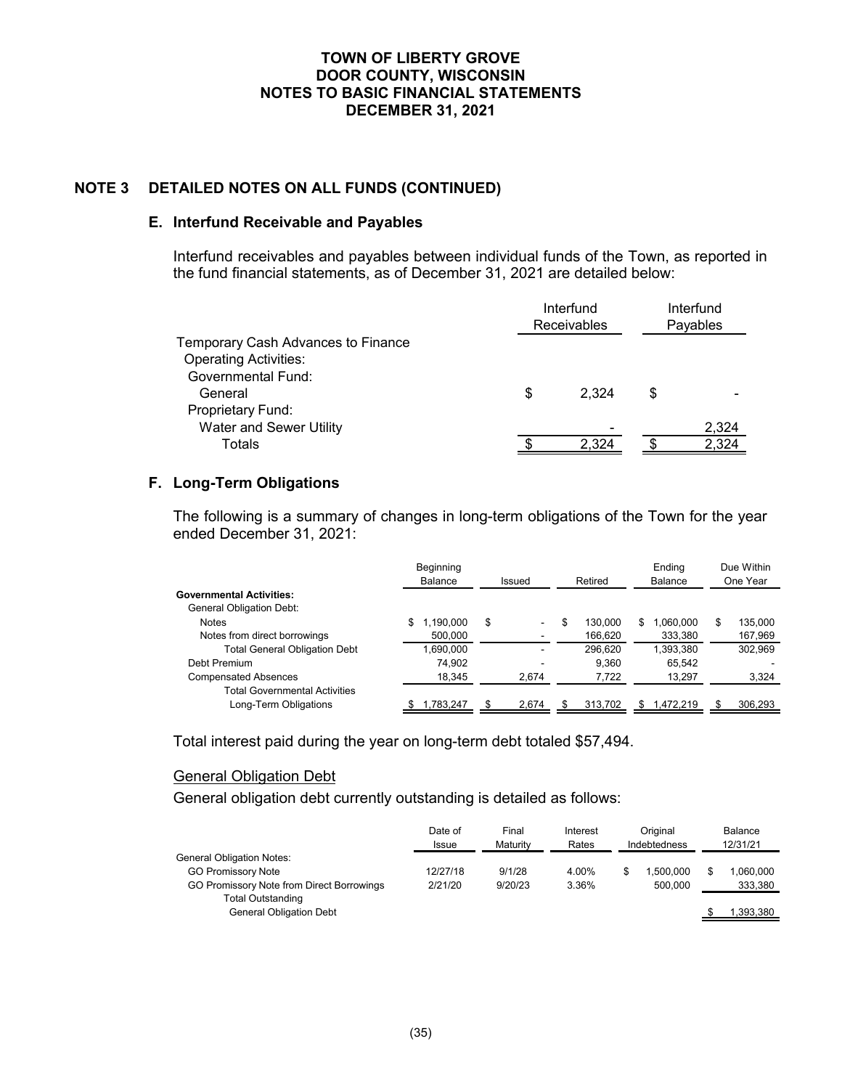### **NOTE 3 DETAILED NOTES ON ALL FUNDS (CONTINUED)**

#### **E. Interfund Receivable and Payables**

Interfund receivables and payables between individual funds of the Town, as reported in the fund financial statements, as of December 31, 2021 are detailed below:

|                                    | Interfund<br>Receivables | Interfund<br>Payables |   |       |
|------------------------------------|--------------------------|-----------------------|---|-------|
| Temporary Cash Advances to Finance |                          |                       |   |       |
| <b>Operating Activities:</b>       |                          |                       |   |       |
| <b>Governmental Fund:</b>          |                          |                       |   |       |
| General                            | \$                       | 2.324                 | S |       |
| Proprietary Fund:                  |                          |                       |   |       |
| Water and Sewer Utility            |                          |                       |   | 2.324 |
| Totals                             |                          | 2.324                 |   | 2,324 |
|                                    |                          |                       |   |       |

### **F. Long-Term Obligations**

The following is a summary of changes in long-term obligations of the Town for the year ended December 31, 2021:

|                                      | Beginning      |                                |               |    | Ending    | Due Within |
|--------------------------------------|----------------|--------------------------------|---------------|----|-----------|------------|
|                                      | <b>Balance</b> | Issued                         | Retired       |    | Balance   | One Year   |
| <b>Governmental Activities:</b>      |                |                                |               |    |           |            |
| <b>General Obligation Debt:</b>      |                |                                |               |    |           |            |
| <b>Notes</b>                         | 1.190.000      | \$<br>$\overline{\phantom{a}}$ | \$<br>130.000 | S  | 1.060.000 | 135.000    |
| Notes from direct borrowings         | 500,000        |                                | 166,620       |    | 333.380   | 167,969    |
| <b>Total General Obligation Debt</b> | 1.690.000      |                                | 296.620       |    | 1,393,380 | 302.969    |
| Debt Premium                         | 74.902         |                                | 9.360         |    | 65.542    |            |
| <b>Compensated Absences</b>          | 18,345         | 2.674                          | 7,722         |    | 13.297    | 3,324      |
| <b>Total Governmental Activities</b> |                |                                |               |    |           |            |
| Long-Term Obligations                | 1,783,247      | 2,674                          | 313,702       | £. | 472,219,  | 306,293    |

Total interest paid during the year on long-term debt totaled \$57,494.

#### General Obligation Debt

General obligation debt currently outstanding is detailed as follows:

|                                                                       | Date of<br><b>Issue</b> | Final<br>Maturity | Interest<br>Rates | Original<br>Indebtedness |          |   | Balance<br>12/31/21 |
|-----------------------------------------------------------------------|-------------------------|-------------------|-------------------|--------------------------|----------|---|---------------------|
| General Obligation Notes:                                             |                         |                   |                   |                          |          |   |                     |
| <b>GO Promissory Note</b>                                             | 12/27/18                | 9/1/28            | 4.00%             |                          | .500.000 | S | 1.060.000           |
| GO Promissory Note from Direct Borrowings<br><b>Total Outstanding</b> | 2/21/20                 | 9/20/23           | 3.36%             |                          | 500.000  |   | 333,380             |
| General Obligation Debt                                               |                         |                   |                   |                          |          |   | 1.393.380           |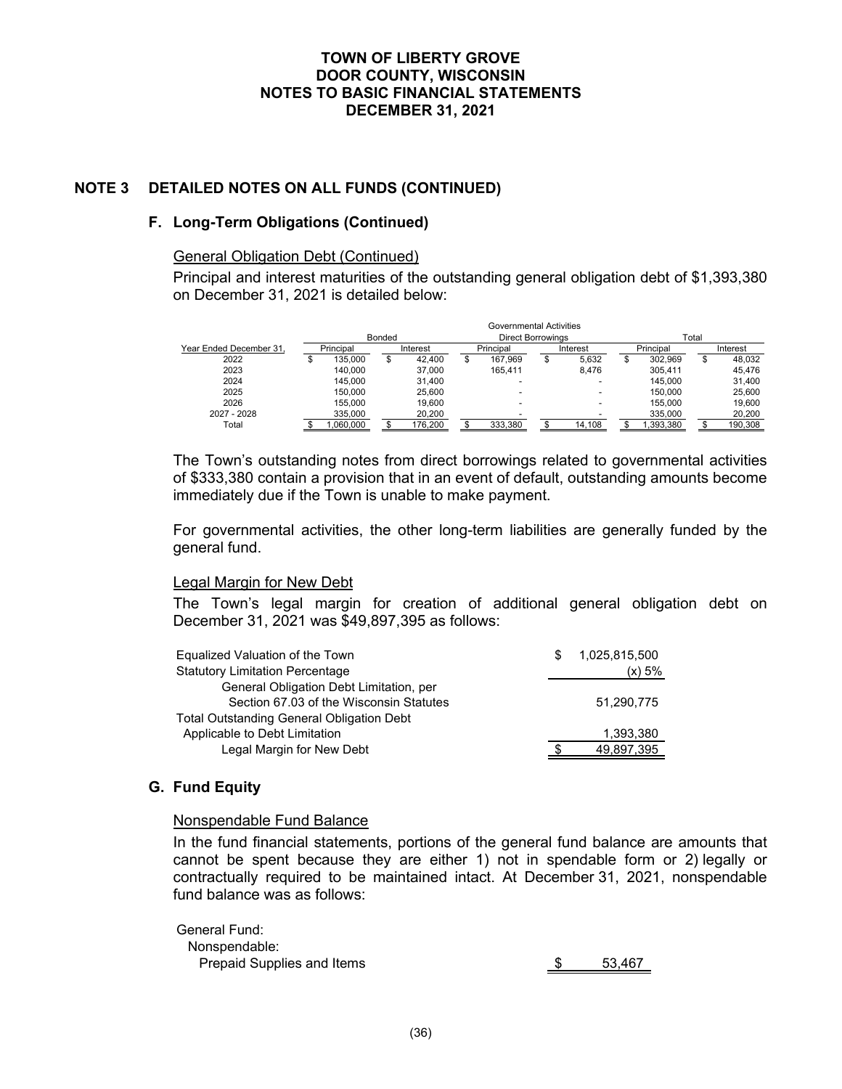### **NOTE 3 DETAILED NOTES ON ALL FUNDS (CONTINUED)**

#### **F. Long-Term Obligations (Continued)**

#### General Obligation Debt (Continued)

Principal and interest maturities of the outstanding general obligation debt of \$1,393,380 on December 31, 2021 is detailed below:

|                         | Governmental Activities |           |   |                          |   |           |       |          |   |           |  |          |
|-------------------------|-------------------------|-----------|---|--------------------------|---|-----------|-------|----------|---|-----------|--|----------|
|                         | Bonded                  |           |   | <b>Direct Borrowings</b> |   |           | Total |          |   |           |  |          |
| Year Ended December 31. |                         | Principal |   | Interest                 |   | Principal |       | Interest |   | Principal |  | Interest |
| 2022                    |                         | 135.000   | S | 42.400                   | æ | 167.969   |       | 5.632    | æ | 302.969   |  | 48.032   |
| 2023                    |                         | 140.000   |   | 37,000                   |   | 165.411   |       | 8.476    |   | 305.411   |  | 45.476   |
| 2024                    |                         | 145.000   |   | 31.400                   |   |           |       |          |   | 145.000   |  | 31.400   |
| 2025                    |                         | 150.000   |   | 25.600                   |   |           |       |          |   | 150,000   |  | 25.600   |
| 2026                    |                         | 155.000   |   | 19,600                   |   |           |       |          |   | 155,000   |  | 19.600   |
| 2027 - 2028             |                         | 335,000   |   | 20.200                   |   |           |       |          |   | 335,000   |  | 20,200   |
| Total                   |                         | 000.000.1 |   | 176.200                  |   | 333,380   |       | 14,108   |   | 1,393,380 |  | 190,308  |

The Town's outstanding notes from direct borrowings related to governmental activities of \$333,380 contain a provision that in an event of default, outstanding amounts become immediately due if the Town is unable to make payment.

For governmental activities, the other long-term liabilities are generally funded by the general fund.

#### Legal Margin for New Debt

The Town's legal margin for creation of additional general obligation debt on December 31, 2021 was \$49,897,395 as follows:

| 1,025,815,500 |
|---------------|
| (x) 5%        |
|               |
| 51,290,775    |
|               |
| 1,393,380     |
| 49,897,395    |
|               |

### **G. Fund Equity**

#### Nonspendable Fund Balance

In the fund financial statements, portions of the general fund balance are amounts that cannot be spent because they are either 1) not in spendable form or 2) legally or contractually required to be maintained intact. At December 31, 2021, nonspendable fund balance was as follows:

| General Fund:              |        |
|----------------------------|--------|
| Nonspendable:              |        |
| Prepaid Supplies and Items | 53.467 |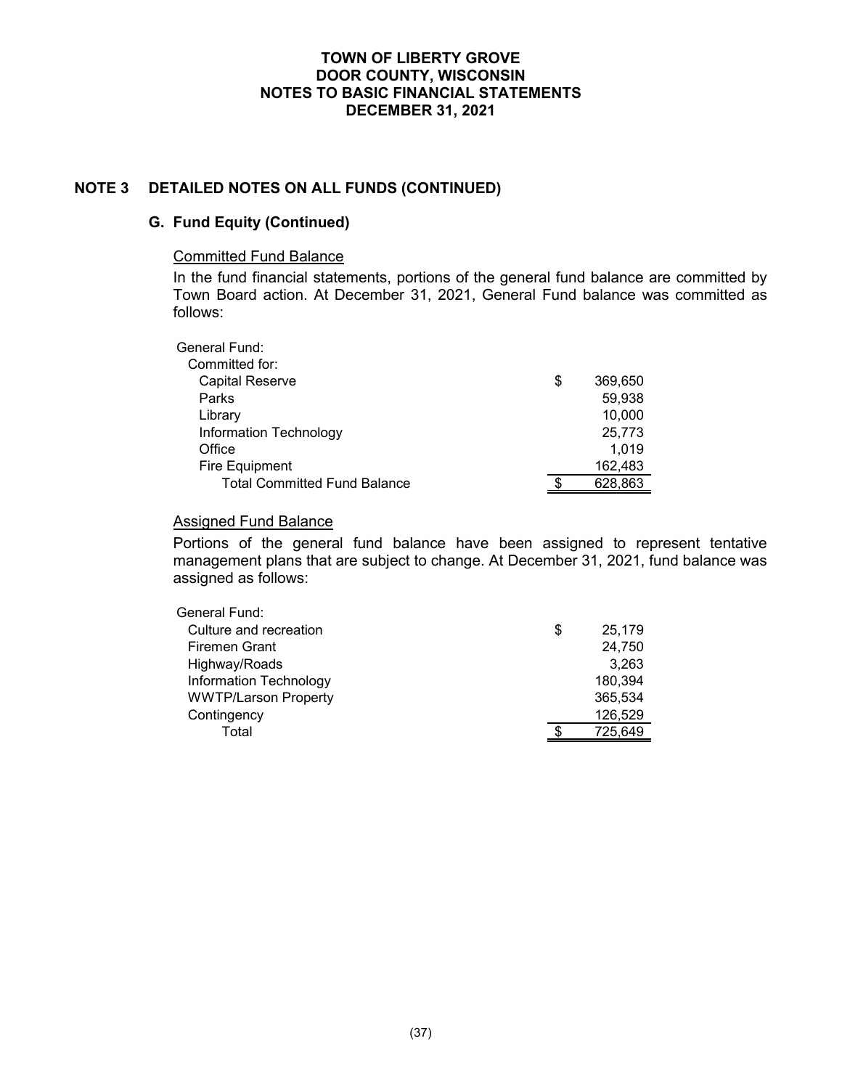### **NOTE 3 DETAILED NOTES ON ALL FUNDS (CONTINUED)**

### **G. Fund Equity (Continued)**

Committed Fund Balance

In the fund financial statements, portions of the general fund balance are committed by Town Board action. At December 31, 2021, General Fund balance was committed as follows:

| General Fund:                       |               |
|-------------------------------------|---------------|
| Committed for:                      |               |
| <b>Capital Reserve</b>              | \$<br>369,650 |
| Parks                               | 59,938        |
| Library                             | 10,000        |
| Information Technology              | 25,773        |
| Office                              | 1,019         |
| Fire Equipment                      | 162,483       |
| <b>Total Committed Fund Balance</b> | 628,863       |

#### Assigned Fund Balance

Portions of the general fund balance have been assigned to represent tentative management plans that are subject to change. At December 31, 2021, fund balance was assigned as follows:

| General Fund:               |   |         |
|-----------------------------|---|---------|
| Culture and recreation      | S | 25.179  |
| <b>Firemen Grant</b>        |   | 24,750  |
| Highway/Roads               |   | 3,263   |
| Information Technology      |   | 180,394 |
| <b>WWTP/Larson Property</b> |   | 365,534 |
| Contingency                 |   | 126,529 |
| Total                       |   | 725,649 |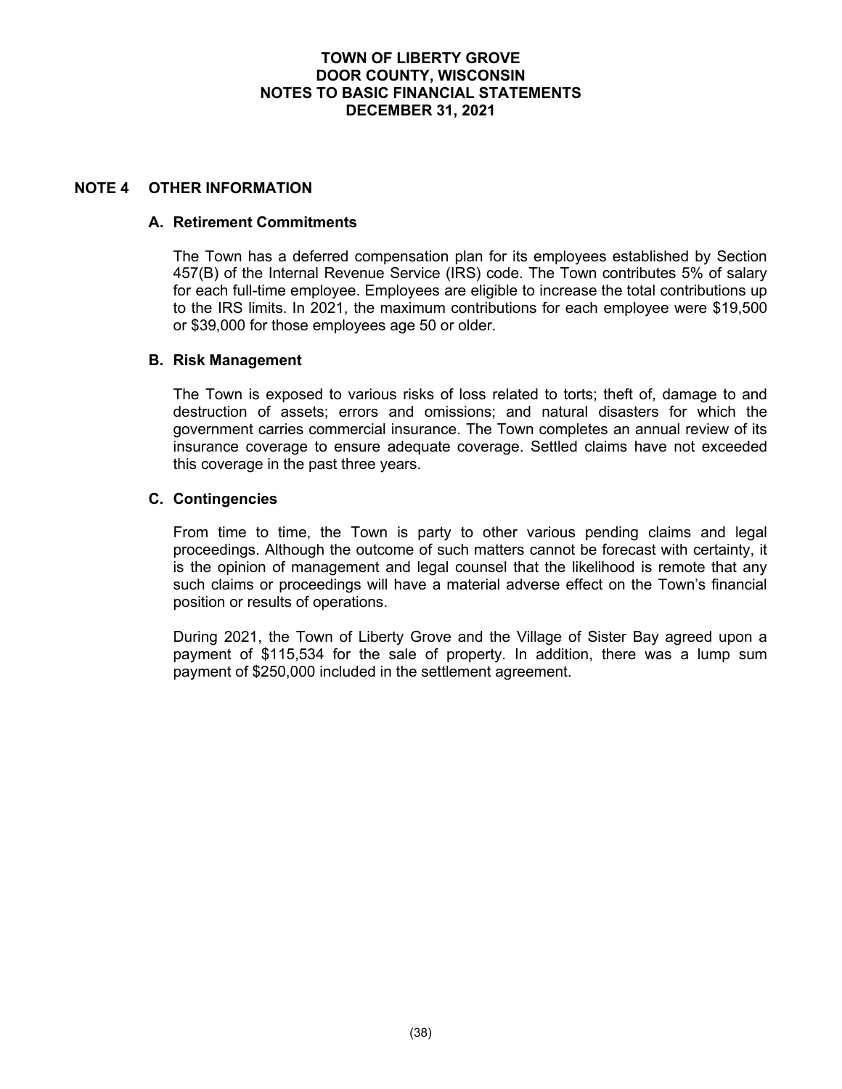#### **NOTE 4 OTHER INFORMATION**

#### **A. Retirement Commitments**

The Town has a deferred compensation plan for its employees established by Section 457(B) of the Internal Revenue Service (IRS) code. The Town contributes 5% of salary for each full-time employee. Employees are eligible to increase the total contributions up to the IRS limits. In 2021, the maximum contributions for each employee were \$19,500 or \$39,000 for those employees age 50 or older.

#### **B. Risk Management**

The Town is exposed to various risks of loss related to torts; theft of, damage to and destruction of assets; errors and omissions; and natural disasters for which the government carries commercial insurance. The Town completes an annual review of its insurance coverage to ensure adequate coverage. Settled claims have not exceeded this coverage in the past three years.

#### **C. Contingencies**

From time to time, the Town is party to other various pending claims and legal proceedings. Although the outcome of such matters cannot be forecast with certainty, it is the opinion of management and legal counsel that the likelihood is remote that any such claims or proceedings will have a material adverse effect on the Town's financial position or results of operations.

During 2021, the Town of Liberty Grove and the Village of Sister Bay agreed upon a payment of \$115,534 for the sale of property. In addition, there was a lump sum payment of \$250,000 included in the settlement agreement.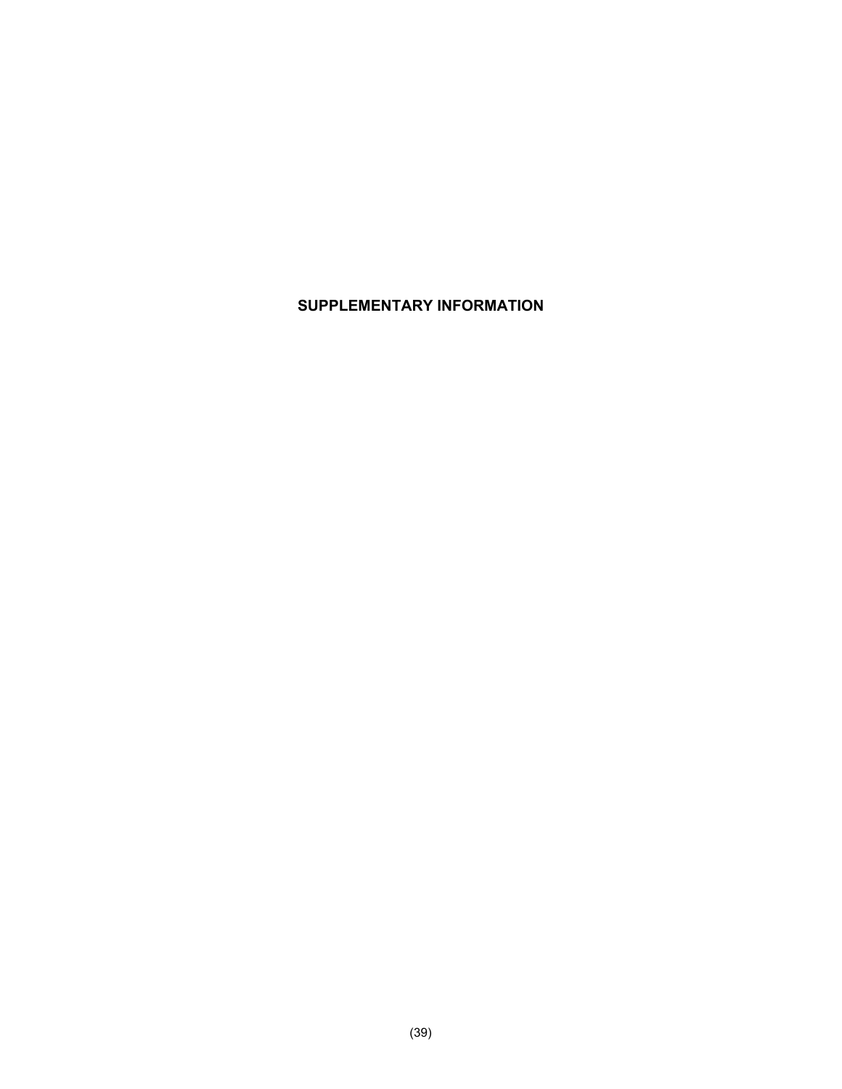# **SUPPLEMENTARY INFORMATION**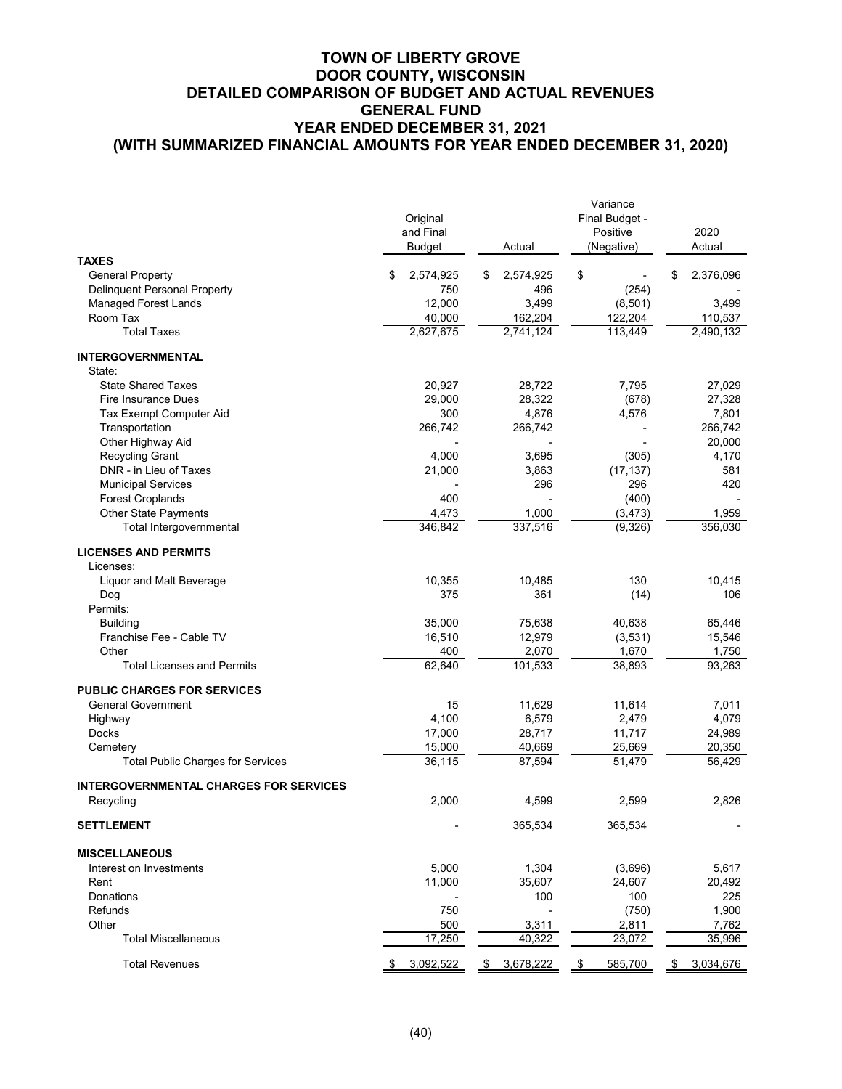#### **TOWN OF LIBERTY GROVE DOOR COUNTY, WISCONSIN DETAILED COMPARISON OF BUDGET AND ACTUAL REVENUES GENERAL FUND YEAR ENDED DECEMBER 31, 2021 (WITH SUMMARIZED FINANCIAL AMOUNTS FOR YEAR ENDED DECEMBER 31, 2020)**

|                                               | Original<br>and Final<br><b>Budget</b> | Actual               | Variance<br>Final Budget -<br>Positive<br>(Negative) | 2020<br>Actual  |
|-----------------------------------------------|----------------------------------------|----------------------|------------------------------------------------------|-----------------|
| <b>TAXES</b>                                  |                                        |                      |                                                      |                 |
| <b>General Property</b>                       | \$<br>2,574,925                        | \$<br>2,574,925      | \$                                                   | \$<br>2,376,096 |
| Delinquent Personal Property                  | 750                                    | 496                  | (254)                                                |                 |
| <b>Managed Forest Lands</b>                   | 12,000                                 | 3,499                | (8,501)                                              | 3,499           |
| Room Tax<br><b>Total Taxes</b>                | 40,000                                 | 162,204<br>2,741,124 | 122,204                                              | 110,537         |
|                                               | 2,627,675                              |                      | 113,449                                              | 2,490,132       |
| <b>INTERGOVERNMENTAL</b><br>State:            |                                        |                      |                                                      |                 |
| <b>State Shared Taxes</b>                     | 20,927                                 | 28,722               | 7,795                                                | 27,029          |
| Fire Insurance Dues                           | 29,000                                 | 28,322               | (678)                                                | 27,328          |
| Tax Exempt Computer Aid                       | 300                                    | 4,876                | 4,576                                                | 7,801           |
| Transportation                                | 266,742                                | 266,742              |                                                      | 266,742         |
| Other Highway Aid                             |                                        |                      |                                                      | 20,000          |
| Recycling Grant                               | 4,000                                  | 3,695                | (305)                                                | 4,170           |
| DNR - in Lieu of Taxes                        | 21,000                                 | 3,863                | (17, 137)                                            | 581             |
| <b>Municipal Services</b>                     |                                        | 296                  | 296                                                  | 420             |
| Forest Croplands                              | 400                                    |                      | (400)                                                |                 |
| Other State Payments                          | 4,473                                  | 1,000                | (3, 473)                                             | 1,959           |
| Total Intergovernmental                       | 346,842                                | 337,516              | (9,326)                                              | 356,030         |
| <b>LICENSES AND PERMITS</b><br>Licenses:      |                                        |                      |                                                      |                 |
| Liquor and Malt Beverage                      | 10,355                                 | 10,485               | 130                                                  | 10,415          |
| Dog                                           | 375                                    | 361                  | (14)                                                 | 106             |
| Permits:                                      |                                        |                      |                                                      |                 |
| <b>Building</b>                               | 35,000                                 | 75,638               | 40,638                                               | 65,446          |
| Franchise Fee - Cable TV                      | 16,510                                 | 12,979               | (3,531)                                              | 15,546          |
| Other                                         | 400                                    | 2,070                | 1,670                                                | 1,750           |
| <b>Total Licenses and Permits</b>             | 62,640                                 | 101,533              | 38,893                                               | 93,263          |
| <b>PUBLIC CHARGES FOR SERVICES</b>            |                                        |                      |                                                      |                 |
| <b>General Government</b>                     | 15                                     | 11,629               | 11,614                                               | 7,011           |
| Highway                                       | 4,100                                  | 6,579                | 2,479                                                | 4,079           |
| Docks                                         | 17,000                                 | 28,717               | 11,717                                               | 24,989          |
| Cemetery                                      | 15,000                                 | 40,669               | 25,669                                               | 20,350          |
| <b>Total Public Charges for Services</b>      | 36,115                                 | 87,594               | 51,479                                               | 56,429          |
| <b>INTERGOVERNMENTAL CHARGES FOR SERVICES</b> |                                        |                      |                                                      |                 |
| Recycling                                     | 2,000                                  | 4,599                | 2,599                                                | 2,826           |
| <b>SETTLEMENT</b>                             |                                        | 365,534              | 365,534                                              |                 |
| <b>MISCELLANEOUS</b>                          |                                        |                      |                                                      |                 |
| Interest on Investments                       | 5,000                                  | 1,304                | (3,696)                                              | 5,617           |
| Rent                                          | 11,000                                 | 35,607               | 24,607                                               | 20,492          |
| Donations                                     |                                        | 100                  | 100                                                  | 225             |
| Refunds                                       | 750                                    |                      | (750)                                                | 1,900           |
| Other                                         | 500                                    | 3,311                | 2,811                                                | 7,762           |
| <b>Total Miscellaneous</b>                    | 17,250                                 | 40,322               | 23,072                                               | 35,996          |
| <b>Total Revenues</b>                         | 3,092,522<br>S                         | 3,678,222<br>S       | 585,700<br>\$                                        | 3,034,676<br>\$ |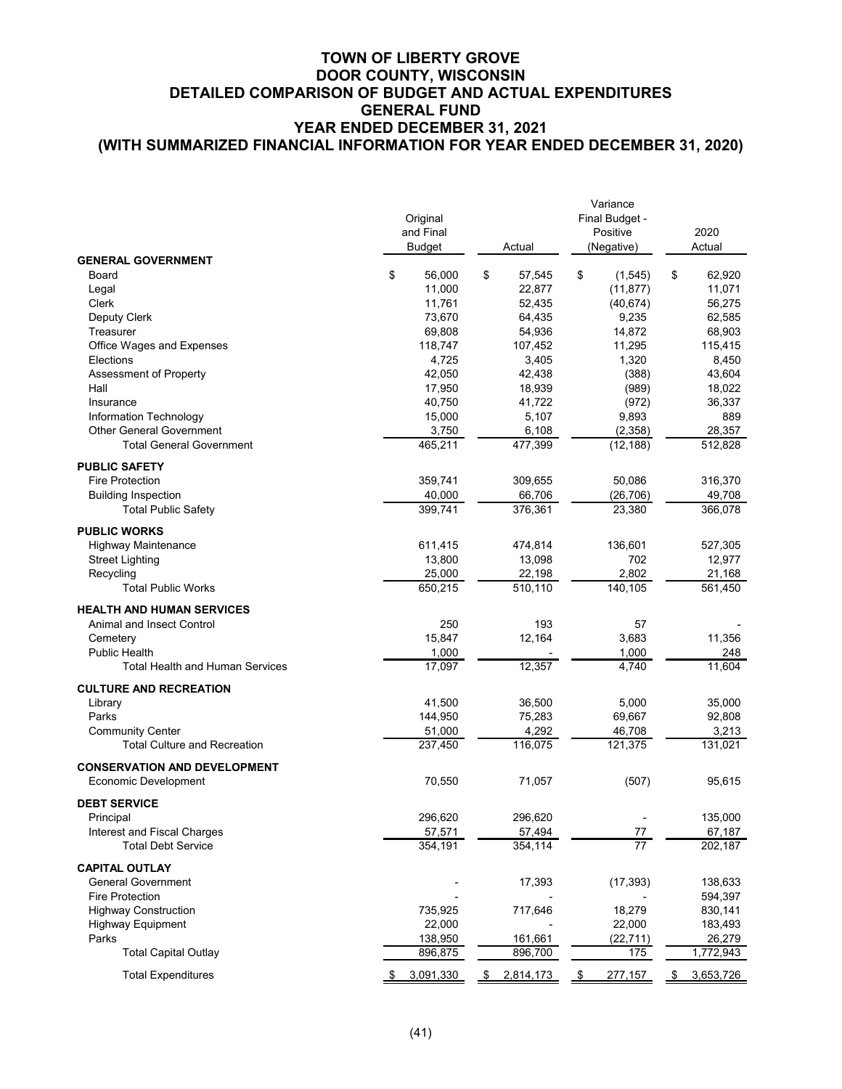#### **TOWN OF LIBERTY GROVE DOOR COUNTY, WISCONSIN DETAILED COMPARISON OF BUDGET AND ACTUAL EXPENDITURES GENERAL FUND YEAR ENDED DECEMBER 31, 2021 (WITH SUMMARIZED FINANCIAL INFORMATION FOR YEAR ENDED DECEMBER 31, 2020)**

|                                        | Original<br>and Final<br><b>Budget</b> | Actual                 | Variance<br>Final Budget -<br>Positive<br>(Negative) | 2020<br>Actual  |
|----------------------------------------|----------------------------------------|------------------------|------------------------------------------------------|-----------------|
| <b>GENERAL GOVERNMENT</b>              |                                        |                        |                                                      |                 |
| Board                                  | \$<br>56,000                           | \$<br>57,545           | \$<br>(1,545)                                        | \$<br>62.920    |
| Legal                                  | 11,000                                 | 22,877                 | (11, 877)                                            | 11,071          |
| Clerk                                  | 11,761                                 | 52,435                 | (40, 674)                                            | 56,275          |
| Deputy Clerk                           | 73,670                                 | 64,435                 | 9,235                                                | 62,585          |
| Treasurer                              | 69,808                                 | 54,936                 | 14,872                                               | 68,903          |
| Office Wages and Expenses              | 118,747                                | 107,452                | 11,295                                               | 115,415         |
| Elections                              | 4,725                                  | 3,405                  | 1,320                                                | 8,450           |
| Assessment of Property                 | 42,050                                 | 42,438                 | (388)                                                | 43,604          |
| Hall                                   | 17,950                                 | 18,939                 | (989)                                                | 18,022          |
| Insurance                              | 40,750                                 | 41,722                 | (972)                                                | 36,337          |
| Information Technology                 | 15,000                                 | 5,107                  | 9,893                                                | 889             |
| <b>Other General Government</b>        | 3,750                                  | 6,108                  | (2, 358)                                             | 28,357          |
| <b>Total General Government</b>        | 465,211                                | 477,399                | (12, 188)                                            | 512,828         |
| <b>PUBLIC SAFETY</b>                   |                                        |                        |                                                      |                 |
| <b>Fire Protection</b>                 | 359,741                                | 309,655                | 50,086                                               | 316,370         |
| <b>Building Inspection</b>             | 40,000                                 | 66,706                 | (26, 706)                                            | 49,708          |
| <b>Total Public Safety</b>             | 399,741                                | 376,361                | 23,380                                               | 366,078         |
| <b>PUBLIC WORKS</b>                    |                                        |                        |                                                      |                 |
| <b>Highway Maintenance</b>             | 611,415                                | 474,814                | 136,601                                              | 527,305         |
| <b>Street Lighting</b>                 | 13,800                                 | 13,098                 | 702                                                  | 12,977          |
| Recycling                              | 25,000                                 | 22,198                 | 2,802                                                | 21,168          |
| <b>Total Public Works</b>              | 650,215                                | $\overline{510}$ , 110 | 140,105                                              | 561,450         |
| <b>HEALTH AND HUMAN SERVICES</b>       |                                        |                        |                                                      |                 |
| Animal and Insect Control              |                                        | 250<br>193             | 57                                                   |                 |
| Cemetery                               | 15,847                                 | 12,164                 | 3,683                                                | 11,356          |
| <b>Public Health</b>                   | 1,000                                  |                        | 1,000                                                | 248             |
| <b>Total Health and Human Services</b> | 17,097                                 | 12,357                 | 4,740                                                | 11,604          |
| <b>CULTURE AND RECREATION</b>          |                                        |                        |                                                      |                 |
| Library                                | 41,500                                 | 36,500                 | 5,000                                                | 35,000          |
| Parks                                  | 144,950                                | 75,283                 | 69,667                                               | 92,808          |
| <b>Community Center</b>                | 51,000                                 | 4,292                  | 46,708                                               | 3,213           |
| <b>Total Culture and Recreation</b>    | 237,450                                | 116,075                | 121,375                                              | 131,021         |
| <b>CONSERVATION AND DEVELOPMENT</b>    |                                        |                        |                                                      |                 |
| Economic Development                   | 70,550                                 | 71,057                 | (507)                                                | 95.615          |
| <b>DEBT SERVICE</b>                    |                                        |                        |                                                      |                 |
| Principal                              | 296,620                                | 296,620                |                                                      | 135,000         |
| Interest and Fiscal Charges            | 57,571                                 | 57,494                 | 77                                                   | 67,187          |
| <b>Total Debt Service</b>              | 354,191                                | 354, 114               | $\overline{77}$                                      | 202,187         |
| <b>CAPITAL OUTLAY</b>                  |                                        |                        |                                                      |                 |
| <b>General Government</b>              |                                        | 17,393                 | (17, 393)                                            | 138,633         |
| Fire Protection                        |                                        |                        |                                                      | 594,397         |
| <b>Highway Construction</b>            | 735,925                                | 717,646                | 18,279                                               | 830,141         |
| <b>Highway Equipment</b>               | 22,000                                 |                        | 22,000                                               | 183,493         |
| Parks                                  | 138,950                                | 161,661                | (22, 711)                                            | 26,279          |
| <b>Total Capital Outlay</b>            | 896,875                                | 896,700                | 175                                                  | 1,772,943       |
| <b>Total Expenditures</b>              | 3,091,330<br>\$                        | 2,814,173<br>\$        | \$<br>277,157                                        | 3,653,726<br>\$ |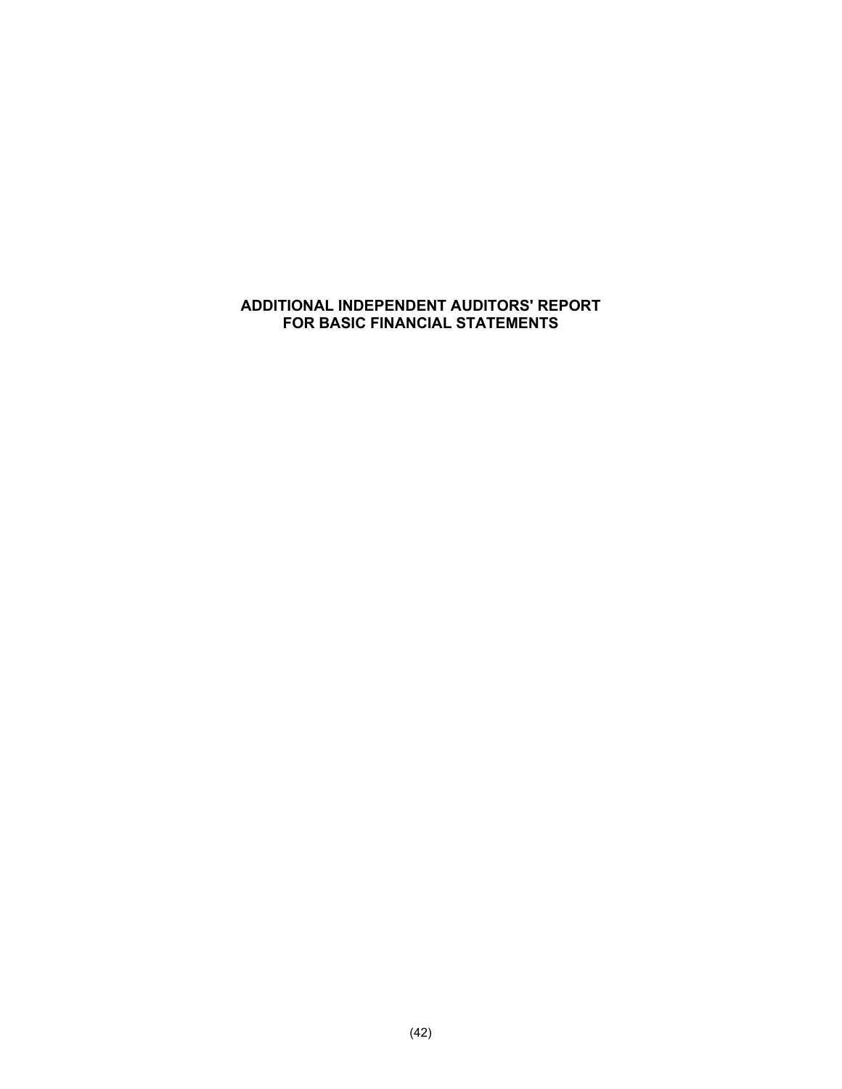# **ADDITIONAL INDEPENDENT AUDITORS' REPORT FOR BASIC FINANCIAL STATEMENTS**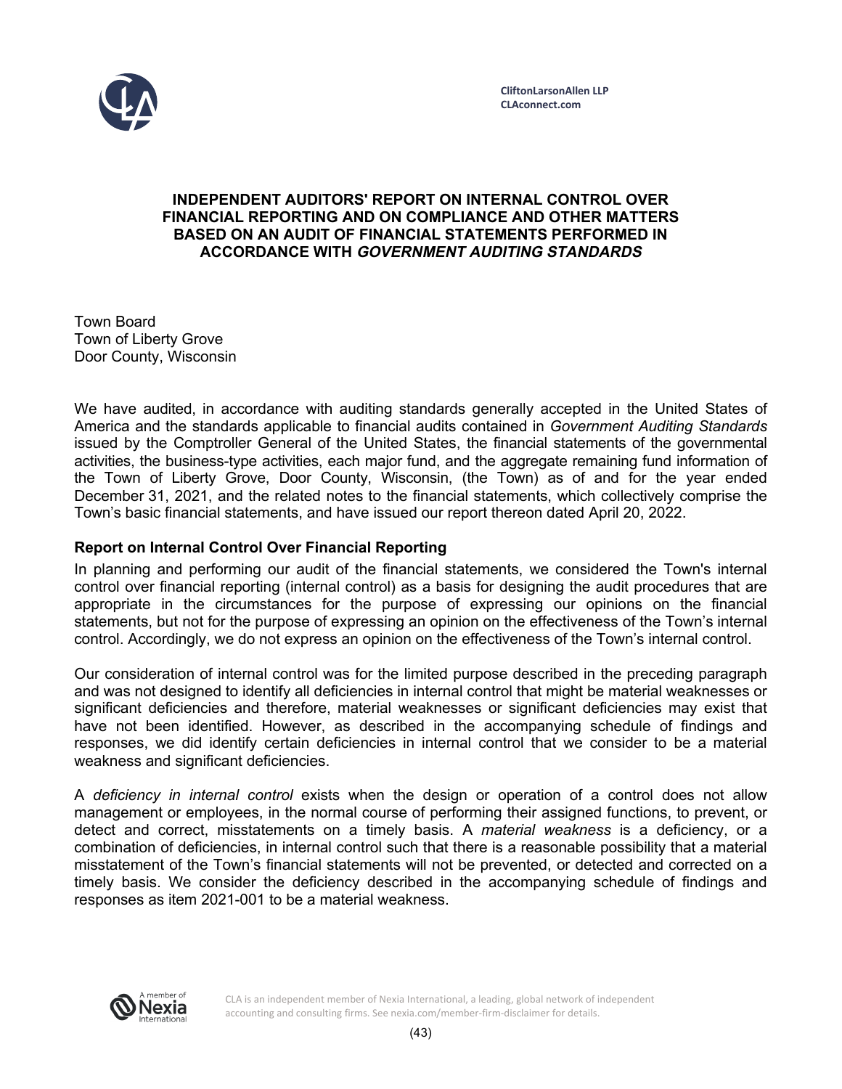

**CliftonLarsonAllen LLP CLAconnect.com**

### **INDEPENDENT AUDITORS' REPORT ON INTERNAL CONTROL OVER FINANCIAL REPORTING AND ON COMPLIANCE AND OTHER MATTERS BASED ON AN AUDIT OF FINANCIAL STATEMENTS PERFORMED IN ACCORDANCE WITH GOVERNMENT AUDITING STANDARDS**

Town Board Town of Liberty Grove Door County, Wisconsin

We have audited, in accordance with auditing standards generally accepted in the United States of America and the standards applicable to financial audits contained in *Government Auditing Standards* issued by the Comptroller General of the United States, the financial statements of the governmental activities, the business-type activities, each major fund, and the aggregate remaining fund information of the Town of Liberty Grove, Door County, Wisconsin, (the Town) as of and for the year ended December 31, 2021, and the related notes to the financial statements, which collectively comprise the Town's basic financial statements, and have issued our report thereon dated April 20, 2022.

### **Report on Internal Control Over Financial Reporting**

In planning and performing our audit of the financial statements, we considered the Town's internal control over financial reporting (internal control) as a basis for designing the audit procedures that are appropriate in the circumstances for the purpose of expressing our opinions on the financial statements, but not for the purpose of expressing an opinion on the effectiveness of the Town's internal control. Accordingly, we do not express an opinion on the effectiveness of the Town's internal control.

Our consideration of internal control was for the limited purpose described in the preceding paragraph and was not designed to identify all deficiencies in internal control that might be material weaknesses or significant deficiencies and therefore, material weaknesses or significant deficiencies may exist that have not been identified. However, as described in the accompanying schedule of findings and responses, we did identify certain deficiencies in internal control that we consider to be a material weakness and significant deficiencies.

A *deficiency in internal control* exists when the design or operation of a control does not allow management or employees, in the normal course of performing their assigned functions, to prevent, or detect and correct, misstatements on a timely basis. A *material weakness* is a deficiency, or a combination of deficiencies, in internal control such that there is a reasonable possibility that a material misstatement of the Town's financial statements will not be prevented, or detected and corrected on a timely basis. We consider the deficiency described in the accompanying schedule of findings and responses as item 2021-001 to be a material weakness.



CLA is an independent member of Nexia International, a leading, global network of independent accounting and consulting firms. See nexia.com/member-firm-disclaimer for details.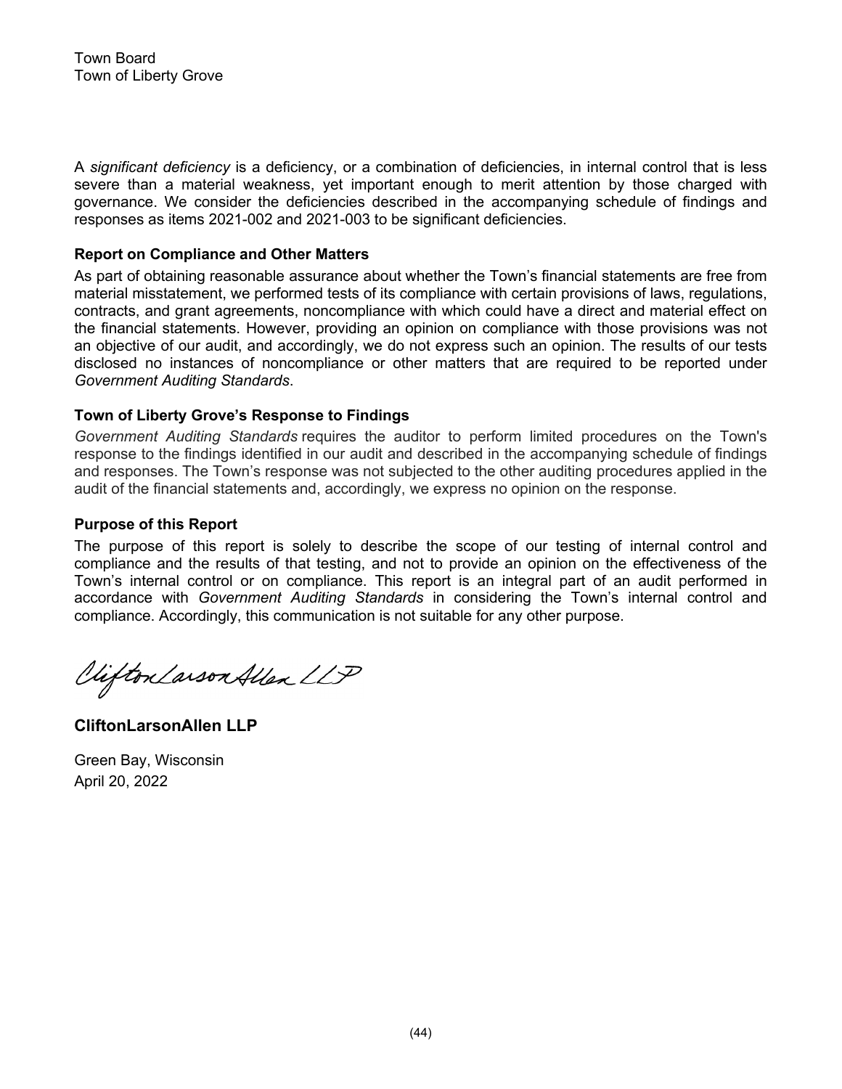A *significant deficiency* is a deficiency, or a combination of deficiencies, in internal control that is less severe than a material weakness, yet important enough to merit attention by those charged with governance. We consider the deficiencies described in the accompanying schedule of findings and responses as items 2021-002 and 2021-003 to be significant deficiencies.

### **Report on Compliance and Other Matters**

As part of obtaining reasonable assurance about whether the Town's financial statements are free from material misstatement, we performed tests of its compliance with certain provisions of laws, regulations, contracts, and grant agreements, noncompliance with which could have a direct and material effect on the financial statements. However, providing an opinion on compliance with those provisions was not an objective of our audit, and accordingly, we do not express such an opinion. The results of our tests disclosed no instances of noncompliance or other matters that are required to be reported under *Government Auditing Standards*.

### **Town of Liberty Grove's Response to Findings**

*Government Auditing Standards* requires the auditor to perform limited procedures on the Town's response to the findings identified in our audit and described in the accompanying schedule of findings and responses. The Town's response was not subjected to the other auditing procedures applied in the audit of the financial statements and, accordingly, we express no opinion on the response.

#### **Purpose of this Report**

The purpose of this report is solely to describe the scope of our testing of internal control and compliance and the results of that testing, and not to provide an opinion on the effectiveness of the Town's internal control or on compliance. This report is an integral part of an audit performed in accordance with *Government Auditing Standards* in considering the Town's internal control and compliance. Accordingly, this communication is not suitable for any other purpose.

Viifton Larson Allen LLP

**CliftonLarsonAllen LLP**

Green Bay, Wisconsin April 20, 2022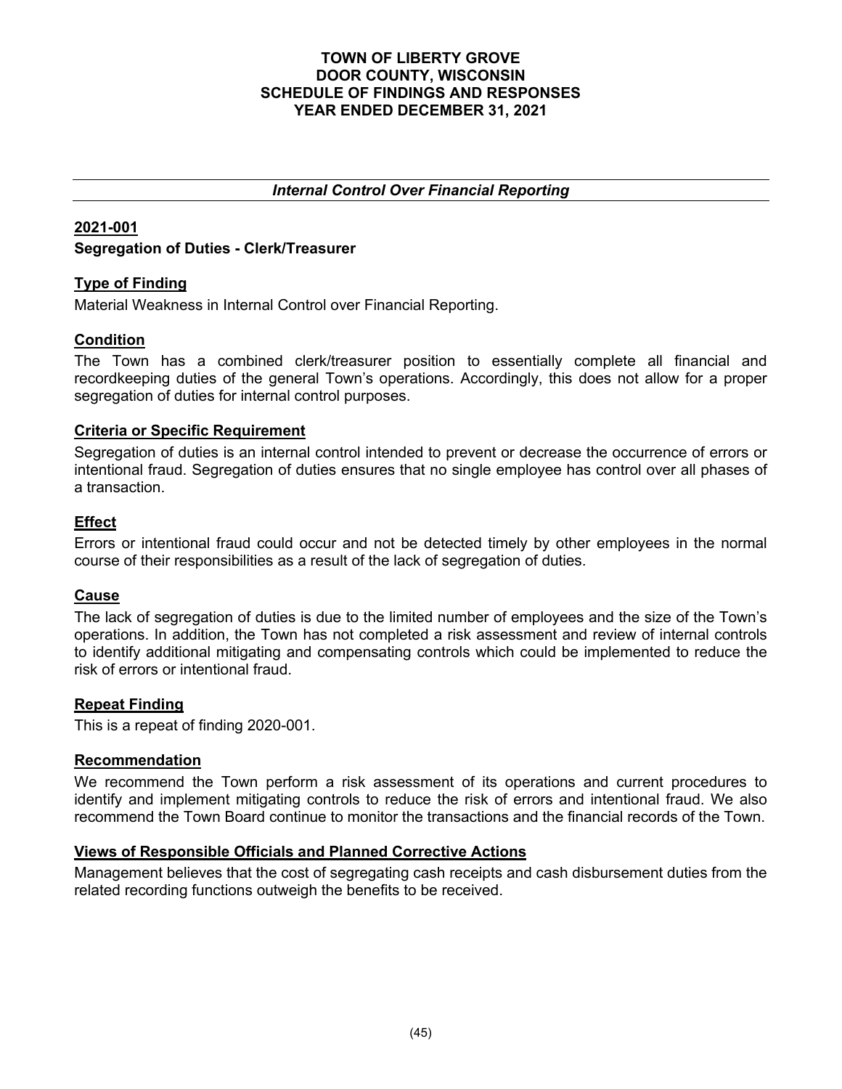#### **TOWN OF LIBERTY GROVE DOOR COUNTY, WISCONSIN SCHEDULE OF FINDINGS AND RESPONSES YEAR ENDED DECEMBER 31, 2021**

#### *Internal Control Over Financial Reporting*

### **2021-001**

### **Segregation of Duties - Clerk/Treasurer**

### **Type of Finding**

Material Weakness in Internal Control over Financial Reporting.

### **Condition**

The Town has a combined clerk/treasurer position to essentially complete all financial and recordkeeping duties of the general Town's operations. Accordingly, this does not allow for a proper segregation of duties for internal control purposes.

### **Criteria or Specific Requirement**

Segregation of duties is an internal control intended to prevent or decrease the occurrence of errors or intentional fraud. Segregation of duties ensures that no single employee has control over all phases of a transaction.

### **Effect**

Errors or intentional fraud could occur and not be detected timely by other employees in the normal course of their responsibilities as a result of the lack of segregation of duties.

### **Cause**

The lack of segregation of duties is due to the limited number of employees and the size of the Town's operations. In addition, the Town has not completed a risk assessment and review of internal controls to identify additional mitigating and compensating controls which could be implemented to reduce the risk of errors or intentional fraud.

#### **Repeat Finding**

This is a repeat of finding 2020-001.

#### **Recommendation**

We recommend the Town perform a risk assessment of its operations and current procedures to identify and implement mitigating controls to reduce the risk of errors and intentional fraud. We also recommend the Town Board continue to monitor the transactions and the financial records of the Town.

#### **Views of Responsible Officials and Planned Corrective Actions**

Management believes that the cost of segregating cash receipts and cash disbursement duties from the related recording functions outweigh the benefits to be received.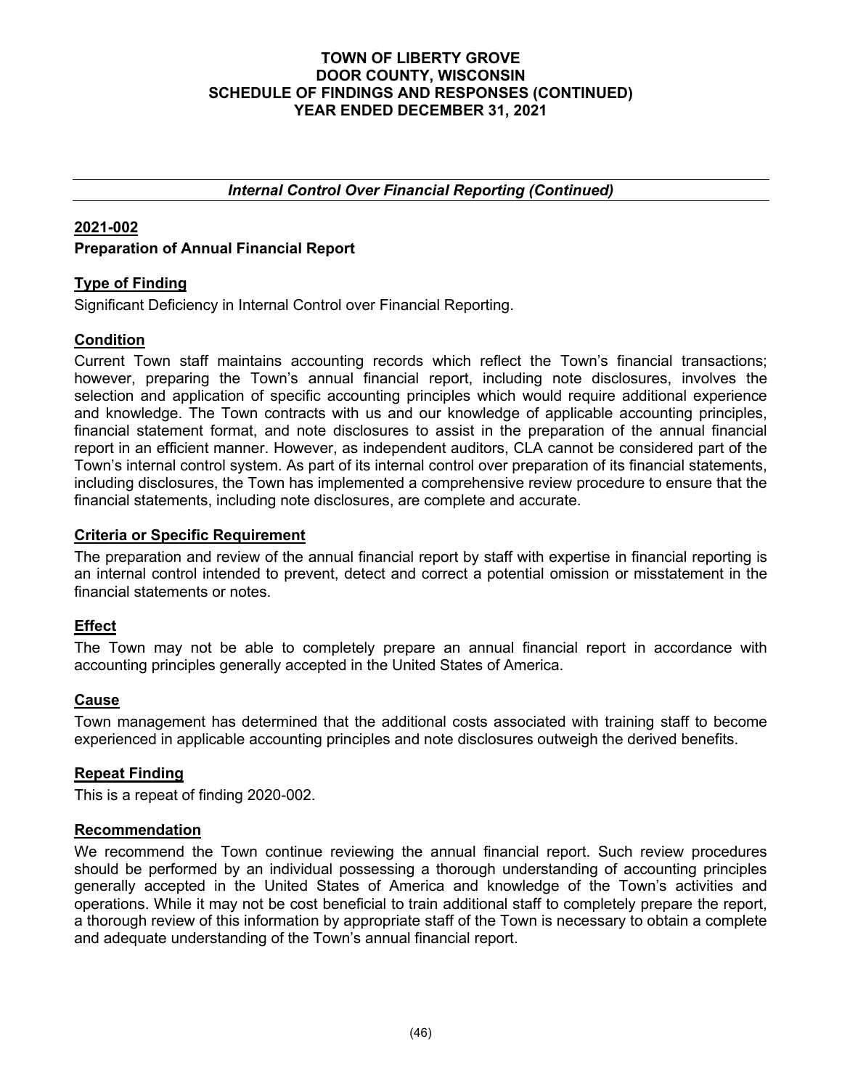#### **TOWN OF LIBERTY GROVE DOOR COUNTY, WISCONSIN SCHEDULE OF FINDINGS AND RESPONSES (CONTINUED) YEAR ENDED DECEMBER 31, 2021**

*Internal Control Over Financial Reporting (Continued)*

### **2021-002**

### **Preparation of Annual Financial Report**

### **Type of Finding**

Significant Deficiency in Internal Control over Financial Reporting.

### **Condition**

Current Town staff maintains accounting records which reflect the Town's financial transactions; however, preparing the Town's annual financial report, including note disclosures, involves the selection and application of specific accounting principles which would require additional experience and knowledge. The Town contracts with us and our knowledge of applicable accounting principles, financial statement format, and note disclosures to assist in the preparation of the annual financial report in an efficient manner. However, as independent auditors, CLA cannot be considered part of the Town's internal control system. As part of its internal control over preparation of its financial statements, including disclosures, the Town has implemented a comprehensive review procedure to ensure that the financial statements, including note disclosures, are complete and accurate.

#### **Criteria or Specific Requirement**

The preparation and review of the annual financial report by staff with expertise in financial reporting is an internal control intended to prevent, detect and correct a potential omission or misstatement in the financial statements or notes.

### **Effect**

The Town may not be able to completely prepare an annual financial report in accordance with accounting principles generally accepted in the United States of America.

### **Cause**

Town management has determined that the additional costs associated with training staff to become experienced in applicable accounting principles and note disclosures outweigh the derived benefits.

### **Repeat Finding**

This is a repeat of finding 2020-002.

#### **Recommendation**

We recommend the Town continue reviewing the annual financial report. Such review procedures should be performed by an individual possessing a thorough understanding of accounting principles generally accepted in the United States of America and knowledge of the Town's activities and operations. While it may not be cost beneficial to train additional staff to completely prepare the report, a thorough review of this information by appropriate staff of the Town is necessary to obtain a complete and adequate understanding of the Town's annual financial report.